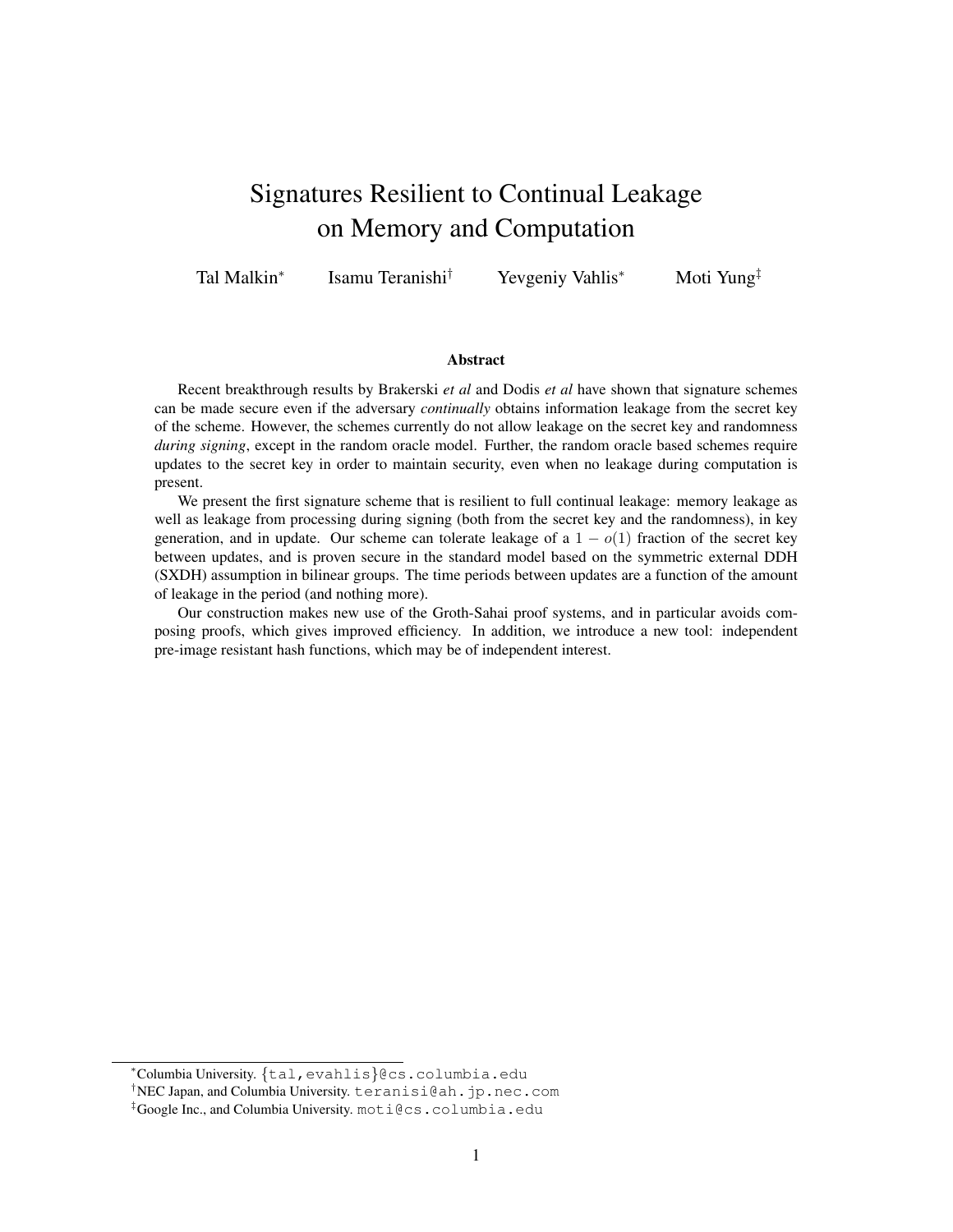# Signatures Resilient to Continual Leakage on Memory and Computation

Tal Malkin<sup>∗</sup> Isamu Teranishi† Yevgeniy Vahlis<sup>∗</sup> Moti Yung‡

#### Abstract

Recent breakthrough results by Brakerski *et al* and Dodis *et al* have shown that signature schemes can be made secure even if the adversary *continually* obtains information leakage from the secret key of the scheme. However, the schemes currently do not allow leakage on the secret key and randomness *during signing*, except in the random oracle model. Further, the random oracle based schemes require updates to the secret key in order to maintain security, even when no leakage during computation is present.

We present the first signature scheme that is resilient to full continual leakage: memory leakage as well as leakage from processing during signing (both from the secret key and the randomness), in key generation, and in update. Our scheme can tolerate leakage of a  $1 - o(1)$  fraction of the secret key between updates, and is proven secure in the standard model based on the symmetric external DDH (SXDH) assumption in bilinear groups. The time periods between updates are a function of the amount of leakage in the period (and nothing more).

Our construction makes new use of the Groth-Sahai proof systems, and in particular avoids composing proofs, which gives improved efficiency. In addition, we introduce a new tool: independent pre-image resistant hash functions, which may be of independent interest.

<sup>∗</sup>Columbia University. {tal,evahlis}@cs.columbia.edu

<sup>†</sup>NEC Japan, and Columbia University. teranisi@ah.jp.nec.com

<sup>‡</sup>Google Inc., and Columbia University. moti@cs.columbia.edu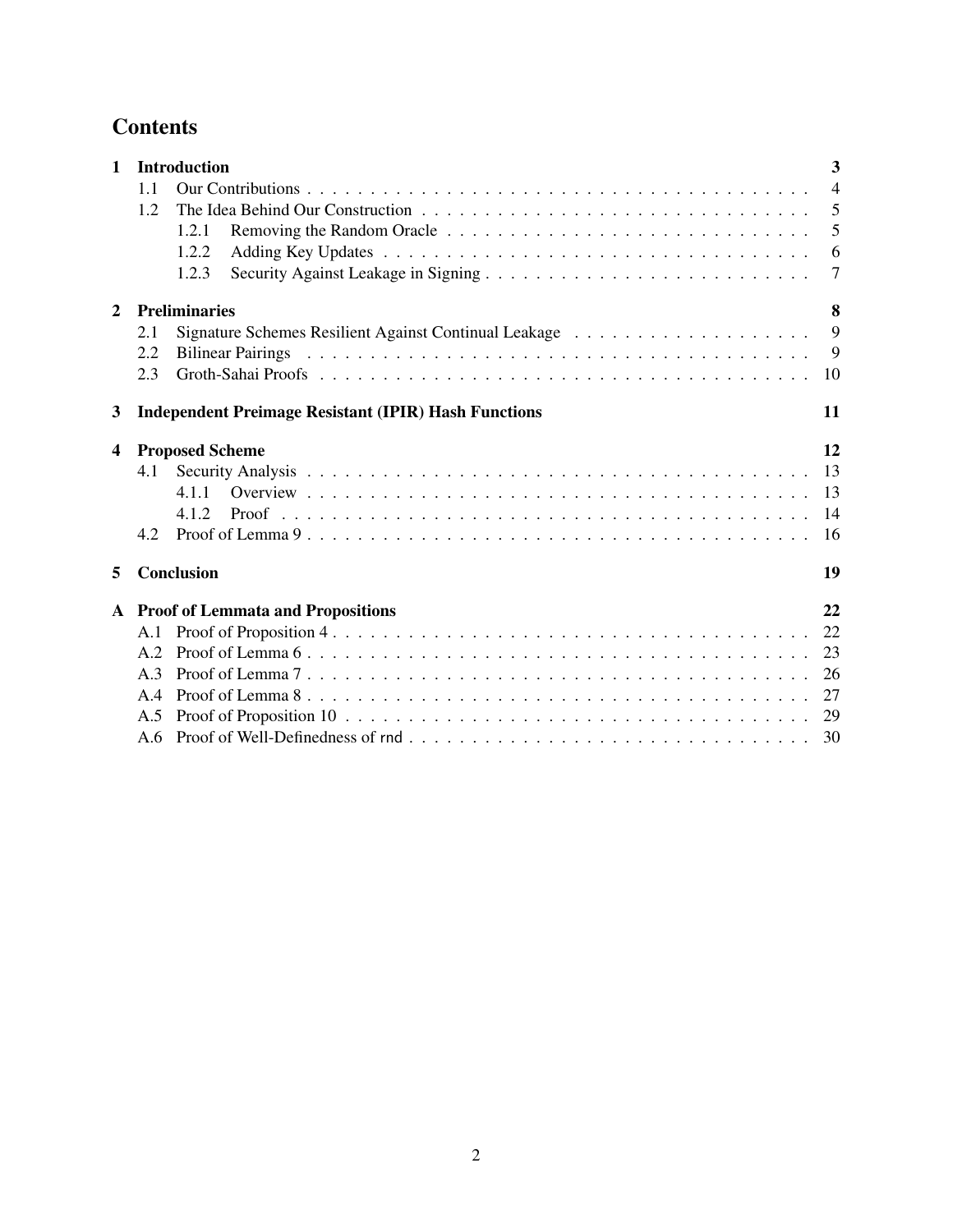# **Contents**

| $\mathbf{1}$            |                                          | <b>Introduction</b><br>3                                    |  |  |  |  |  |  |  |  |    |                |    |  |                |
|-------------------------|------------------------------------------|-------------------------------------------------------------|--|--|--|--|--|--|--|--|----|----------------|----|--|----------------|
|                         | 11                                       |                                                             |  |  |  |  |  |  |  |  |    | $\overline{4}$ |    |  |                |
|                         | 1.2                                      |                                                             |  |  |  |  |  |  |  |  |    |                |    |  | 5              |
|                         |                                          | 1.2.1                                                       |  |  |  |  |  |  |  |  |    |                |    |  | 5              |
|                         |                                          | 1.2.2                                                       |  |  |  |  |  |  |  |  |    |                |    |  | 6              |
|                         |                                          | 1.2.3                                                       |  |  |  |  |  |  |  |  |    |                |    |  | $\overline{7}$ |
| $\mathbf{2}$            | <b>Preliminaries</b>                     |                                                             |  |  |  |  |  |  |  |  |    |                | 8  |  |                |
|                         | 2.1                                      |                                                             |  |  |  |  |  |  |  |  |    |                |    |  | 9              |
|                         | 2.2                                      |                                                             |  |  |  |  |  |  |  |  |    |                |    |  | 9              |
|                         | 2.3                                      |                                                             |  |  |  |  |  |  |  |  |    |                |    |  | 10             |
| 3                       |                                          | <b>Independent Preimage Resistant (IPIR) Hash Functions</b> |  |  |  |  |  |  |  |  | 11 |                |    |  |                |
| $\overline{\mathbf{4}}$ | <b>Proposed Scheme</b><br>12             |                                                             |  |  |  |  |  |  |  |  |    |                |    |  |                |
|                         | 4.1                                      |                                                             |  |  |  |  |  |  |  |  |    |                |    |  | 13             |
|                         |                                          | 4.1.1                                                       |  |  |  |  |  |  |  |  |    |                |    |  | 13             |
|                         |                                          | 4.1.2                                                       |  |  |  |  |  |  |  |  |    |                |    |  | 14             |
|                         | 4.2                                      |                                                             |  |  |  |  |  |  |  |  |    |                |    |  | 16             |
| 5                       |                                          | Conclusion                                                  |  |  |  |  |  |  |  |  |    |                |    |  | 19             |
| $\mathbf{A}$            | <b>Proof of Lemmata and Propositions</b> |                                                             |  |  |  |  |  |  |  |  |    |                | 22 |  |                |
|                         | A.1                                      |                                                             |  |  |  |  |  |  |  |  |    |                |    |  | 22             |
|                         | A.2                                      |                                                             |  |  |  |  |  |  |  |  |    |                |    |  | 23             |
|                         | A.3                                      |                                                             |  |  |  |  |  |  |  |  |    |                |    |  | 26             |
|                         | A.4                                      |                                                             |  |  |  |  |  |  |  |  |    |                |    |  | 27             |
|                         | A.5                                      |                                                             |  |  |  |  |  |  |  |  |    |                |    |  | 29             |
|                         |                                          |                                                             |  |  |  |  |  |  |  |  |    |                |    |  | 30             |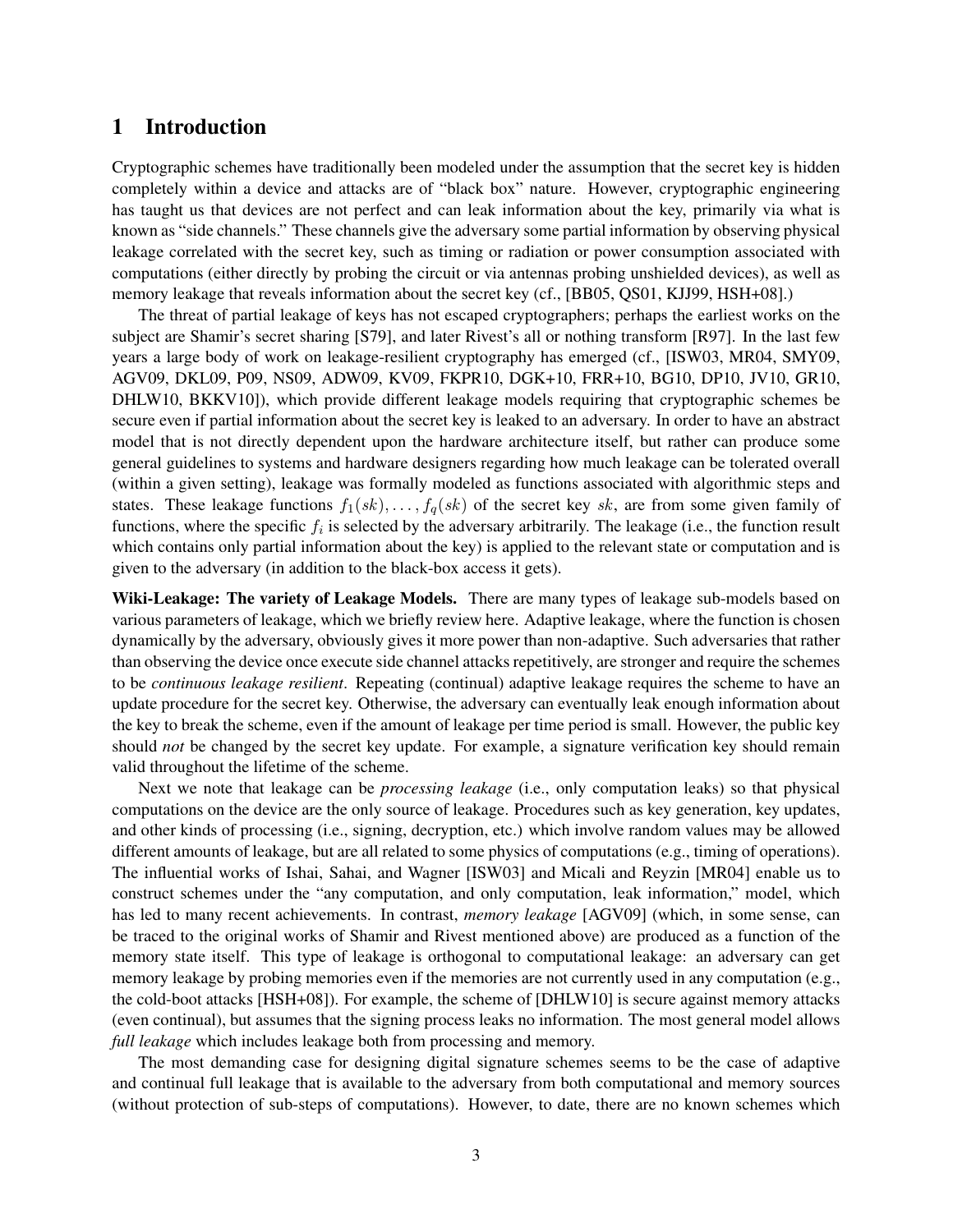# <span id="page-2-0"></span>1 Introduction

Cryptographic schemes have traditionally been modeled under the assumption that the secret key is hidden completely within a device and attacks are of "black box" nature. However, cryptographic engineering has taught us that devices are not perfect and can leak information about the key, primarily via what is known as "side channels." These channels give the adversary some partial information by observing physical leakage correlated with the secret key, such as timing or radiation or power consumption associated with computations (either directly by probing the circuit or via antennas probing unshielded devices), as well as memory leakage that reveals information about the secret key (cf., [\[BB05,](#page-18-1) [QS01,](#page-20-0) [KJJ99,](#page-20-1) [HSH+08\]](#page-19-0).)

The threat of partial leakage of keys has not escaped cryptographers; perhaps the earliest works on the subject are Shamir's secret sharing [\[S79\]](#page-20-2), and later Rivest's all or nothing transform [\[R97\]](#page-20-3). In the last few years a large body of work on leakage-resilient cryptography has emerged (cf., [\[ISW03,](#page-20-4) [MR04,](#page-20-5) [SMY09,](#page-20-6) [AGV09,](#page-18-2) [DKL09,](#page-19-1) [P09,](#page-20-7) [NS09,](#page-20-8) [ADW09,](#page-18-3) [KV09,](#page-20-9) [FKPR10,](#page-19-2) [DGK+10,](#page-19-3) [FRR+10,](#page-19-4) [BG10,](#page-19-5) [DP10,](#page-19-6) [JV10,](#page-20-10) [GR10,](#page-19-7) [DHLW10,](#page-19-8) [BKKV10\]](#page-19-9)), which provide different leakage models requiring that cryptographic schemes be secure even if partial information about the secret key is leaked to an adversary. In order to have an abstract model that is not directly dependent upon the hardware architecture itself, but rather can produce some general guidelines to systems and hardware designers regarding how much leakage can be tolerated overall (within a given setting), leakage was formally modeled as functions associated with algorithmic steps and states. These leakage functions  $f_1(sk), \ldots, f_q(sk)$  of the secret key sk, are from some given family of functions, where the specific  $f_i$  is selected by the adversary arbitrarily. The leakage (i.e., the function result which contains only partial information about the key) is applied to the relevant state or computation and is given to the adversary (in addition to the black-box access it gets).

Wiki-Leakage: The variety of Leakage Models. There are many types of leakage sub-models based on various parameters of leakage, which we briefly review here. Adaptive leakage, where the function is chosen dynamically by the adversary, obviously gives it more power than non-adaptive. Such adversaries that rather than observing the device once execute side channel attacks repetitively, are stronger and require the schemes to be *continuous leakage resilient*. Repeating (continual) adaptive leakage requires the scheme to have an update procedure for the secret key. Otherwise, the adversary can eventually leak enough information about the key to break the scheme, even if the amount of leakage per time period is small. However, the public key should *not* be changed by the secret key update. For example, a signature verification key should remain valid throughout the lifetime of the scheme.

Next we note that leakage can be *processing leakage* (i.e., only computation leaks) so that physical computations on the device are the only source of leakage. Procedures such as key generation, key updates, and other kinds of processing (i.e., signing, decryption, etc.) which involve random values may be allowed different amounts of leakage, but are all related to some physics of computations (e.g., timing of operations). The influential works of Ishai, Sahai, and Wagner [\[ISW03\]](#page-20-4) and Micali and Reyzin [\[MR04\]](#page-20-5) enable us to construct schemes under the "any computation, and only computation, leak information," model, which has led to many recent achievements. In contrast, *memory leakage* [\[AGV09\]](#page-18-2) (which, in some sense, can be traced to the original works of Shamir and Rivest mentioned above) are produced as a function of the memory state itself. This type of leakage is orthogonal to computational leakage: an adversary can get memory leakage by probing memories even if the memories are not currently used in any computation (e.g., the cold-boot attacks [\[HSH+08\]](#page-19-0)). For example, the scheme of [\[DHLW10\]](#page-19-8) is secure against memory attacks (even continual), but assumes that the signing process leaks no information. The most general model allows *full leakage* which includes leakage both from processing and memory.

The most demanding case for designing digital signature schemes seems to be the case of adaptive and continual full leakage that is available to the adversary from both computational and memory sources (without protection of sub-steps of computations). However, to date, there are no known schemes which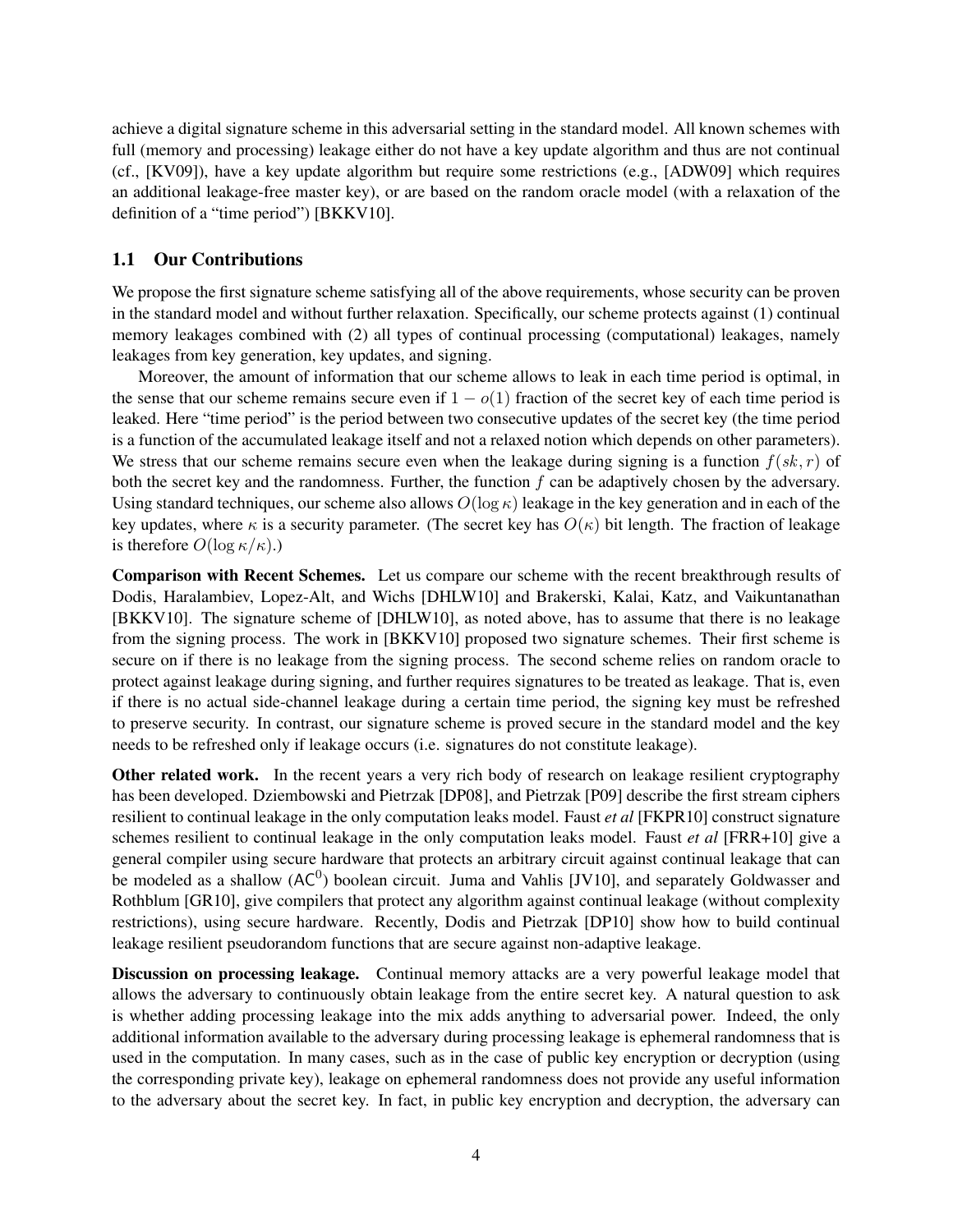achieve a digital signature scheme in this adversarial setting in the standard model. All known schemes with full (memory and processing) leakage either do not have a key update algorithm and thus are not continual (cf., [\[KV09\]](#page-20-9)), have a key update algorithm but require some restrictions (e.g., [\[ADW09\]](#page-18-3) which requires an additional leakage-free master key), or are based on the random oracle model (with a relaxation of the definition of a "time period") [\[BKKV10\]](#page-19-9).

## <span id="page-3-0"></span>1.1 Our Contributions

We propose the first signature scheme satisfying all of the above requirements, whose security can be proven in the standard model and without further relaxation. Specifically, our scheme protects against (1) continual memory leakages combined with (2) all types of continual processing (computational) leakages, namely leakages from key generation, key updates, and signing.

Moreover, the amount of information that our scheme allows to leak in each time period is optimal, in the sense that our scheme remains secure even if  $1 - o(1)$  fraction of the secret key of each time period is leaked. Here "time period" is the period between two consecutive updates of the secret key (the time period is a function of the accumulated leakage itself and not a relaxed notion which depends on other parameters). We stress that our scheme remains secure even when the leakage during signing is a function  $f(sk, r)$  of both the secret key and the randomness. Further, the function  $f$  can be adaptively chosen by the adversary. Using standard techniques, our scheme also allows  $O(\log \kappa)$  leakage in the key generation and in each of the key updates, where  $\kappa$  is a security parameter. (The secret key has  $O(\kappa)$  bit length. The fraction of leakage is therefore  $O(\log \kappa/\kappa)$ .)

Comparison with Recent Schemes. Let us compare our scheme with the recent breakthrough results of Dodis, Haralambiev, Lopez-Alt, and Wichs [\[DHLW10\]](#page-19-8) and Brakerski, Kalai, Katz, and Vaikuntanathan [\[BKKV10\]](#page-19-9). The signature scheme of [\[DHLW10\]](#page-19-8), as noted above, has to assume that there is no leakage from the signing process. The work in [\[BKKV10\]](#page-19-9) proposed two signature schemes. Their first scheme is secure on if there is no leakage from the signing process. The second scheme relies on random oracle to protect against leakage during signing, and further requires signatures to be treated as leakage. That is, even if there is no actual side-channel leakage during a certain time period, the signing key must be refreshed to preserve security. In contrast, our signature scheme is proved secure in the standard model and the key needs to be refreshed only if leakage occurs (i.e. signatures do not constitute leakage).

Other related work. In the recent years a very rich body of research on leakage resilient cryptography has been developed. Dziembowski and Pietrzak [\[DP08\]](#page-19-10), and Pietrzak [\[P09\]](#page-20-7) describe the first stream ciphers resilient to continual leakage in the only computation leaks model. Faust *et al* [\[FKPR10\]](#page-19-2) construct signature schemes resilient to continual leakage in the only computation leaks model. Faust *et al* [\[FRR+10\]](#page-19-4) give a general compiler using secure hardware that protects an arbitrary circuit against continual leakage that can be modeled as a shallow  $(AC^0)$  boolean circuit. Juma and Vahlis [\[JV10\]](#page-20-10), and separately Goldwasser and Rothblum [\[GR10\]](#page-19-7), give compilers that protect any algorithm against continual leakage (without complexity restrictions), using secure hardware. Recently, Dodis and Pietrzak [\[DP10\]](#page-19-6) show how to build continual leakage resilient pseudorandom functions that are secure against non-adaptive leakage.

Discussion on processing leakage. Continual memory attacks are a very powerful leakage model that allows the adversary to continuously obtain leakage from the entire secret key. A natural question to ask is whether adding processing leakage into the mix adds anything to adversarial power. Indeed, the only additional information available to the adversary during processing leakage is ephemeral randomness that is used in the computation. In many cases, such as in the case of public key encryption or decryption (using the corresponding private key), leakage on ephemeral randomness does not provide any useful information to the adversary about the secret key. In fact, in public key encryption and decryption, the adversary can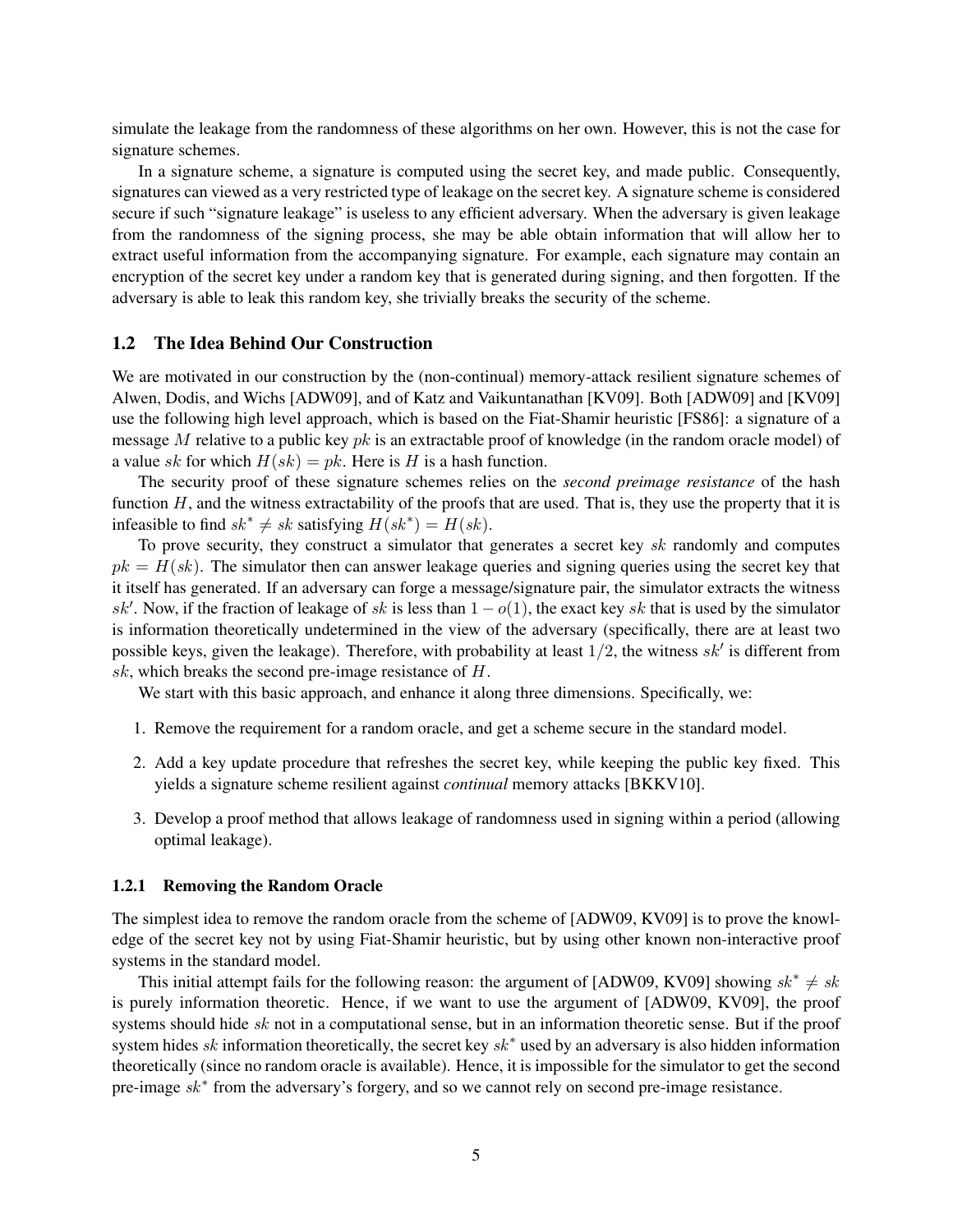simulate the leakage from the randomness of these algorithms on her own. However, this is not the case for signature schemes.

In a signature scheme, a signature is computed using the secret key, and made public. Consequently, signatures can viewed as a very restricted type of leakage on the secret key. A signature scheme is considered secure if such "signature leakage" is useless to any efficient adversary. When the adversary is given leakage from the randomness of the signing process, she may be able obtain information that will allow her to extract useful information from the accompanying signature. For example, each signature may contain an encryption of the secret key under a random key that is generated during signing, and then forgotten. If the adversary is able to leak this random key, she trivially breaks the security of the scheme.

## <span id="page-4-0"></span>1.2 The Idea Behind Our Construction

We are motivated in our construction by the (non-continual) memory-attack resilient signature schemes of Alwen, Dodis, and Wichs [\[ADW09\]](#page-18-3), and of Katz and Vaikuntanathan [\[KV09\]](#page-20-9). Both [\[ADW09\]](#page-18-3) and [\[KV09\]](#page-20-9) use the following high level approach, which is based on the Fiat-Shamir heuristic [\[FS86\]](#page-19-11): a signature of a message M relative to a public key pk is an extractable proof of knowledge (in the random oracle model) of a value sk for which  $H(sk) = pk$ . Here is H is a hash function.

The security proof of these signature schemes relies on the *second preimage resistance* of the hash function  $H$ , and the witness extractability of the proofs that are used. That is, they use the property that it is infeasible to find  $sk^* \neq sk$  satisfying  $H(sk^*) = H(sk)$ .

To prove security, they construct a simulator that generates a secret key sk randomly and computes  $pk = H(sk)$ . The simulator then can answer leakage queries and signing queries using the secret key that it itself has generated. If an adversary can forge a message/signature pair, the simulator extracts the witness sk'. Now, if the fraction of leakage of sk is less than  $1 - o(1)$ , the exact key sk that is used by the simulator is information theoretically undetermined in the view of the adversary (specifically, there are at least two possible keys, given the leakage). Therefore, with probability at least  $1/2$ , the witness  $sk'$  is different from sk, which breaks the second pre-image resistance of H.

We start with this basic approach, and enhance it along three dimensions. Specifically, we:

- 1. Remove the requirement for a random oracle, and get a scheme secure in the standard model.
- 2. Add a key update procedure that refreshes the secret key, while keeping the public key fixed. This yields a signature scheme resilient against *continual* memory attacks [\[BKKV10\]](#page-19-9).
- 3. Develop a proof method that allows leakage of randomness used in signing within a period (allowing optimal leakage).

#### <span id="page-4-1"></span>1.2.1 Removing the Random Oracle

The simplest idea to remove the random oracle from the scheme of [\[ADW09,](#page-18-3) [KV09\]](#page-20-9) is to prove the knowledge of the secret key not by using Fiat-Shamir heuristic, but by using other known non-interactive proof systems in the standard model.

This initial attempt fails for the following reason: the argument of [\[ADW09,](#page-18-3) [KV09\]](#page-20-9) showing  $sk^* \neq sk$ is purely information theoretic. Hence, if we want to use the argument of [\[ADW09,](#page-18-3) [KV09\]](#page-20-9), the proof systems should hide sk not in a computational sense, but in an information theoretic sense. But if the proof system hides sk information theoretically, the secret key sk<sup>\*</sup> used by an adversary is also hidden information theoretically (since no random oracle is available). Hence, it is impossible for the simulator to get the second pre-image  $sk^*$  from the adversary's forgery, and so we cannot rely on second pre-image resistance.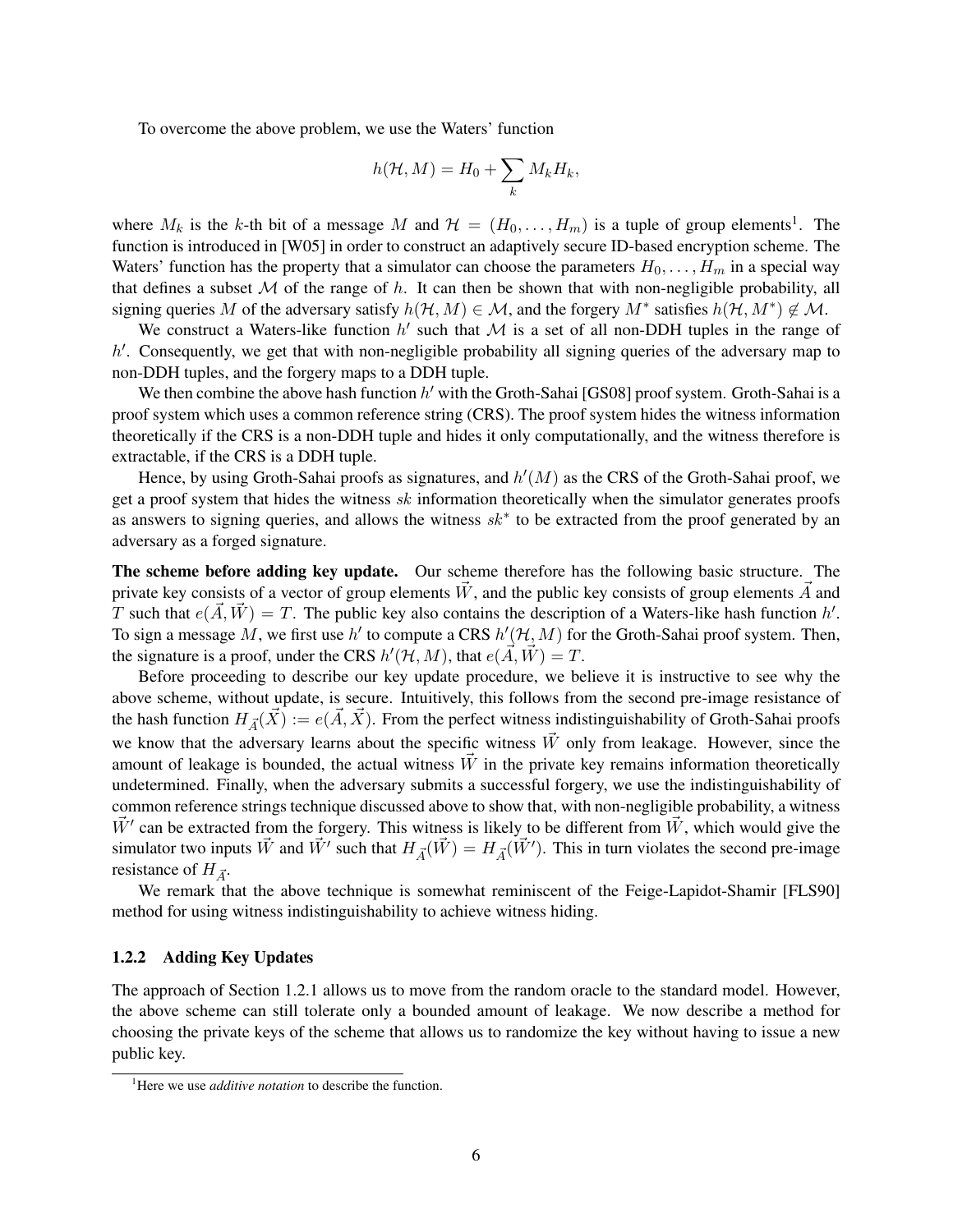To overcome the above problem, we use the Waters' function

$$
h(\mathcal{H}, M) = H_0 + \sum_k M_k H_k,
$$

where  $M_k$  is the k-th bit of a message M and  $\mathcal{H} = (H_0, \ldots, H_m)$  is a tuple of group elements<sup>[1](#page-5-1)</sup>. The function is introduced in [\[W05\]](#page-20-11) in order to construct an adaptively secure ID-based encryption scheme. The Waters' function has the property that a simulator can choose the parameters  $H_0, \ldots, H_m$  in a special way that defines a subset  $M$  of the range of h. It can then be shown that with non-negligible probability, all signing queries M of the adversary satisfy  $h(\mathcal{H}, M) \in \mathcal{M}$ , and the forgery  $M^*$  satisfies  $h(\mathcal{H}, M^*) \notin \mathcal{M}$ .

We construct a Waters-like function  $h'$  such that M is a set of all non-DDH tuples in the range of  $h'$ . Consequently, we get that with non-negligible probability all signing queries of the adversary map to non-DDH tuples, and the forgery maps to a DDH tuple.

We then combine the above hash function  $h'$  with the Groth-Sahai [\[GS08\]](#page-19-12) proof system. Groth-Sahai is a proof system which uses a common reference string (CRS). The proof system hides the witness information theoretically if the CRS is a non-DDH tuple and hides it only computationally, and the witness therefore is extractable, if the CRS is a DDH tuple.

Hence, by using Groth-Sahai proofs as signatures, and  $h'(M)$  as the CRS of the Groth-Sahai proof, we get a proof system that hides the witness  $sk$  information theoretically when the simulator generates proofs as answers to signing queries, and allows the witness  $sk^*$  to be extracted from the proof generated by an adversary as a forged signature.

The scheme before adding key update. Our scheme therefore has the following basic structure. The private key consists of a vector of group elements  $\vec{W}$ , and the public key consists of group elements  $\vec{A}$  and T such that  $e(\vec{A}, \vec{W}) = T$ . The public key also contains the description of a Waters-like hash function h'. To sign a message M, we first use  $h'$  to compute a CRS  $h'(\mathcal{H}, M)$  for the Groth-Sahai proof system. Then, the signature is a proof, under the CRS  $h'(\mathcal{H}, M)$ , that  $e(\vec{A}, \vec{W}) = T$ .

Before proceeding to describe our key update procedure, we believe it is instructive to see why the above scheme, without update, is secure. Intuitively, this follows from the second pre-image resistance of the hash function  $H_{\vec{A}}(\vec{X}) := e(\vec{A}, \vec{X})$ . From the perfect witness indistinguishability of Groth-Sahai proofs we know that the adversary learns about the specific witness  $\vec{W}$  only from leakage. However, since the amount of leakage is bounded, the actual witness  $\vec{W}$  in the private key remains information theoretically undetermined. Finally, when the adversary submits a successful forgery, we use the indistinguishability of common reference strings technique discussed above to show that, with non-negligible probability, a witness  $\vec{W}'$  can be extracted from the forgery. This witness is likely to be different from  $\vec{W}$ , which would give the simulator two inputs  $\vec{W}$  and  $\vec{W}'$  such that  $H_{\vec{A}}(\vec{W}) = H_{\vec{A}}(\vec{W}')$ . This in turn violates the second pre-image resistance of  $H_{\vec{A}}$ .

We remark that the above technique is somewhat reminiscent of the Feige-Lapidot-Shamir [\[FLS90\]](#page-19-13) method for using witness indistinguishability to achieve witness hiding.

## <span id="page-5-0"></span>1.2.2 Adding Key Updates

The approach of Section [1.2.1](#page-4-1) allows us to move from the random oracle to the standard model. However, the above scheme can still tolerate only a bounded amount of leakage. We now describe a method for choosing the private keys of the scheme that allows us to randomize the key without having to issue a new public key.

<span id="page-5-1"></span><sup>&</sup>lt;sup>1</sup>Here we use *additive notation* to describe the function.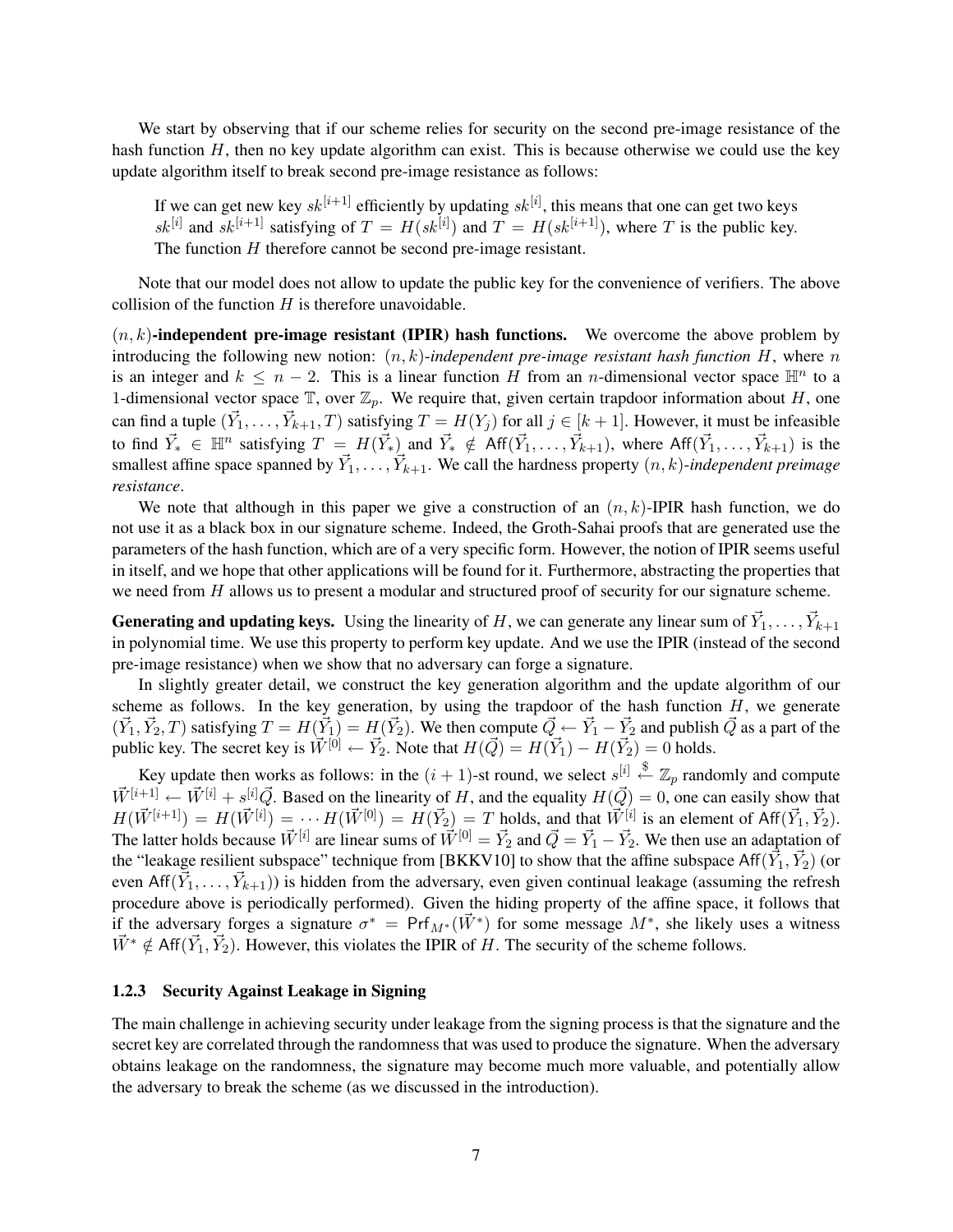We start by observing that if our scheme relies for security on the second pre-image resistance of the hash function  $H$ , then no key update algorithm can exist. This is because otherwise we could use the key update algorithm itself to break second pre-image resistance as follows:

If we can get new key  $sk^{[i+1]}$  efficiently by updating  $sk^{[i]}$ , this means that one can get two keys  $sk^{[i]}$  and  $sk^{[i+1]}$  satisfying of  $T = H(sk^{[i]})$  and  $T = H(sk^{[i+1]})$ , where T is the public key. The function  $H$  therefore cannot be second pre-image resistant.

Note that our model does not allow to update the public key for the convenience of verifiers. The above collision of the function  $H$  is therefore unavoidable.

 $(n, k)$ -independent pre-image resistant (IPIR) hash functions. We overcome the above problem by introducing the following new notion:  $(n, k)$ -independent pre-image resistant hash function H, where n is an integer and  $k \leq n-2$ . This is a linear function H from an n-dimensional vector space  $\mathbb{H}^n$  to a 1-dimensional vector space  $\mathbb{T}$ , over  $\mathbb{Z}_p$ . We require that, given certain trapdoor information about H, one can find a tuple  $(\vec{Y}_1,\ldots,\vec{Y}_{k+1},T)$  satisfying  $T = H(Y_j)$  for all  $j \in [k+1]$ . However, it must be infeasible to find  $\vec{Y}_* \in \mathbb{H}^n$  satisfying  $T = H(\vec{Y}_*)$  and  $\vec{Y}_* \notin Aff(\vec{Y}_1, \ldots, \vec{Y}_{k+1})$ , where  $Aff(\vec{Y}_1, \ldots, \vec{Y}_{k+1})$  is the smallest affine space spanned by  $\vec{Y}_1, \ldots, \vec{Y}_{k+1}$ . We call the hardness property  $(n, k)$ -*independent preimage resistance*.

We note that although in this paper we give a construction of an  $(n, k)$ -IPIR hash function, we do not use it as a black box in our signature scheme. Indeed, the Groth-Sahai proofs that are generated use the parameters of the hash function, which are of a very specific form. However, the notion of IPIR seems useful in itself, and we hope that other applications will be found for it. Furthermore, abstracting the properties that we need from H allows us to present a modular and structured proof of security for our signature scheme.

**Generating and updating keys.** Using the linearity of H, we can generate any linear sum of  $\vec{Y}_1, \ldots, \vec{Y}_{k+1}$ in polynomial time. We use this property to perform key update. And we use the IPIR (instead of the second pre-image resistance) when we show that no adversary can forge a signature.

In slightly greater detail, we construct the key generation algorithm and the update algorithm of our scheme as follows. In the key generation, by using the trapdoor of the hash function  $H$ , we generate  $(\vec{Y}_1, \vec{Y}_2, T)$  satisfying  $T = H(\vec{Y}_1) = H(\vec{Y}_2)$ . We then compute  $\vec{Q} \leftarrow \vec{Y}_1 - \vec{Y}_2$  and publish  $\vec{Q}$  as a part of the public key. The secret key is  $\vec{W}^{[0]} \leftarrow \vec{Y}_2$ . Note that  $H(\vec{Q}) = H(\vec{Y}_1) - H(\vec{Y}_2) = 0$  holds.

Key update then works as follows: in the  $(i + 1)$ -st round, we select  $s^{[i]} \stackrel{\$}{\leftarrow} \mathbb{Z}_p$  randomly and compute  $\vec{W}^{[i+1]} \leftarrow \vec{W}^{[i]} + s^{[i]} \vec{Q}$ . Based on the linearity of H, and the equality  $H(\vec{Q}) = 0$ , one can easily show that  $H(\vec{W}^{[i+1]}) = H(\vec{W}^{[i]}) = \cdots H(\vec{W}^{[0]}) = H(\vec{Y}_2) = T$  holds, and that  $\vec{W}^{[i]}$  is an element of Aff $(\vec{Y}_1, \vec{Y}_2)$ . The latter holds because  $\vec{W}^{[i]}$  are linear sums of  $\vec{W}^{[0]} = \vec{Y}_2$  and  $\vec{Q} = \vec{Y}_1 - \vec{Y}_2$ . We then use an adaptation of the "leakage resilient subspace" technique from [\[BKKV10\]](#page-19-9) to show that the affine subspace Aff $(\vec{\bar{Y}_1},\vec{Y}_2)$  (or even Aff $(\vec{Y}_1,\ldots,\vec{Y}_{k+1})$ ) is hidden from the adversary, even given continual leakage (assuming the refresh procedure above is periodically performed). Given the hiding property of the affine space, it follows that if the adversary forges a signature  $\sigma^* = Prf_{M^*}(\vec{W}^*)$  for some message  $M^*$ , she likely uses a witness  $\vec{W}^* \notin Aff(\vec{Y}_1, \vec{Y}_2)$ . However, this violates the IPIR of H. The security of the scheme follows.

#### <span id="page-6-0"></span>1.2.3 Security Against Leakage in Signing

The main challenge in achieving security under leakage from the signing process is that the signature and the secret key are correlated through the randomness that was used to produce the signature. When the adversary obtains leakage on the randomness, the signature may become much more valuable, and potentially allow the adversary to break the scheme (as we discussed in the introduction).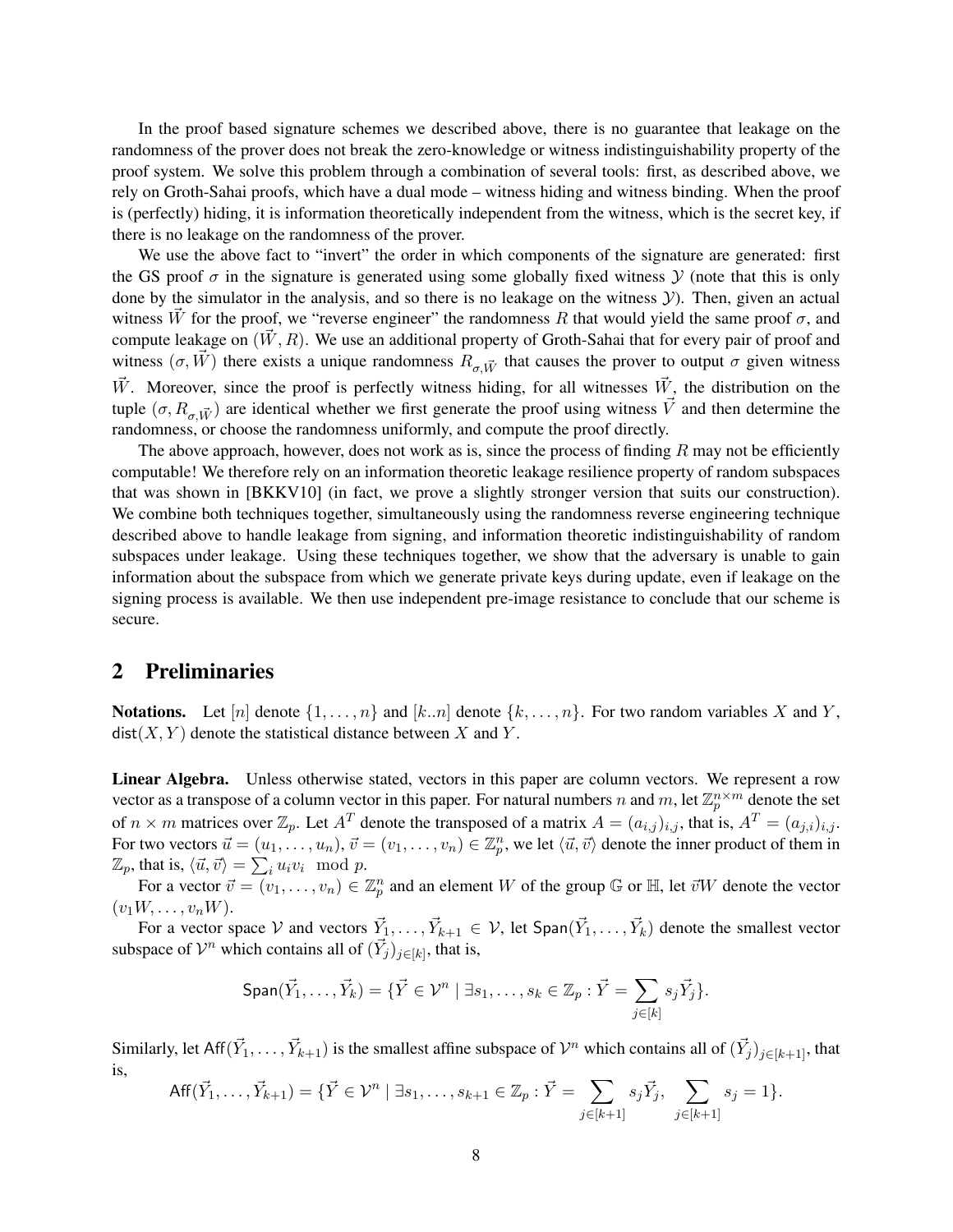In the proof based signature schemes we described above, there is no guarantee that leakage on the randomness of the prover does not break the zero-knowledge or witness indistinguishability property of the proof system. We solve this problem through a combination of several tools: first, as described above, we rely on Groth-Sahai proofs, which have a dual mode – witness hiding and witness binding. When the proof is (perfectly) hiding, it is information theoretically independent from the witness, which is the secret key, if there is no leakage on the randomness of the prover.

We use the above fact to "invert" the order in which components of the signature are generated: first the GS proof  $\sigma$  in the signature is generated using some globally fixed witness  $\mathcal Y$  (note that this is only done by the simulator in the analysis, and so there is no leakage on the witness  $\mathcal{Y}$ ). Then, given an actual witness W<sup>†</sup> for the proof, we "reverse engineer" the randomness R that would yield the same proof  $\sigma$ , and compute leakage on  $(W, R)$ . We use an additional property of Groth-Sahai that for every pair of proof and witness  $(\sigma, \vec{W})$  there exists a unique randomness  $R_{\sigma, \vec{W}}$  that causes the prover to output  $\sigma$  given witness  $\tilde{W}$ . Moreover, since the proof is perfectly witness hiding, for all witnesses  $\tilde{W}$ , the distribution on the tuple  $(\sigma, R_{\sigma \vec{W}})$  are identical whether we first generate the proof using witness  $\vec{V}$  and then determine the randomness, or choose the randomness uniformly, and compute the proof directly.

The above approach, however, does not work as is, since the process of finding  $R$  may not be efficiently computable! We therefore rely on an information theoretic leakage resilience property of random subspaces that was shown in [\[BKKV10\]](#page-19-9) (in fact, we prove a slightly stronger version that suits our construction). We combine both techniques together, simultaneously using the randomness reverse engineering technique described above to handle leakage from signing, and information theoretic indistinguishability of random subspaces under leakage. Using these techniques together, we show that the adversary is unable to gain information about the subspace from which we generate private keys during update, even if leakage on the signing process is available. We then use independent pre-image resistance to conclude that our scheme is secure.

## <span id="page-7-0"></span>2 Preliminaries

**Notations.** Let  $[n]$  denote  $\{1, \ldots, n\}$  and  $[k..n]$  denote  $\{k, \ldots, n\}$ . For two random variables X and Y,  $dist(X, Y)$  denote the statistical distance between X and Y.

Linear Algebra. Unless otherwise stated, vectors in this paper are column vectors. We represent a row vector as a transpose of a column vector in this paper. For natural numbers n and m, let  $\mathbb{Z}_p^{n \times m}$  denote the set of  $n \times m$  matrices over  $\mathbb{Z}_p$ . Let  $A^T$  denote the transposed of a matrix  $A = (a_{i,j})_{i,j}$ , that is,  $A^T = (a_{j,i})_{i,j}$ . For two vectors  $\vec{u} = (u_1, \dots, u_n), \vec{v} = (v_1, \dots, v_n) \in \mathbb{Z}_p^n$ , we let  $\langle \vec{u}, \vec{v} \rangle$  denote the inner product of them in  $\mathbb{Z}_p$ , that is,  $\langle \vec{u}, \vec{v} \rangle = \sum_i u_i v_i \mod p$ .

For a vector  $\vec{v} = (v_1, \dots, v_n) \in \mathbb{Z}_p^n$  and an element W of the group G or H, let  $\vec{v}W$  denote the vector  $(v_1W, \ldots, v_nW).$ 

For a vector space V and vectors  $\vec{Y}_1,\ldots,\vec{Y}_{k+1}\in\mathcal{V}$ , let Span $(\vec{Y}_1,\ldots,\vec{Y}_k)$  denote the smallest vector subspace of  $\mathcal{V}^n$  which contains all of  $(\vec{Y}_j)_{j \in [k]}$ , that is,

$$
\mathsf{Span}(\vec{Y}_1,\ldots,\vec{Y}_k) = \{\vec{Y} \in \mathcal{V}^n \mid \exists s_1,\ldots,s_k \in \mathbb{Z}_p : \vec{Y} = \sum_{j \in [k]} s_j \vec{Y}_j\}.
$$

Similarly, let Aff $(\vec{Y}_1,\ldots,\vec{Y}_{k+1})$  is the smallest affine subspace of  $\mathcal{V}^n$  which contains all of  $(\vec{Y}_j)_{j\in[k+1]}$ , that is,

$$
\text{Aff}(\vec{Y}_1,\ldots,\vec{Y}_{k+1}) = \{ \vec{Y} \in \mathcal{V}^n \mid \exists s_1,\ldots,s_{k+1} \in \mathbb{Z}_p : \vec{Y} = \sum_{j \in [k+1]} s_j \vec{Y}_j, \sum_{j \in [k+1]} s_j = 1 \}.
$$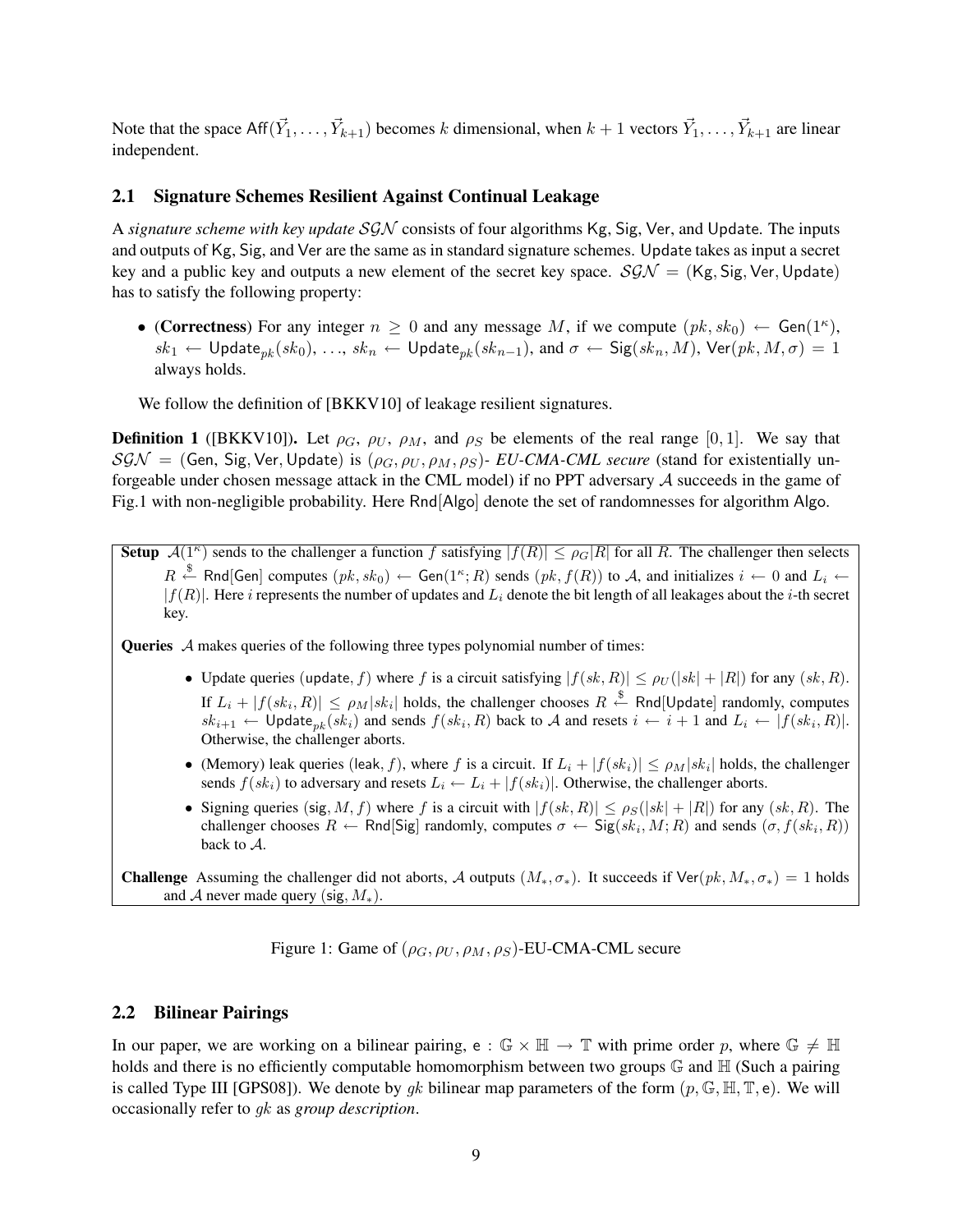Note that the space Aff $(\vec{Y}_1,\ldots,\vec{Y}_{k+1})$  becomes k dimensional, when  $k+1$  vectors  $\vec{Y}_1,\ldots,\vec{Y}_{k+1}$  are linear independent.

#### <span id="page-8-0"></span>2.1 Signature Schemes Resilient Against Continual Leakage

A *signature scheme with key update* SGN consists of four algorithms Kg, Sig, Ver, and Update. The inputs and outputs of Kg, Sig, and Ver are the same as in standard signature schemes. Update takes as input a secret key and a public key and outputs a new element of the secret key space.  $\mathcal{SGN} = (Kg, Sig, Ver, Update)$ has to satisfy the following property:

• (Correctness) For any integer  $n \geq 0$  and any message M, if we compute  $(pk, sk_0) \leftarrow Gen(1^{\kappa})$ ,  $sk_1 \leftarrow \mathsf{Update}_{pk}(sk_0), \ldots, sk_n \leftarrow \mathsf{Update}_{pk}(sk_{n-1}), \text{ and } \sigma \leftarrow \mathsf{Sig}(sk_n, M), \mathsf{Ver}(pk, M, \sigma) = 1$ always holds.

We follow the definition of [\[BKKV10\]](#page-19-9) of leakage resilient signatures.

**Definition 1** ([\[BKKV10\]](#page-19-9)). Let  $\rho_G$ ,  $\rho_U$ ,  $\rho_M$ , and  $\rho_S$  be elements of the real range [0, 1]. We say that  $SGN = (Gen, Sig, Ver, Update)$  is  $(\rho_G, \rho_U, \rho_M, \rho_S)$ - EU-CMA-CML secure (stand for existentially unforgeable under chosen message attack in the CML model) if no PPT adversary A succeeds in the game of Fig[.1](#page-8-2) with non-negligible probability. Here Rnd[Algo] denote the set of randomnesses for algorithm Algo.

**Setup**  $A(1^{\kappa})$  sends to the challenger a function f satisfying  $|f(R)| \leq \rho_G |R|$  for all R. The challenger then selects  $R \stackrel{\$}{\leftarrow}$  Rnd[Gen] computes  $(pk, sk_0) \leftarrow$  Gen $(1^{\kappa}; R)$  sends  $(pk, f(R))$  to A, and initializes  $i \leftarrow 0$  and  $L_i \leftarrow$  $|f(R)|$ . Here *i* represents the number of updates and  $L_i$  denote the bit length of all leakages about the *i*-th secret key.

Queries A makes queries of the following three types polynomial number of times:

- Update queries (update, f) where f is a circuit satisfying  $|f(s,k, R)| \leq \rho_U(|sk| + |R|)$  for any  $(s, R)$ . If  $L_i + |f(sk_i, R)| \le \rho_M |sk_i|$  holds, the challenger chooses  $R \stackrel{\$}{\leftarrow}$  Rnd[Update] randomly, computes  $sk_{i+1} \leftarrow \mathsf{Update}_{pk}(sk_i)$  and sends  $f(sk_i, R)$  back to  $\mathcal A$  and resets  $i \leftarrow i+1$  and  $L_i \leftarrow |f(sk_i, R)|$ . Otherwise, the challenger aborts.
- (Memory) leak queries (leak, f), where f is a circuit. If  $L_i + |f(sk_i)| \le \rho_M |sk_i|$  holds, the challenger sends  $f(sk_i)$  to adversary and resets  $L_i \leftarrow L_i + |f(sk_i)|$ . Otherwise, the challenger aborts.
- Signing queries (sig, M, f) where f is a circuit with  $|f(s_k, R)| \leq \rho_S(|sk| + |R|)$  for any  $(s_k, R)$ . The challenger chooses  $R \leftarrow \textsf{Rnd}[\textsf{Sig}]$  randomly, computes  $\sigma \leftarrow \textsf{Sig}(sk_i, M; R)$  and sends  $(\sigma, f(sk_i, R))$ back to A.

**Challenge** Assuming the challenger did not aborts, A outputs  $(M_*, \sigma_*)$ . It succeeds if  $Ver(pk, M_*, \sigma_*) = 1$  holds and A never made query (sig,  $M_*$ ).

<span id="page-8-2"></span>Figure 1: Game of  $(\rho_G, \rho_U, \rho_M, \rho_S)$ -EU-CMA-CML secure

## <span id="page-8-1"></span>2.2 Bilinear Pairings

In our paper, we are working on a bilinear pairing, e :  $\mathbb{G} \times \mathbb{H} \to \mathbb{T}$  with prime order p, where  $\mathbb{G} \neq \mathbb{H}$ holds and there is no efficiently computable homomorphism between two groups  $\mathbb G$  and  $\mathbb H$  (Such a pairing is called Type III [\[GPS08\]](#page-19-14)). We denote by gk bilinear map parameters of the form  $(p, \mathbb{G}, \mathbb{H}, \mathbb{T}, e)$ . We will occasionally refer to gk as *group description*.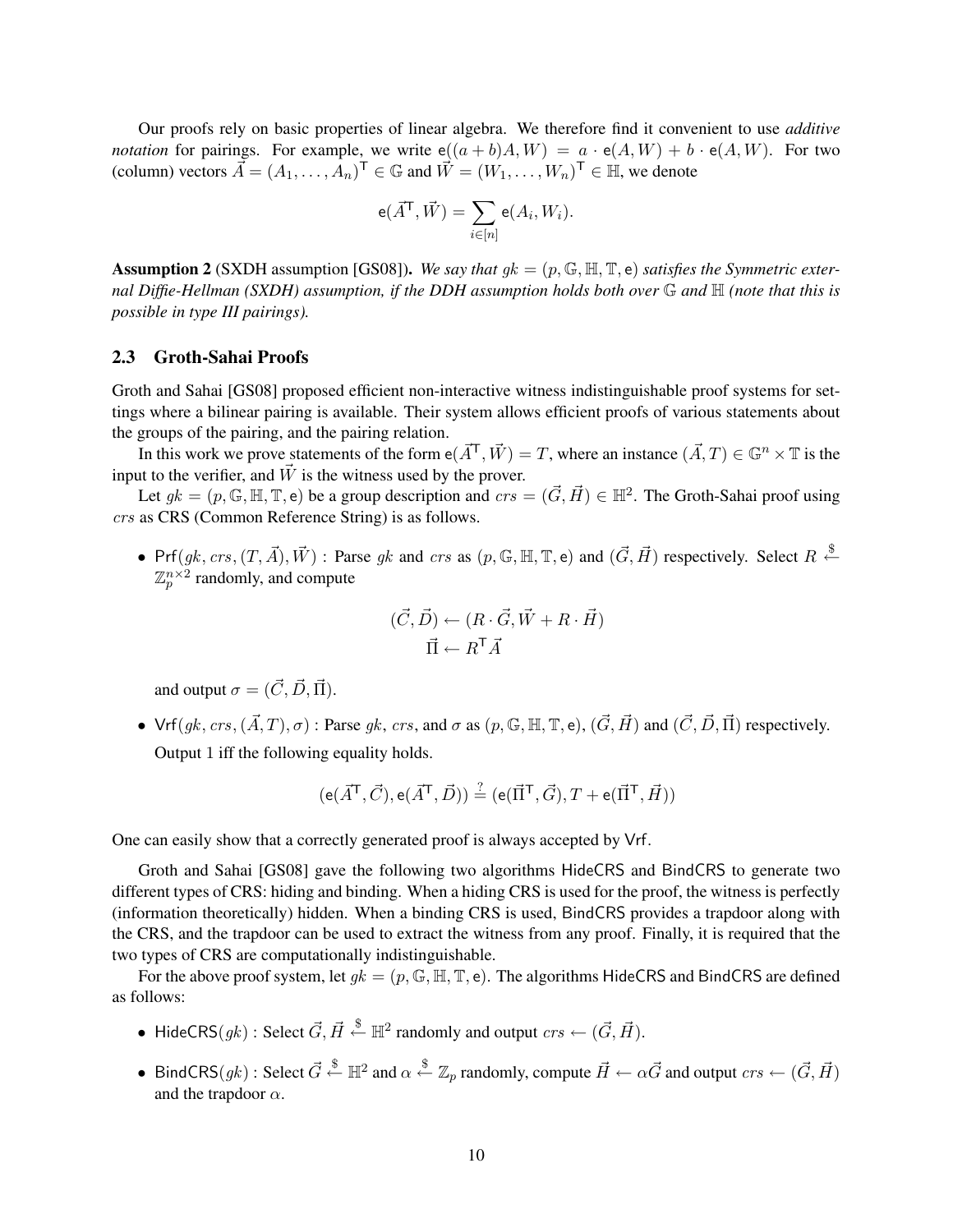Our proofs rely on basic properties of linear algebra. We therefore find it convenient to use *additive notation* for pairings. For example, we write  $e((a + b)A, W) = a \cdot e(A, W) + b \cdot e(A, W)$ . For two (column) vectors  $\vec{A} = (A_1, \ldots, \vec{A}_n)^\mathsf{T} \in \mathbb{G}$  and  $\vec{W} = (W_1, \ldots, W_n)^\mathsf{T} \in \mathbb{H}$ , we denote

$$
e(\vec{A}^{\mathsf{T}}, \vec{W}) = \sum_{i \in [n]} e(A_i, W_i).
$$

**Assumption 2** (SXDH assumption [\[GS08\]](#page-19-12)). We say that  $qk = (p, \mathbb{G}, \mathbb{H}, \mathbb{T}, \mathbf{e})$  *satisfies the Symmetric external Diffie-Hellman (SXDH) assumption, if the DDH assumption holds both over*  $\mathbb G$  *and*  $\mathbb H$  *(note that this is possible in type III pairings).*

## <span id="page-9-0"></span>2.3 Groth-Sahai Proofs

Groth and Sahai [\[GS08\]](#page-19-12) proposed efficient non-interactive witness indistinguishable proof systems for settings where a bilinear pairing is available. Their system allows efficient proofs of various statements about the groups of the pairing, and the pairing relation.

In this work we prove statements of the form  $e(\vec{A}^T, \vec{W}) = T$ , where an instance  $(\vec{A}, T) \in \mathbb{G}^n \times \mathbb{T}$  is the input to the verifier, and  $\vec{W}$  is the witness used by the prover.

Let  $gk = (p, \mathbb{G}, \mathbb{H}, \mathbb{T}, e)$  be a group description and  $crs = (\vec{G}, \vec{H}) \in \mathbb{H}^2$ . The Groth-Sahai proof using crs as CRS (Common Reference String) is as follows.

• Prf(gk, crs,  $(T, \vec{A}), \vec{W}$ ) : Parse gk and crs as  $(p, \mathbb{G}, \mathbb{H}, \mathbb{T}, e)$  and  $(\vec{G}, \vec{H})$  respectively. Select  $R \stackrel{\$}{\leftarrow}$  $\mathbb{Z}_p^{n \times 2}$  randomly, and compute

$$
(\vec{C}, \vec{D}) \leftarrow (R \cdot \vec{G}, \vec{W} + R \cdot \vec{H})
$$

$$
\vec{\Pi} \leftarrow R^{\mathsf{T}} \vec{A}
$$

and output  $\sigma = (\vec{C}, \vec{D}, \vec{\Pi}).$ 

• Vrf $(gk, crs, (\vec{A}, T), \sigma)$ : Parse gk, crs, and  $\sigma$  as  $(p, \mathbb{G}, \mathbb{H}, \mathbb{T}, e)$ ,  $(\vec{G}, \vec{H})$  and  $(\vec{C}, \vec{D}, \vec{\Pi})$  respectively. Output 1 iff the following equality holds.

$$
(\mathsf{e}(\vec{A}^\mathsf{T},\vec{C}),\mathsf{e}(\vec{A}^\mathsf{T},\vec{D}))\stackrel{?}{=}(\mathsf{e}(\vec{\Pi}^\mathsf{T},\vec{G}),T+\mathsf{e}(\vec{\Pi}^\mathsf{T},\vec{H}))
$$

One can easily show that a correctly generated proof is always accepted by Vrf.

Groth and Sahai [\[GS08\]](#page-19-12) gave the following two algorithms HideCRS and BindCRS to generate two different types of CRS: hiding and binding. When a hiding CRS is used for the proof, the witness is perfectly (information theoretically) hidden. When a binding CRS is used, BindCRS provides a trapdoor along with the CRS, and the trapdoor can be used to extract the witness from any proof. Finally, it is required that the two types of CRS are computationally indistinguishable.

For the above proof system, let  $gk = (p, \mathbb{G}, \mathbb{H}, \mathbb{T}, e)$ . The algorithms HideCRS and BindCRS are defined as follows:

- HideCRS $(gk)$ : Select  $\vec{G}, \vec{H} \stackrel{\$}{\leftarrow} \mathbb{H}^2$  randomly and output  $\operatorname{crs} \leftarrow (\vec{G}, \vec{H})$ .
- BindCRS $(gk)$ : Select  $\vec{G} \stackrel{\$}{\leftarrow} \mathbb{H}^2$  and  $\alpha \stackrel{\$}{\leftarrow} \mathbb{Z}_p$  randomly, compute  $\vec{H} \leftarrow \alpha \vec{G}$  and output  $\operatorname{crs} \leftarrow (\vec{G}, \vec{H})$ and the trapdoor  $\alpha$ .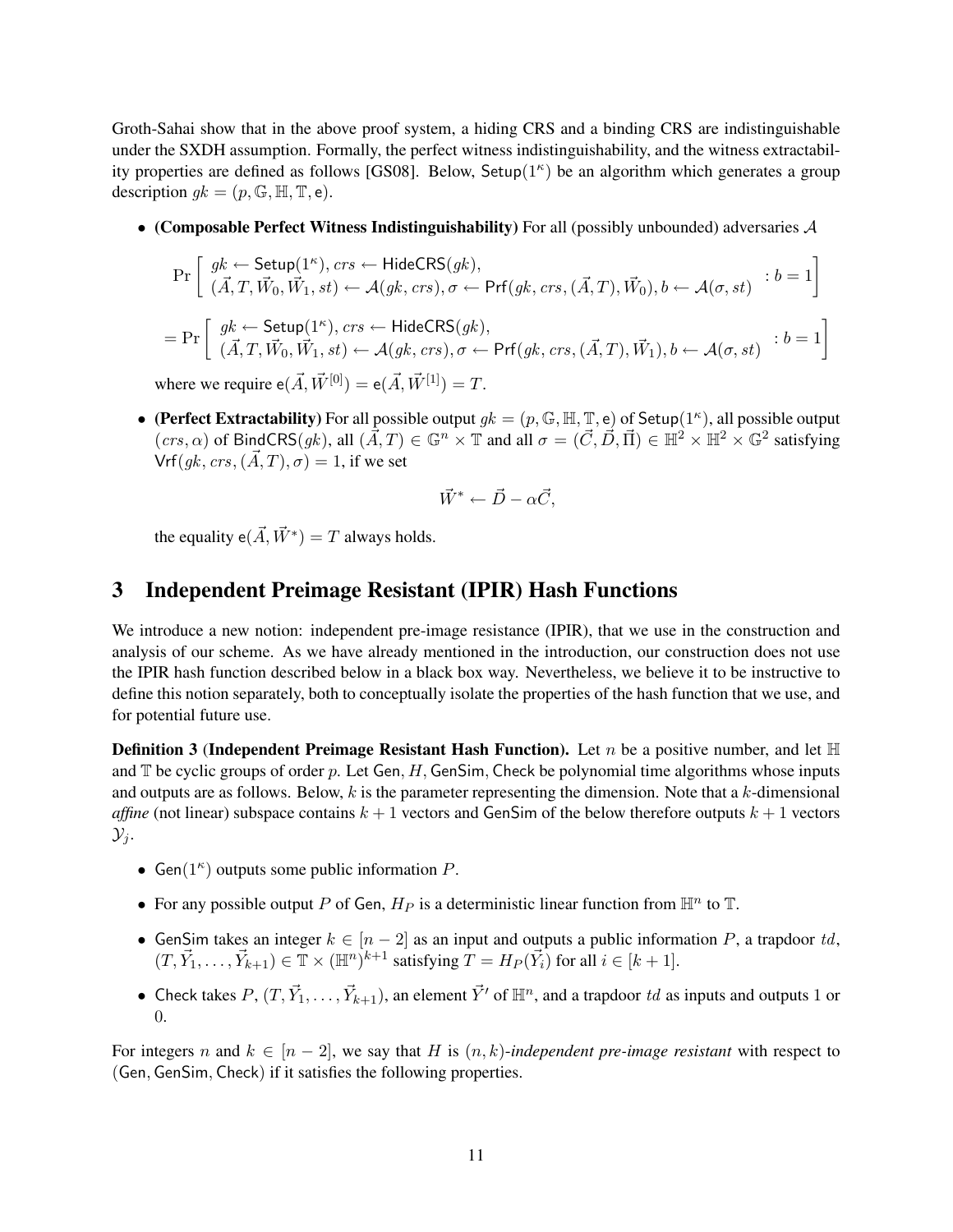Groth-Sahai show that in the above proof system, a hiding CRS and a binding CRS are indistinguishable under the SXDH assumption. Formally, the perfect witness indistinguishability, and the witness extractabil-ity properties are defined as follows [\[GS08\]](#page-19-12). Below, Setup $(1^{\kappa})$  be an algorithm which generates a group description  $qk = (p, \mathbb{G}, \mathbb{H}, \mathbb{T}, e)$ .

• (Composable Perfect Witness Indistinguishability) For all (possibly unbounded) adversaries  $A$ 

$$
\Pr\left[\begin{array}{l} gk \leftarrow \textsf{Setup}(1^{\kappa}),\, crs \leftarrow \textsf{HideCRS}(gk),\\ (\vec{A},T,\vec{W}_0,\vec{W}_1,st) \leftarrow \mathcal{A}(gk,\, crs), \sigma \leftarrow \textsf{Prf}(gk,\, crs,(\vec{A},T),\vec{W}_0), b \leftarrow \mathcal{A}(\sigma, st) \end{array}: b=1\right]\right] \\ = \Pr\left[\begin{array}{l} gk \leftarrow \textsf{Setup}(1^{\kappa}),\, crs \leftarrow \textsf{HideCRS}(gk),\\ (\vec{A},T,\vec{W}_0,\vec{W}_1,st) \leftarrow \mathcal{A}(gk,\, crs), \sigma \leftarrow \textsf{Prf}(gk,\, crs,(\vec{A},T),\vec{W}_1), b \leftarrow \mathcal{A}(\sigma, st) \end{array}: b=1\right]\right]
$$

where we require  $e(\vec{A}, \vec{W}^{[0]}) = e(\vec{A}, \vec{W}^{[1]}) = T$ .

• (Perfect Extractability) For all possible output  $gk = (p, \mathbb{G}, \mathbb{H}, \mathbb{T}, e)$  of Setup $(1^{\kappa})$ , all possible output  $(crs, \alpha)$  of BindCRS $(gk)$ , all  $(\vec{A}, T) \in \mathbb{G}^n \times \mathbb{T}$  and all  $\sigma = (\vec{C}, \vec{D}, \vec{\Pi}) \in \mathbb{H}^2 \times \mathbb{H}^2 \times \mathbb{G}^2$  satisfying  $Vrf(gk, crs, (\overline{A}, T), \sigma) = 1$ , if we set

$$
\vec{W}^* \leftarrow \vec{D} - \alpha \vec{C},
$$

the equality  $e(\vec{A}, \vec{W}^*) = T$  always holds.

## <span id="page-10-0"></span>3 Independent Preimage Resistant (IPIR) Hash Functions

We introduce a new notion: independent pre-image resistance (IPIR), that we use in the construction and analysis of our scheme. As we have already mentioned in the introduction, our construction does not use the IPIR hash function described below in a black box way. Nevertheless, we believe it to be instructive to define this notion separately, both to conceptually isolate the properties of the hash function that we use, and for potential future use.

**Definition 3 (Independent Preimage Resistant Hash Function).** Let n be a positive number, and let  $\mathbb{H}$ and  $\mathbb T$  be cyclic groups of order p. Let Gen, H, GenSim, Check be polynomial time algorithms whose inputs and outputs are as follows. Below,  $k$  is the parameter representing the dimension. Note that a  $k$ -dimensional *affine* (not linear) subspace contains  $k + 1$  vectors and GenSim of the below therefore outputs  $k + 1$  vectors  $y_i$ .

- Gen( $1^{\kappa}$ ) outputs some public information P.
- For any possible output P of Gen,  $H_P$  is a deterministic linear function from  $\mathbb{H}^n$  to  $\mathbb{T}$ .
- GenSim takes an integer  $k \in [n-2]$  as an input and outputs a public information P, a trapdoor td,  $(T, \vec{Y}_1, \ldots, \vec{Y}_{k+1}) \in \mathbb{T} \times (\mathbb{H}^n)^{k+1}$  satisfying  $T = H_P(\vec{Y}_i)$  for all  $i \in [k+1]$ .
- Check takes  $P, (T, \vec{Y}_1, \ldots, \vec{Y}_{k+1})$ , an element  $\vec{Y}'$  of  $\mathbb{H}^n$ , and a trapdoor td as inputs and outputs 1 or 0.

For integers n and  $k \in [n-2]$ , we say that H is  $(n, k)$ -independent pre-image resistant with respect to (Gen, GenSim, Check) if it satisfies the following properties.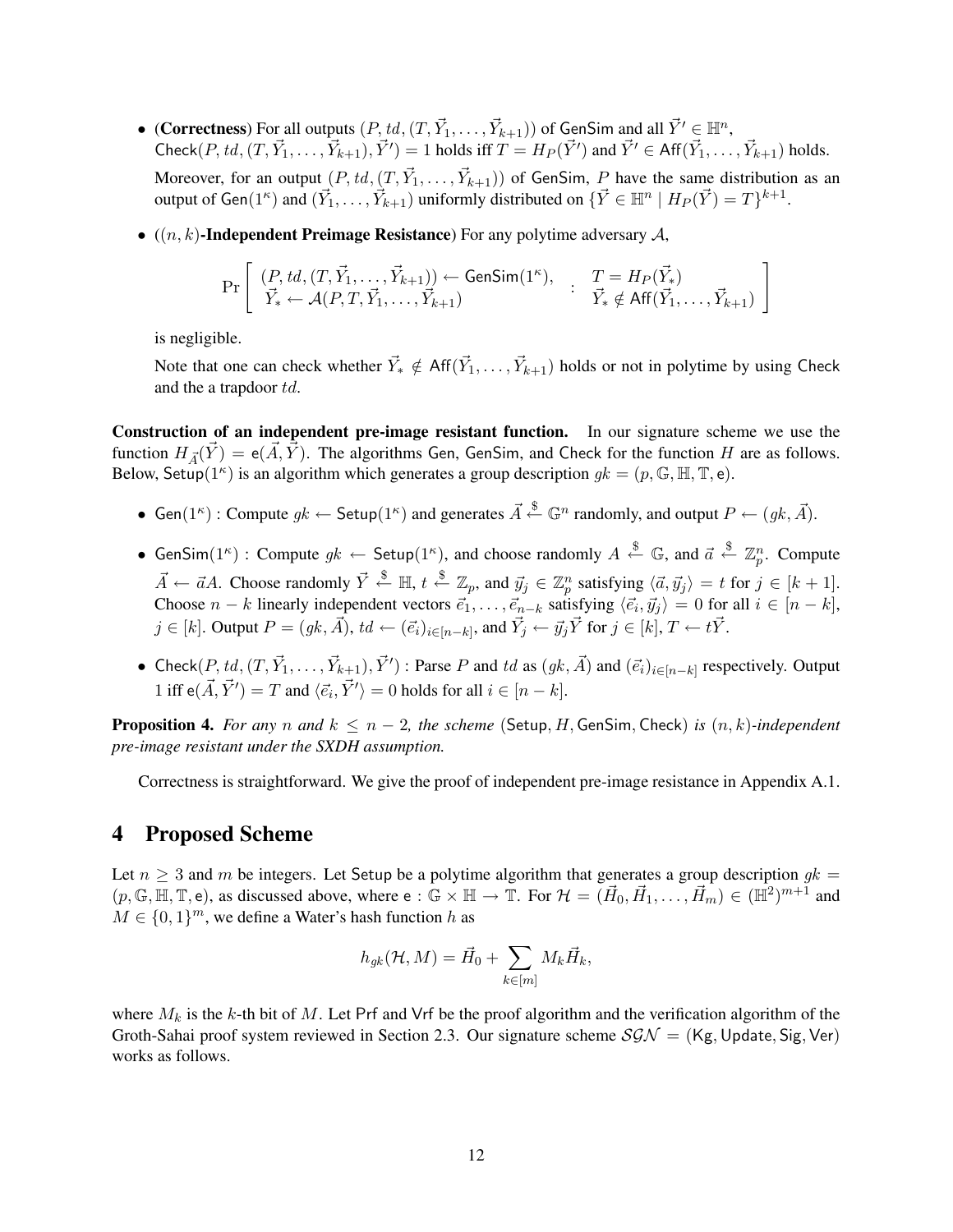- (Correctness) For all outputs  $(P, td, (T, \vec{Y}_1, ..., \vec{Y}_{k+1}))$  of GenSim and all  $\vec{Y}' \in \mathbb{H}^n$ , Check $(P, td, (T, \vec{Y}_1, \ldots, \vec{Y}_{k+1}), \vec{Y}') = 1$  holds iff  $T = H_P(\vec{Y}')$  and  $\vec{Y}' \in Aff(\vec{Y}_1, \ldots, \vec{Y}_{k+1})$  holds. Moreover, for an output  $(P, td, (T, \vec{Y}_1, ..., \vec{Y}_{k+1}))$  of GenSim, P have the same distribution as an output of Gen $(1^{\kappa})$  and  $(\vec{Y}_1,\ldots,\vec{Y}_{k+1})$  uniformly distributed on  $\{\vec{Y}} \in \mathbb{H}^n \mid H_P(\vec{Y}) = T\}^{k+1}$ .
- $((n, k)$ -Independent Preimage Resistance) For any polytime adversary A,

$$
\Pr\left[\begin{array}{cc} (P, td, (T, \vec{Y}_1, \dots, \vec{Y}_{k+1})) \leftarrow \text{GenSim}(1^{\kappa}), & T = H_P(\vec{Y}_*)\\ \vec{Y}_* \leftarrow \mathcal{A}(P, T, \vec{Y}_1, \dots, \vec{Y}_{k+1}) & \vec{Y}_* \notin \text{Aff}(\vec{Y}_1, \dots, \vec{Y}_{k+1}) \end{array}\right]
$$

is negligible.

Note that one can check whether  $\vec{Y}_* \notin Aff(\vec{Y}_1,\ldots,\vec{Y}_{k+1})$  holds or not in polytime by using Check and the a trapdoor td.

Construction of an independent pre-image resistant function. In our signature scheme we use the function  $H_{\vec{A}}(\vec{Y}) = e(\vec{A}, \vec{Y})$ . The algorithms Gen, GenSim, and Check for the function H are as follows. Below, Setup( $1^{\kappa}$ ) is an algorithm which generates a group description  $gk = (p, \mathbb{G}, \mathbb{H}, \mathbb{T}, e)$ .

- Gen $(1^{\kappa})$ : Compute  $gk \leftarrow$  Setup $(1^{\kappa})$  and generates  $\vec{A} \stackrel{\$}{\leftarrow} \mathbb{G}^n$  randomly, and output  $P \leftarrow (gk, \vec{A})$ .
- GenSim $(1^{\kappa})$  : Compute  $gk \leftarrow$  Setup $(1^{\kappa})$ , and choose randomly  $A \stackrel{\$}{\leftarrow} \mathbb{G}$ , and  $\vec{a} \stackrel{\$}{\leftarrow} \mathbb{Z}_p^n$ . Compute  $\vec{A} \leftarrow \vec{a}A$ . Choose randomly  $\vec{Y} \stackrel{\$}{\leftarrow} \mathbb{H}$ ,  $t \stackrel{\$}{\leftarrow} \mathbb{Z}_p$ , and  $\vec{y}_j \in \mathbb{Z}_p^n$  satisfying  $\langle \vec{a}, \vec{y}_j \rangle = t$  for  $j \in [k+1]$ . Choose  $n - k$  linearly independent vectors  $\vec{e}_1, \ldots, \vec{e}_{n-k}$  satisfying  $\langle \vec{e}_i, \vec{y}_j \rangle = 0$  for all  $i \in [n - k]$ ,  $j \in [k]$ . Output  $P = (gk, \vec{A}), td \leftarrow (\vec{e_i})_{i \in [n-k]},$  and  $\vec{Y}_j \leftarrow \vec{y}_j \vec{Y}$  for  $j \in [k], T \leftarrow t\vec{Y}$ .
- Check $(P, td, (T, \vec{Y}_1, \ldots, \vec{Y}_{k+1}), \vec{Y}')$ : Parse P and td as  $(gk, \vec{A})$  and  $(\vec{e}_i)_{i \in [n-k]}$  respectively. Output 1 iff  $e(\vec{A}, \vec{Y}') = T$  and  $\langle \vec{e_i}, \vec{Y}' \rangle = 0$  holds for all  $i \in [n-k]$ .

<span id="page-11-1"></span>**Proposition 4.** For any n and  $k \leq n-2$ , the scheme (Setup, H, GenSim, Check) is  $(n, k)$ -independent *pre-image resistant under the SXDH assumption.*

Correctness is straightforward. We give the proof of independent pre-image resistance in Appendix [A.1.](#page-21-1)

# <span id="page-11-0"></span>4 Proposed Scheme

Let  $n \geq 3$  and m be integers. Let Setup be a polytime algorithm that generates a group description  $qk =$  $(p, \mathbb{G}, \mathbb{H}, \mathbb{T}, e)$ , as discussed above, where  $e : \mathbb{G} \times \mathbb{H} \to \mathbb{T}$ . For  $\mathcal{H} = (\vec{H}_0, \vec{H}_1, \dots, \vec{H}_m) \in (\mathbb{H}^2)^{m+1}$  and  $M \in \{0, 1\}^m$ , we define a Water's hash function h as

$$
h_{gk}(\mathcal{H},M) = \vec{H}_0 + \sum_{k \in [m]} M_k \vec{H}_k,
$$

where  $M_k$  is the k-th bit of M. Let Prf and Vrf be the proof algorithm and the verification algorithm of the Groth-Sahai proof system reviewed in Section [2.3.](#page-9-0) Our signature scheme  $SGN = (Kg, Update, Sig, Ver)$ works as follows.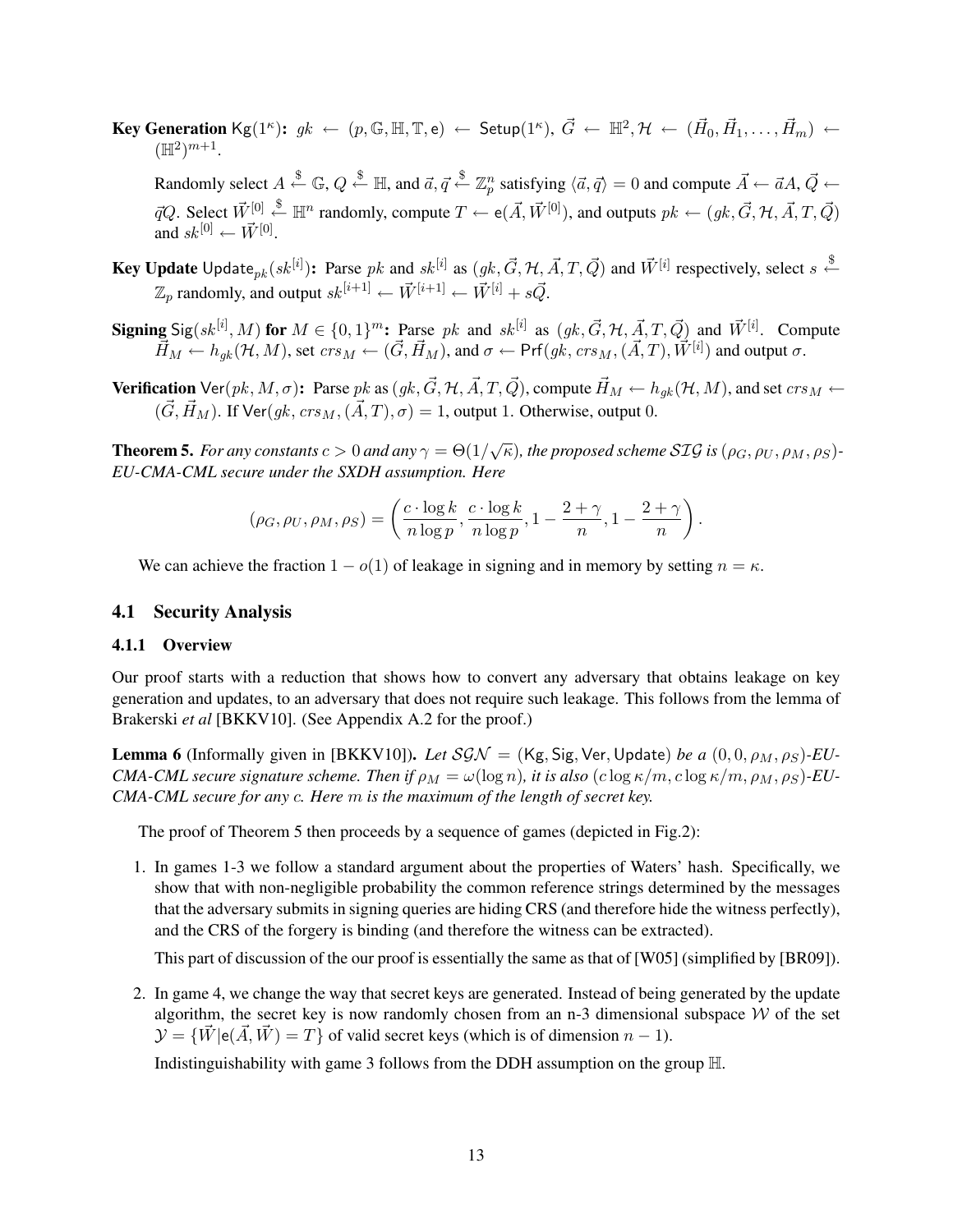${\rm Key~Generation~}$   $\mathsf{Kg}(1^\kappa);~gk~\leftarrow~ (p,\mathbb{G},\mathbb{H},\mathbb{T},\mathsf{e})~\leftarrow~\mathsf{Setup}(1^\kappa),~\vec{G}~\leftarrow~\mathbb{H}^2, \mathcal{H}~\leftarrow~(\vec{H}_0,\vec{H}_1,\ldots,\vec{H}_m)~\leftarrow~$  $(\mathbb{H}^2)^{m+1}$ .

Randomly select  $A \stackrel{\$}{\leftarrow} \mathbb{G}$ ,  $Q \stackrel{\$}{\leftarrow} \mathbb{H}$ , and  $\vec{a}, \vec{q} \stackrel{\$}{\leftarrow} \mathbb{Z}_p^n$  satisfying  $\langle \vec{a}, \vec{q} \rangle = 0$  and compute  $\vec{A} \leftarrow \vec{a}A$ ,  $\vec{Q} \leftarrow$  $\vec{q}Q$ . Select  $\vec{W}^{[0]} \stackrel{\$}{\leftarrow} \mathbb{H}^n$  randomly, compute  $T \leftarrow e(\vec{A}, \vec{W}^{[0]})$ , and outputs  $pk \leftarrow (gk, \vec{G}, \mathcal{H}, \vec{A}, T, \vec{Q})$ and  $sk^{[0]} \leftarrow \vec{W}^{[0]}$ .

- Key Update Update $_{pk}(sk^{[i]})$ : Parse  $pk$  and  $sk^{[i]}$  as  $(gk, \vec{G}, \mathcal{H}, \vec{A}, T, \vec{Q})$  and  $\vec{W}^{[i]}$  respectively, select  $s \stackrel{\$}{\leftarrow}$  $\mathbb{Z}_p$  randomly, and output  $sk^{[i+1]} \leftarrow \vec{W}^{[i+1]} \leftarrow \vec{W}^{[i]} + s\vec{Q}$ .
- Signing  $Sig(sk^{[i]}, M)$  for  $M \in \{0, 1\}^m$ : Parse pk and  $sk^{[i]}$  as  $(gk, \vec{G}, \mathcal{H}, \vec{A}, T, \vec{Q})$  and  $\vec{W}^{[i]}$ . Compute  $\vec{H}_M \leftarrow h_{gk}(\mathcal{H},M)$ , set  $crs_M \leftarrow (\vec{G}, \vec{H}_M)$ , and  $\sigma \leftarrow Prf(gk, crs_M, (\vec{A}, T), \vec{W}^{[i]})$  and output  $\sigma$ .
- **Verification** Ver( $pk, M, \sigma$ ): Parse  $pk$  as ( $gk, \vec{G}, \mathcal{H}, \vec{A}, T, \vec{Q}$ ), compute  $\vec{H}_M \leftarrow h_{qk}(\mathcal{H}, M)$ , and set  $crs_M \leftarrow$  $(\vec{G}, \vec{H}_M)$ . If Ver $(gk, crs_M, (\vec{A}, T), \sigma) = 1$ , output 1. Otherwise, output 0.

<span id="page-12-3"></span>**Theorem 5.** For any constants  $c > 0$  and any  $\gamma = \Theta(1/\sqrt{\kappa})$ , the proposed scheme SIG is  $(\rho_G, \rho_U, \rho_M, \rho_S)$ -*EU-CMA-CML secure under the SXDH assumption. Here*

$$
(\rho_G, \rho_U, \rho_M, \rho_S) = \left(\frac{c \cdot \log k}{n \log p}, \frac{c \cdot \log k}{n \log p}, 1 - \frac{2 + \gamma}{n}, 1 - \frac{2 + \gamma}{n}\right).
$$

We can achieve the fraction  $1 - o(1)$  of leakage in signing and in memory by setting  $n = \kappa$ .

#### <span id="page-12-0"></span>4.1 Security Analysis

#### <span id="page-12-1"></span>4.1.1 Overview

Our proof starts with a reduction that shows how to convert any adversary that obtains leakage on key generation and updates, to an adversary that does not require such leakage. This follows from the lemma of Brakerski *et al* [\[BKKV10\]](#page-19-9). (See Appendix [A.2](#page-22-0) for the proof.)

<span id="page-12-2"></span>**Lemma 6** (Informally given in [\[BKKV10\]](#page-19-9)). Let  $\mathcal{SGN} = (Kg, Sig, Ver, Update)$  *be a*  $(0, 0, \rho_M, \rho_S)$ -*EU*-*CMA-CML secure signature scheme. Then if*  $\rho_M = \omega(\log n)$ , *it is also*  $(c \log \kappa/m, c \log \kappa/m, \rho_M, \rho_S)$ -*EU*-*CMA-CML secure for any* c*. Here* m *is the maximum of the length of secret key.*

The proof of Theorem [5](#page-12-3) then proceeds by a sequence of games (depicted in Fig[.2\)](#page-13-1):

1. In games 1-3 we follow a standard argument about the properties of Waters' hash. Specifically, we show that with non-negligible probability the common reference strings determined by the messages that the adversary submits in signing queries are hiding CRS (and therefore hide the witness perfectly), and the CRS of the forgery is binding (and therefore the witness can be extracted).

This part of discussion of the our proof is essentially the same as that of [\[W05\]](#page-20-11) (simplified by [\[BR09\]](#page-18-4)).

2. In game 4, we change the way that secret keys are generated. Instead of being generated by the update algorithm, the secret key is now randomly chosen from an n-3 dimensional subspace  $W$  of the set  $\mathcal{Y} = \{\vec{W} | \mathsf{e}(\vec{A}, \vec{W}) = T\}$  of valid secret keys (which is of dimension  $n - 1$ ).

Indistinguishability with game 3 follows from the DDH assumption on the group H.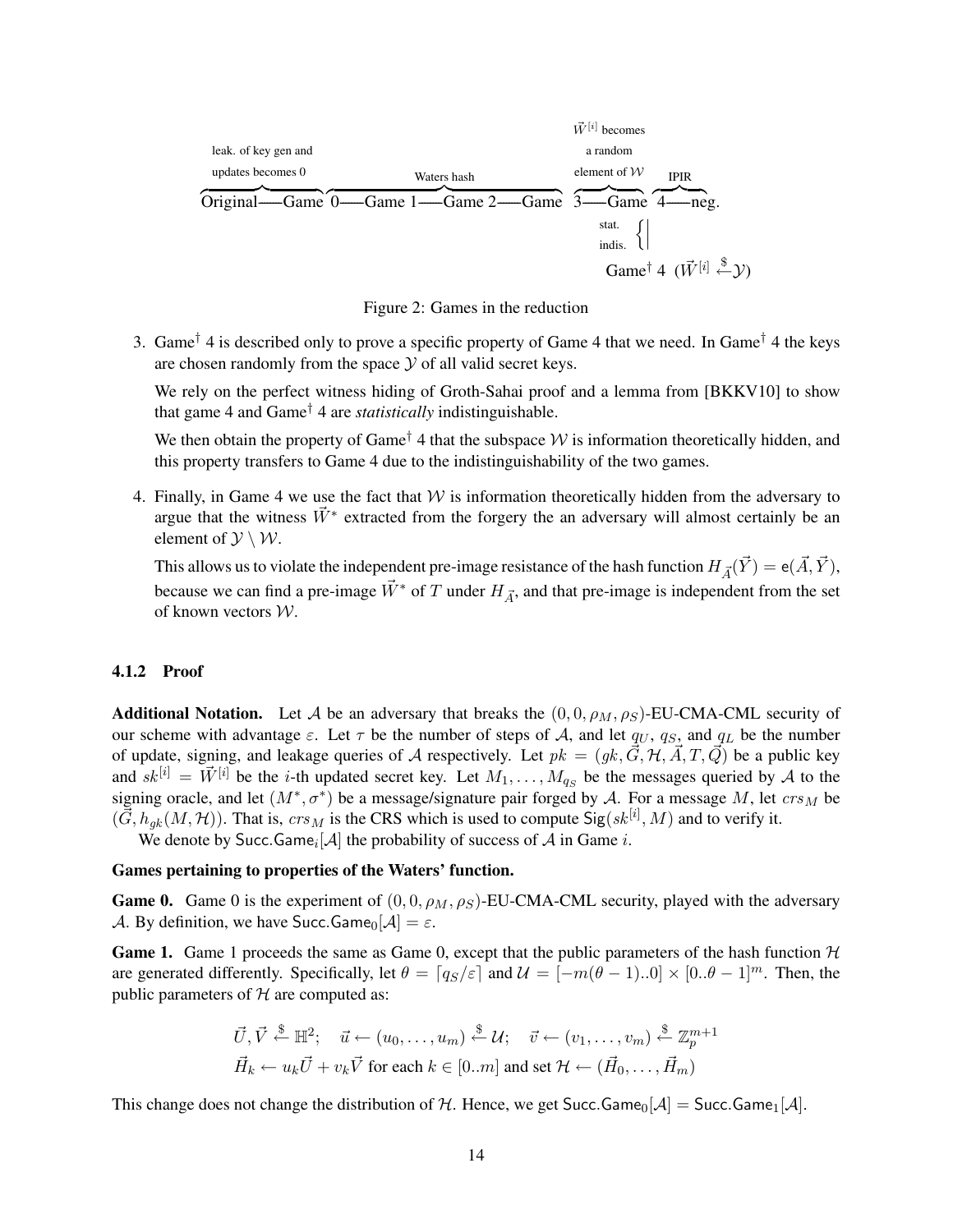|                      |                                                  | $\vec{W}^{[i]}$ becomes                                             |
|----------------------|--------------------------------------------------|---------------------------------------------------------------------|
| leak. of key gen and |                                                  | a random                                                            |
| updates becomes 0    | Waters hash                                      | element of $W$<br><b>IPIR</b>                                       |
|                      | Original—Game 0—Game 1—Game 2—Game 3—Game 4—neg. |                                                                     |
|                      |                                                  | stat.                                                               |
|                      |                                                  | indis.                                                              |
|                      |                                                  | Game <sup>†</sup> 4 ( $\vec{W}^{[i]} \stackrel{\$}{\leftarrow} Y$ ) |

<span id="page-13-1"></span>Figure 2: Games in the reduction

3. Game<sup> $\dagger$ </sup> 4 is described only to prove a specific property of Game 4 that we need. In Game<sup> $\dagger$ </sup> 4 the keys are chosen randomly from the space  $\mathcal Y$  of all valid secret keys.

We rely on the perfect witness hiding of Groth-Sahai proof and a lemma from [\[BKKV10\]](#page-19-9) to show that game 4 and Game† 4 are *statistically* indistinguishable.

We then obtain the property of Game<sup>†</sup> 4 that the subspace  $W$  is information theoretically hidden, and this property transfers to Game 4 due to the indistinguishability of the two games.

4. Finally, in Game 4 we use the fact that  $W$  is information theoretically hidden from the adversary to argue that the witness  $\vec{W}^*$  extracted from the forgery the an adversary will almost certainly be an element of  $\mathcal{Y} \setminus \mathcal{W}$ .

This allows us to violate the independent pre-image resistance of the hash function  $H_{\vec{A}}(\vec{Y}) = e(\vec{A}, \vec{Y})$ , because we can find a pre-image  $\vec{W}^*$  of T under  $H_{\vec{A}}$ , and that pre-image is independent from the set of known vectors W.

#### <span id="page-13-0"></span>4.1.2 Proof

**Additional Notation.** Let A be an adversary that breaks the  $(0, 0, \rho_M, \rho_S)$ -EU-CMA-CML security of our scheme with advantage  $\varepsilon$ . Let  $\tau$  be the number of steps of A, and let  $q_U$ ,  $q_S$ , and  $q_L$  be the number of update, signing, and leakage queries of A respectively. Let  $pk = (gk, \vec{G}, \mathcal{H}, \vec{A}, T, \vec{Q})$  be a public key and  $sk^{[i]} = \vec{W}^{[i]}$  be the *i*-th updated secret key. Let  $M_1, \ldots, M_{q_S}$  be the messages queried by A to the signing oracle, and let  $(M^*, \sigma^*)$  be a message/signature pair forged by A. For a message M, let  $crs_M$  be  $(\vec{G}, h_{gk}(M, \mathcal{H}))$ . That is,  $crs_M$  is the CRS which is used to compute Sig(sk<sup>[i]</sup>, M) and to verify it.

We denote by Succ.Game<sub>i</sub> $[\mathcal{A}]$  the probability of success of  $\mathcal{A}$  in Game *i*.

#### Games pertaining to properties of the Waters' function.

Game 0. Game 0 is the experiment of  $(0, 0, \rho_M, \rho_S)$ -EU-CMA-CML security, played with the adversary A. By definition, we have Succ.Game<sub>0</sub>[A] =  $\varepsilon$ .

**Game 1.** Game 1 proceeds the same as Game 0, except that the public parameters of the hash function  $H$ are generated differently. Specifically, let  $\theta = [q_S/\varepsilon]$  and  $\mathcal{U} = [-m(\theta - 1)...0] \times [0..\theta - 1]^m$ . Then, the public parameters of  $H$  are computed as:

$$
\vec{U}, \vec{V} \stackrel{\$}{\leftarrow} \mathbb{H}^2; \quad \vec{u} \leftarrow (u_0, \dots, u_m) \stackrel{\$}{\leftarrow} \mathcal{U}; \quad \vec{v} \leftarrow (v_1, \dots, v_m) \stackrel{\$}{\leftarrow} \mathbb{Z}_p^{m+1}
$$
\n
$$
\vec{H}_k \leftarrow u_k \vec{U} + v_k \vec{V} \text{ for each } k \in [0..m] \text{ and set } \mathcal{H} \leftarrow (\vec{H}_0, \dots, \vec{H}_m)
$$

This change does not change the distribution of H. Hence, we get Succ.Game<sub>0</sub>[A] = Succ.Game<sub>1</sub>[A].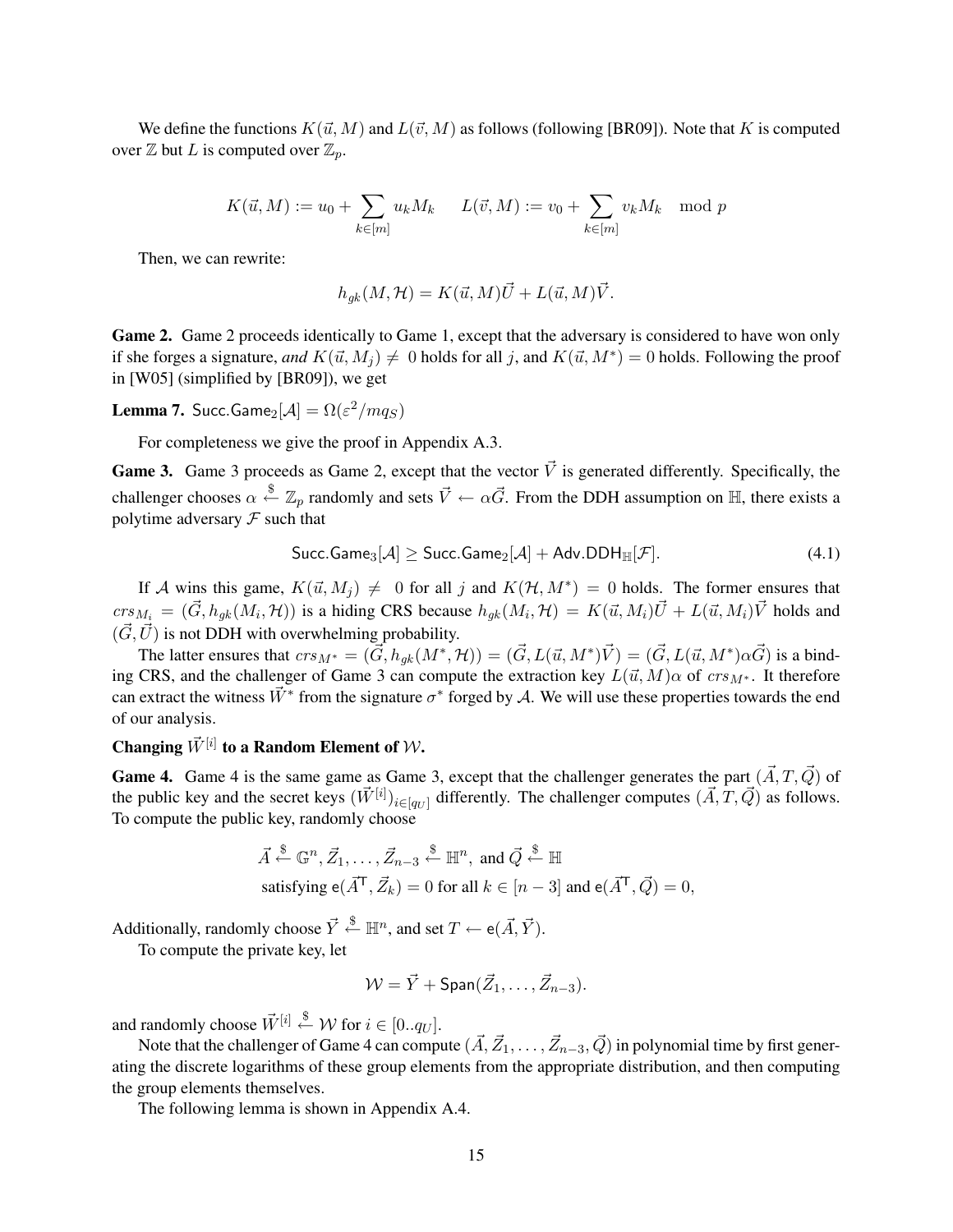We define the functions  $K(\vec{u}, M)$  and  $L(\vec{v}, M)$  as follows (following [\[BR09\]](#page-18-4)). Note that K is computed over  $\mathbb Z$  but L is computed over  $\mathbb Z_p$ .

$$
K(\vec{u},M):=u_0+\sum_{k\in[m]}u_kM_k\quad \ \ L(\vec{v},M):=v_0+\sum_{k\in[m]}v_kM_k\mod p
$$

Then, we can rewrite:

$$
h_{gk}(M,\mathcal{H})=K(\vec{u},M)\vec{U}+L(\vec{u},M)\vec{V}.
$$

Game 2. Game 2 proceeds identically to Game 1, except that the adversary is considered to have won only if she forges a signature, *and*  $K(\vec{u}, M_j) \neq 0$  holds for all j, and  $K(\vec{u}, M^*) = 0$  holds. Following the proof in [\[W05\]](#page-20-11) (simplified by [\[BR09\]](#page-18-4)), we get

<span id="page-14-0"></span>**Lemma 7.** Succ.Game $_2[\mathcal{A}] = \Omega(\varepsilon^2/mq_S)$ 

For completeness we give the proof in Appendix [A.3.](#page-25-0)

**Game 3.** Game 3 proceeds as Game 2, except that the vector  $\vec{V}$  is generated differently. Specifically, the challenger chooses  $\alpha \stackrel{\$}{\leftarrow} \mathbb{Z}_p$  randomly and sets  $\vec{V} \leftarrow \alpha \vec{G}$ . From the DDH assumption on  $\mathbb{H}$ , there exists a polytime adversary  $\mathcal F$  such that

$$
\text{Succ.Game}_3[\mathcal{A}] \ge \text{Succ.Game}_2[\mathcal{A}] + \text{Adv.DDH}_{\mathbb{H}}[\mathcal{F}]. \tag{4.1}
$$

If A wins this game,  $K(\vec{u}, M_j) \neq 0$  for all j and  $K(\mathcal{H}, M^*) = 0$  holds. The former ensures that  $crs_{M_i} = (\vec{G}, h_{gk}(M_i, \mathcal{H}))$  is a hiding CRS because  $h_{gk}(M_i, \mathcal{H}) = K(\vec{u}, M_i)\vec{U} + L(\vec{u}, M_i)\vec{V}$  holds and  $(\vec{G}, \vec{U})$  is not DDH with overwhelming probability.

The latter ensures that  $crs_{M^*} = (\vec{G}, h_{gk}(M^*, \mathcal{H})) = (\vec{G}, L(\vec{u}, M^*)\vec{V}) = (\vec{G}, L(\vec{u}, M^*)\alpha\vec{G})$  is a binding CRS, and the challenger of Game 3 can compute the extraction key  $L(\vec{u}, M)\alpha$  of  $crs_{M^*}$ . It therefore can extract the witness  $\vec{W}^*$  from the signature  $\sigma^*$  forged by A. We will use these properties towards the end of our analysis.

# Changing  $\vec{W}^{[i]}$  to a Random Element of  $\mathcal{W}.$

**Game 4.** Game 4 is the same game as Game 3, except that the challenger generates the part  $(\vec{A}, T, \vec{Q})$  of the public key and the secret keys  $(\vec{W}^{[i]})_{i \in [q_U]}$  differently. The challenger computes  $(\vec{A}, \vec{T}, \vec{Q})$  as follows. To compute the public key, randomly choose

$$
\vec{A} \stackrel{\$}{\leftarrow} \mathbb{G}^n, \vec{Z}_1, \dots, \vec{Z}_{n-3} \stackrel{\$}{\leftarrow} \mathbb{H}^n, \text{ and } \vec{Q} \stackrel{\$}{\leftarrow} \mathbb{H}
$$
  
satisfying  $e(\vec{A}^T, \vec{Z}_k) = 0$  for all  $k \in [n-3]$  and  $e(\vec{A}^T, \vec{Q}) = 0$ ,

Additionally, randomly choose  $\vec{Y} \stackrel{\$}{\leftarrow} \mathbb{H}^n$ , and set  $T \leftarrow e(\vec{A}, \vec{Y})$ .

To compute the private key, let

$$
\mathcal{W} = \vec{Y} + \mathsf{Span}(\vec{Z}_1, \dots, \vec{Z}_{n-3}).
$$

and randomly choose  $\vec{W}^{[i]} \overset{\$}{\leftarrow} \mathcal{W}$  for  $i \in [0..q_U]$ .

Note that the challenger of Game 4 can compute  $(\vec{A}, \vec{Z}_1, \ldots, \vec{Z}_{n-3}, \vec{Q})$  in polynomial time by first generating the discrete logarithms of these group elements from the appropriate distribution, and then computing the group elements themselves.

<span id="page-14-1"></span>The following lemma is shown in Appendix [A.4.](#page-26-0)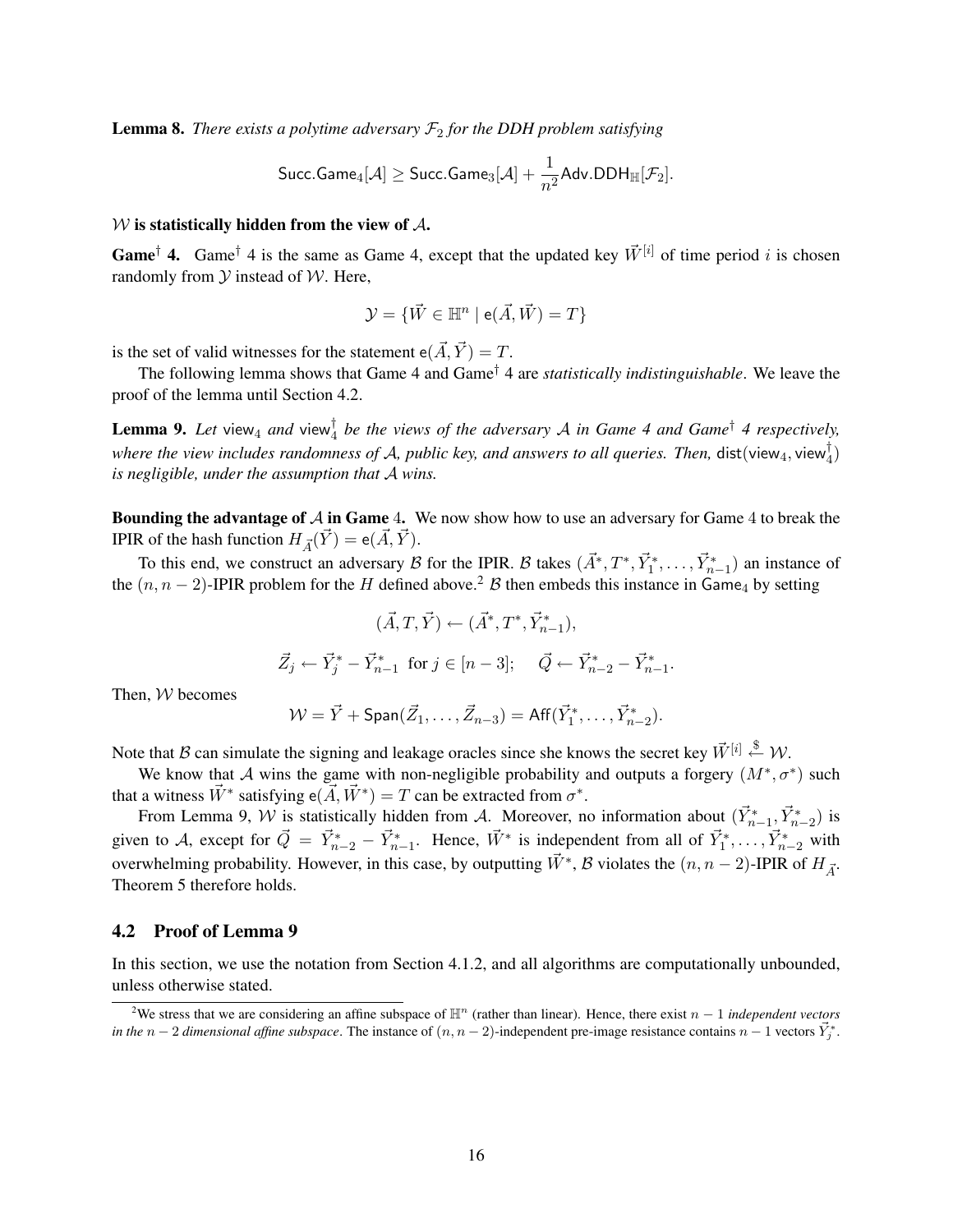**Lemma 8.** *There exists a polytime adversary*  $\mathcal{F}_2$  *for the DDH problem satisfying* 

$$
\mathsf{Succ}.\mathsf{Game}_4[\mathcal{A}]\geq \mathsf{Succ}.\mathsf{Game}_3[\mathcal{A}]+\frac{1}{n^2}\mathsf{Adv}.\mathsf{DDH}_{\mathbb{H}}[\mathcal{F}_2].
$$

#### $W$  is statistically hidden from the view of  $A$ .

**Game<sup>†</sup> 4.** Game<sup>†</sup> 4 is the same as Game 4, except that the updated key  $\vec{W}^{[i]}$  of time period i is chosen randomly from  $Y$  instead of  $W$ . Here,

$$
\mathcal{Y} = \{ \vec{W} \in \mathbb{H}^n \mid e(\vec{A}, \vec{W}) = T \}
$$

is the set of valid witnesses for the statement  $e(\vec{A}, \vec{Y}) = T$ .

The following lemma shows that Game 4 and Game† 4 are *statistically indistinguishable*. We leave the proof of the lemma until Section [4.2.](#page-15-0)

<span id="page-15-1"></span>**Lemma 9.** Let view<sub>4</sub> and view<sup>†</sup> be the views of the adversary A in Game 4 and Game<sup>†</sup> 4 respectively, where the view includes randomness of A, public key, and answers to all queries. Then,  ${\sf dist}({\sf view}_4,{\sf view}_4^\dagger)$ *is negligible, under the assumption that* A *wins.*

**Bounding the advantage of**  $A$  **in Game 4.** We now show how to use an adversary for Game 4 to break the IPIR of the hash function  $H_{\vec{A}}(\vec{Y}) = e(\vec{A}, \vec{Y})$ .

To this end, we construct an adversary B for the IPIR. B takes  $(\vec{A}^*, T^*, \vec{Y}_1^*, \dots, \vec{Y}_{n-1}^*)$  an instance of the  $(n, n-2)$  $(n, n-2)$  $(n, n-2)$ -IPIR problem for the H defined above.<sup>2</sup> B then embeds this instance in Game<sub>4</sub> by setting

$$
(\vec{A}, T, \vec{Y}) \leftarrow (\vec{A}^*, T^*, \vec{Y}_{n-1}^*),
$$
  

$$
\vec{Z}_j \leftarrow \vec{Y}_j^* - \vec{Y}_{n-1}^* \text{ for } j \in [n-3]; \quad \vec{Q} \leftarrow \vec{Y}_{n-2}^* - \vec{Y}_{n-1}^*.
$$

Then, W becomes

 $\mathcal{W} = \vec{Y} + {\sf Span}(\vec{Z}_1, \ldots, \vec{Z}_{n-3}) = {\sf Aff}(\vec{Y}_1^*, \ldots, \vec{Y}_{n-2}^*).$ 

Note that B can simulate the signing and leakage oracles since she knows the secret key  $\vec{W}^{[i]} \stackrel{\$}{\leftarrow} \mathcal{W}$ .

We know that A wins the game with non-negligible probability and outputs a forgery  $(M^*, \sigma^*)$  such that a witness  $\vec{W}^*$  satisfying  $e(\vec{A}, \vec{W}^*) = T$  can be extracted from  $\sigma^*$ .

From Lemma [9,](#page-15-1) W is statistically hidden from A. Moreover, no information about  $(\vec{Y}_{n-1}^*, \vec{Y}_{n-2}^*)$  is given to A, except for  $\vec{Q} = \vec{Y}_{n-2}^* - \vec{Y}_{n-1}^*$ . Hence,  $\vec{W}^*$  is independent from all of  $\vec{Y}_1^*, \ldots, \vec{Y}_{n-2}^*$  with overwhelming probability. However, in this case, by outputting  $\vec{W}^*$ ,  $\mathcal B$  violates the  $(n, n-2)$ -IPIR of  $H_{\vec{A}}$ . Theorem [5](#page-12-3) therefore holds.

#### <span id="page-15-0"></span>4.2 Proof of Lemma [9](#page-15-1)

In this section, we use the notation from Section [4.1.2,](#page-13-0) and all algorithms are computationally unbounded, unless otherwise stated.

<span id="page-15-2"></span><sup>&</sup>lt;sup>2</sup>We stress that we are considering an affine subspace of  $\mathbb{H}^n$  (rather than linear). Hence, there exist  $n-1$  *independent vectors in the*  $n-2$  *dimensional affine subspace*. The instance of  $(n, n-2)$ -independent pre-image resistance contains  $n-1$  vectors  $\vec{Y}_j^*$ .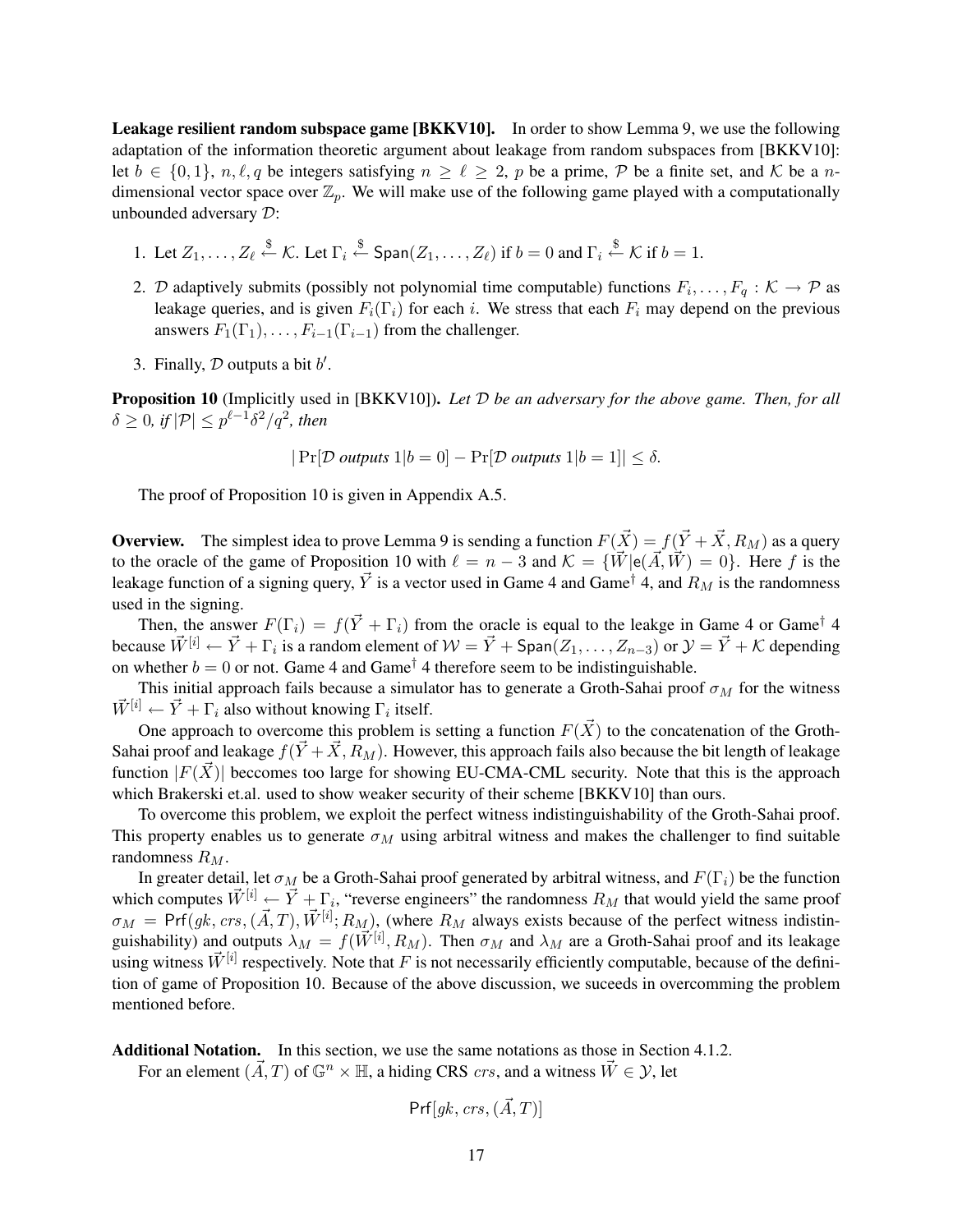Leakage resilient random subspace game [\[BKKV10\]](#page-19-9). In order to show Lemma [9,](#page-15-1) we use the following adaptation of the information theoretic argument about leakage from random subspaces from [\[BKKV10\]](#page-19-9): let  $b \in \{0, 1\}, n, \ell, q$  be integers satisfying  $n \geq \ell \geq 2$ , p be a prime, P be a finite set, and K be a ndimensional vector space over  $\mathbb{Z}_p$ . We will make use of the following game played with a computationally unbounded adversary D:

- 1. Let  $Z_1, \ldots, Z_\ell \stackrel{\$}{\leftarrow} \mathcal{K}$ . Let  $\Gamma_i \stackrel{\$}{\leftarrow}$  Span $(Z_1, \ldots, Z_\ell)$  if  $b = 0$  and  $\Gamma_i \stackrel{\$}{\leftarrow} \mathcal{K}$  if  $b = 1$ .
- 2. D adaptively submits (possibly not polynomial time computable) functions  $F_i, \ldots, F_q : \mathcal{K} \to \mathcal{P}$  as leakage queries, and is given  $F_i(\Gamma_i)$  for each i. We stress that each  $F_i$  may depend on the previous answers  $F_1(\Gamma_1), \ldots, F_{i-1}(\Gamma_{i-1})$  from the challenger.
- 3. Finally,  $D$  outputs a bit  $b'$ .

<span id="page-16-0"></span>Proposition 10 (Implicitly used in [\[BKKV10\]](#page-19-9)). *Let* D *be an adversary for the above game. Then, for all*  $\delta \geq 0$ , if  $|\mathcal{P}| \leq p^{\ell-1} \delta^2/q^2$ , then

$$
|\Pr[\mathcal{D} \text{ outputs } 1 | b = 0] - \Pr[\mathcal{D} \text{ outputs } 1 | b = 1]| \le \delta.
$$

The proof of Proposition [10](#page-16-0) is given in Appendix [A.5.](#page-28-0)

**Overview.** The simplest idea to prove Lemma [9](#page-15-1) is sending a function  $F(\vec{X}) = f(\vec{Y} + \vec{X}, R_M)$  as a query to the oracle of the game of Proposition [10](#page-16-0) with  $\ell = n - 3$  and  $\mathcal{K} = \{W | e(\vec{A}, \vec{W}) = 0\}$ . Here f is the leakage function of a signing query,  $\vec{Y}$  is a vector used in Game 4 and Game<sup>†</sup> 4, and  $R_M$  is the randomness used in the signing.

Then, the answer  $F(\Gamma_i) = f(\vec{Y} + \Gamma_i)$  from the oracle is equal to the leakge in Game 4 or Game<sup>†</sup> 4 because  $\vec{W}^{[i]} \leftarrow \vec{Y} + \Gamma_i$  is a random element of  $\mathcal{W} = \vec{Y} + \mathsf{Span}(Z_1, \dots, Z_{n-3})$  or  $\mathcal{Y} = \vec{Y} + \mathcal{K}$  depending on whether  $b = 0$  or not. Game 4 and Game<sup>†</sup> 4 therefore seem to be indistinguishable.

This initial approach fails because a simulator has to generate a Groth-Sahai proof  $\sigma_M$  for the witness  $\vec{W}^{[i]} \leftarrow \vec{Y} + \Gamma_i$  also without knowing  $\Gamma_i$  itself.

One approach to overcome this problem is setting a function  $F(\vec{X})$  to the concatenation of the Groth-Sahai proof and leakage  $f(\vec{Y} + \vec{X}, R_M)$ . However, this approach fails also because the bit length of leakage function  $|F(\vec{X})|$  beccomes too large for showing EU-CMA-CML security. Note that this is the approach which Brakerski et.al. used to show weaker security of their scheme [\[BKKV10\]](#page-19-9) than ours.

To overcome this problem, we exploit the perfect witness indistinguishability of the Groth-Sahai proof. This property enables us to generate  $\sigma_M$  using arbitral witness and makes the challenger to find suitable randomness  $R_M$ .

In greater detail, let  $\sigma_M$  be a Groth-Sahai proof generated by arbitral witness, and  $F(\Gamma_i)$  be the function which computes  $\vec{W}^{[i]} \leftarrow \vec{Y} + \Gamma_i$ , "reverse engineers" the randomness  $R_M$  that would yield the same proof  $\sigma_M$  = Prf $(gk, crs, (\vec{A}, T), \vec{W}^{[i]}; R_M)$ , (where  $R_M$  always exists because of the perfect witness indistinguishability) and outputs  $\lambda_M = f(\vec{W}^{[i]}, R_M)$ . Then  $\sigma_M$  and  $\lambda_M$  are a Groth-Sahai proof and its leakage using witness  $\vec{W}^{[i]}$  respectively. Note that F is not necessarily efficiently computable, because of the definition of game of Proposition [10.](#page-16-0) Because of the above discussion, we suceeds in overcomming the problem mentioned before.

Additional Notation. In this section, we use the same notations as those in Section [4.1.2.](#page-13-0)

For an element  $(\vec{A}, T)$  of  $\mathbb{G}^n \times \mathbb{H}$ , a hiding CRS *crs*, and a witness  $\vec{W} \in \mathcal{Y}$ , let

$$
\Pr[gk, crs, (\vec{A}, T)]
$$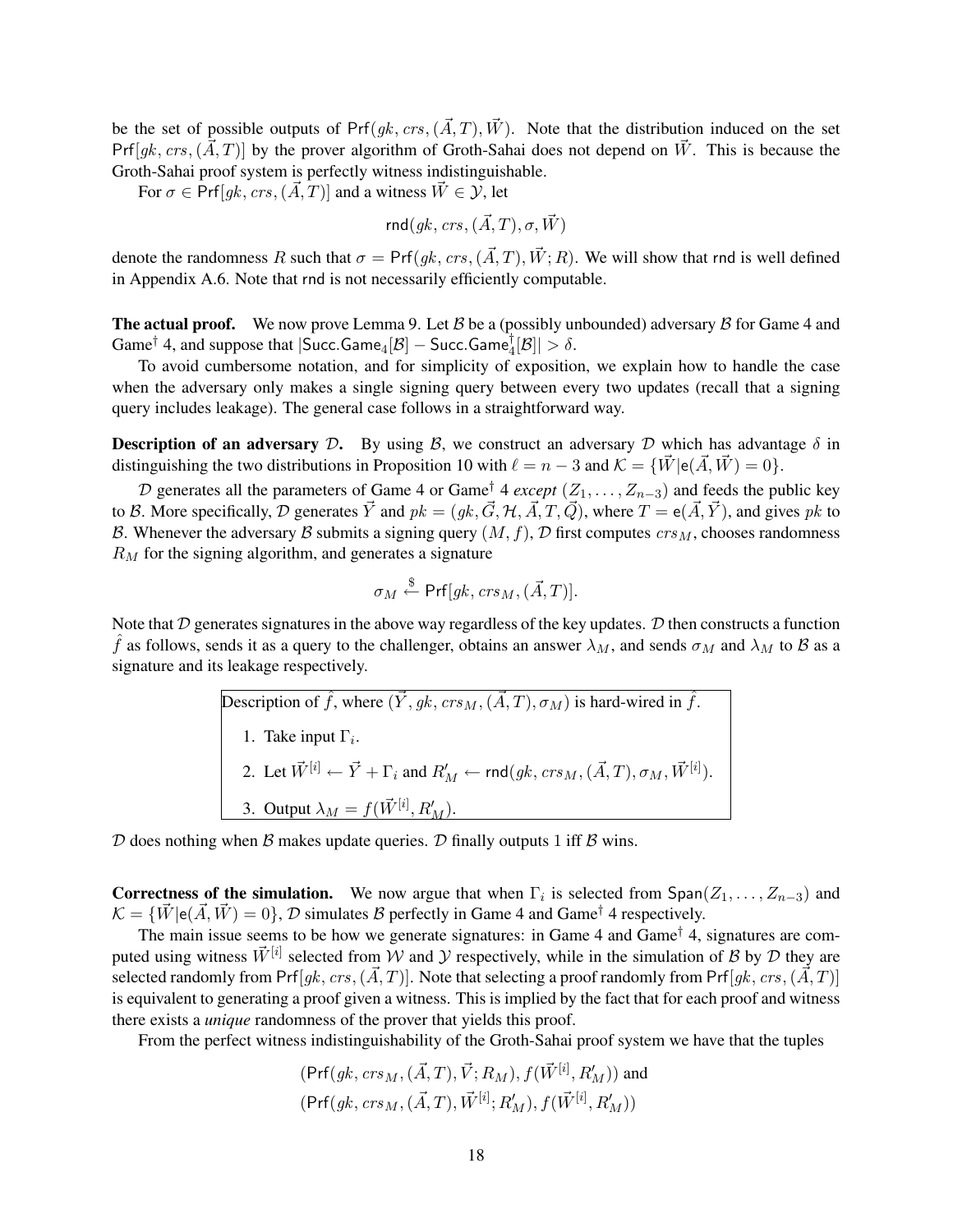be the set of possible outputs of  $Pr(f(qk, crs, (\vec{A}, T), \vec{W})$ . Note that the distribution induced on the set  $Pr[f]gk, crs, (\vec{A}, T)]$  by the prover algorithm of Groth-Sahai does not depend on  $\vec{W}$ . This is because the Groth-Sahai proof system is perfectly witness indistinguishable.

For  $\sigma \in Prf[gk, crs, (\overline{A}, T)]$  and a witness  $\overline{W} \in \mathcal{Y}$ , let

rnd(gk, crs,  $(\vec{A}, T), \sigma, \vec{W}$ )

denote the randomness R such that  $\sigma = Prf(qk, crs, (\vec{A}, T), \vec{W}; R)$ . We will show that rnd is well defined in Appendix [A.6.](#page-29-0) Note that rnd is not necessarily efficiently computable.

The actual proof. We now prove Lemma [9.](#page-15-1) Let  $B$  be a (possibly unbounded) adversary  $B$  for Game 4 and Game<sup>†</sup> 4, and suppose that  $|\tilde{\text{Succ}}$  Game<sub>4</sub> $[\mathcal{B}]$  – Succ.Game $\frac{1}{4}[\mathcal{B}] > \delta$ .

To avoid cumbersome notation, and for simplicity of exposition, we explain how to handle the case when the adversary only makes a single signing query between every two updates (recall that a signing query includes leakage). The general case follows in a straightforward way.

**Description of an adversary D.** By using B, we construct an adversary D which has advantage  $\delta$  in distinguishing the two distributions in Proposition [10](#page-16-0) with  $\ell = n - 3$  and  $\mathcal{K} = \{\vec{W} | e(\vec{A}, \vec{W}) = 0\}.$ 

D generates all the parameters of Game 4 or Game<sup>†</sup> 4 *except*  $(Z_1, \ldots, Z_{n-3})$  and feeds the public key to B. More specifically, D generates  $\vec{Y}$  and  $pk = (gk, \vec{G}, H, \vec{A}, T, \vec{Q})$ , where  $T = e(\vec{A}, \vec{Y})$ , and gives pk to B. Whenever the adversary B submits a signing query  $(M, f)$ , D first computes  $crs<sub>M</sub>$ , chooses randomness  $R_M$  for the signing algorithm, and generates a signature

$$
\sigma_M \stackrel{\$}{\leftarrow} \Pr[f]gk, crs_M, (\vec{A}, T)].
$$

Note that  $D$  generates signatures in the above way regardless of the key updates.  $D$  then constructs a function f as follows, sends it as a query to the challenger, obtains an answer  $\lambda_M$ , and sends  $\sigma_M$  and  $\lambda_M$  to B as a signature and its leakage respectively.

> Description of  $\hat{f}$ , where  $(\vec{Y}, gk, crs<sub>M</sub>, (\vec{A}, T), \sigma<sub>M</sub>)$  is hard-wired in  $\hat{f}$ . 1. Take input  $\Gamma_i$ . 2. Let  $\vec{W}^{[i]} \leftarrow \vec{Y} + \Gamma_i$  and  $R'_M \leftarrow \text{rnd}(gk, crs_M, (\vec{A}, T), \sigma_M, \vec{W}^{[i]})$ . 3. Output  $\lambda_M = f(\vec{W}^{[i]}, R'_M)$ .

 $D$  does nothing when  $B$  makes update queries.  $D$  finally outputs 1 iff  $B$  wins.

**Correctness of the simulation.** We now argue that when  $\Gamma_i$  is selected from  $\text{Span}(Z_1, \ldots, Z_{n-3})$  and  $\mathcal{K} = \{\overrightarrow{W} | \overrightarrow{e}(\overrightarrow{A}, \overrightarrow{W}) = 0\}$ ,  $\mathcal{D}$  simulates  $\mathcal{B}$  perfectly in Game 4 and Game<sup>†</sup> 4 respectively.

The main issue seems to be how we generate signatures: in Game 4 and Game† 4, signatures are computed using witness  $\vec{W}^{[i]}$  selected from W and Y respectively, while in the simulation of B by D they are selected randomly from Prf[gk, crs,  $(\vec{A}, T)$ ]. Note that selecting a proof randomly from Prf[gk, crs,  $(\vec{A}, T)$ ] is equivalent to generating a proof given a witness. This is implied by the fact that for each proof and witness there exists a *unique* randomness of the prover that yields this proof.

From the perfect witness indistinguishability of the Groth-Sahai proof system we have that the tuples

$$
(\Pr f(gk, crsM, (\vec{A}, T), \vec{V}; R_M), f(\vec{W}^{[i]}, R'_M)) \text{ and}
$$
  

$$
(\Pr f(gk, crsM, (\vec{A}, T), \vec{W}^{[i]}; R'_M), f(\vec{W}^{[i]}, R'_M))
$$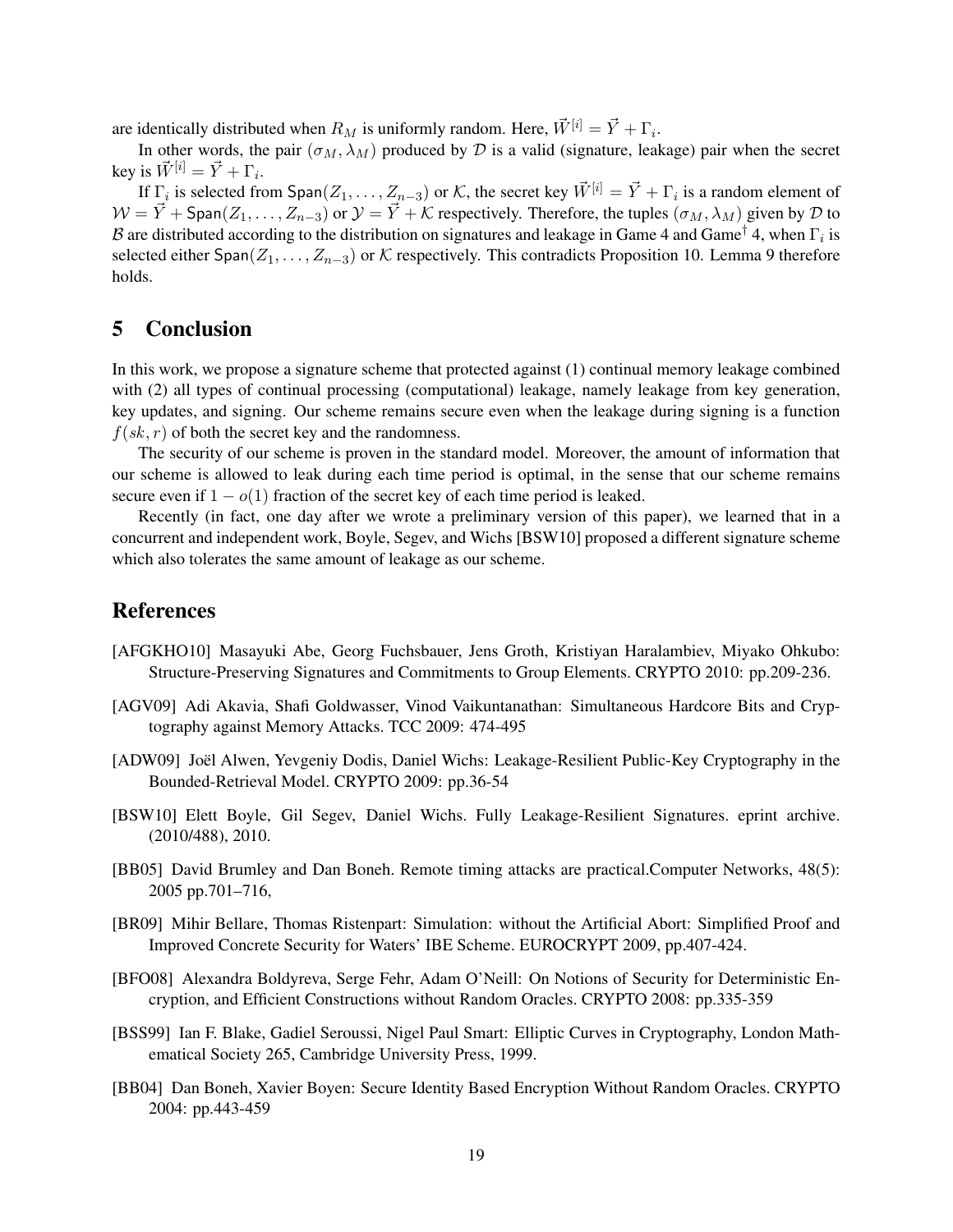are identically distributed when  $R_M$  is uniformly random. Here,  $\vec{W}^{[i]} = \vec{Y} + \Gamma_i$ .

In other words, the pair  $(\sigma_M, \lambda_M)$  produced by D is a valid (signature, leakage) pair when the secret key is  $\vec{W}^{[i]} = \vec{Y} + \Gamma_i$ .

If  $\Gamma_i$  is selected from  $\text{Span}(Z_1,\ldots,Z_{n-3})$  or K, the secret key  $\vec{W}^{[i]} = \vec{Y} + \Gamma_i$  is a random element of  $W = \vec{Y} + \text{Span}(Z_1, \ldots, Z_{n-3})$  or  $\mathcal{Y} = \vec{Y} + \mathcal{K}$  respectively. Therefore, the tuples  $(\sigma_M, \lambda_M)$  given by  $\mathcal D$  to B are distributed according to the distribution on signatures and leakage in Game 4 and Game<sup>†</sup> 4, when  $\Gamma_i$  is selected either Span( $Z_1, \ldots, Z_{n-3}$ ) or K respectively. This contradicts Proposition [10.](#page-16-0) Lemma [9](#page-15-1) therefore holds.

# <span id="page-18-0"></span>5 Conclusion

In this work, we propose a signature scheme that protected against (1) continual memory leakage combined with (2) all types of continual processing (computational) leakage, namely leakage from key generation, key updates, and signing. Our scheme remains secure even when the leakage during signing is a function  $f(sk, r)$  of both the secret key and the randomness.

The security of our scheme is proven in the standard model. Moreover, the amount of information that our scheme is allowed to leak during each time period is optimal, in the sense that our scheme remains secure even if  $1 - o(1)$  fraction of the secret key of each time period is leaked.

Recently (in fact, one day after we wrote a preliminary version of this paper), we learned that in a concurrent and independent work, Boyle, Segev, and Wichs [\[BSW10\]](#page-18-5) proposed a different signature scheme which also tolerates the same amount of leakage as our scheme.

# References

- <span id="page-18-6"></span>[AFGKHO10] Masayuki Abe, Georg Fuchsbauer, Jens Groth, Kristiyan Haralambiev, Miyako Ohkubo: Structure-Preserving Signatures and Commitments to Group Elements. CRYPTO 2010: pp.209-236.
- <span id="page-18-2"></span>[AGV09] Adi Akavia, Shafi Goldwasser, Vinod Vaikuntanathan: Simultaneous Hardcore Bits and Cryptography against Memory Attacks. TCC 2009: 474-495
- <span id="page-18-3"></span>[ADW09] Joël Alwen, Yevgeniy Dodis, Daniel Wichs: Leakage-Resilient Public-Key Cryptography in the Bounded-Retrieval Model. CRYPTO 2009: pp.36-54
- <span id="page-18-5"></span>[BSW10] Elett Boyle, Gil Segev, Daniel Wichs. Fully Leakage-Resilient Signatures. eprint archive. (2010/488), 2010.
- <span id="page-18-1"></span>[BB05] David Brumley and Dan Boneh. Remote timing attacks are practical.Computer Networks, 48(5): 2005 pp.701–716,
- <span id="page-18-4"></span>[BR09] Mihir Bellare, Thomas Ristenpart: Simulation: without the Artificial Abort: Simplified Proof and Improved Concrete Security for Waters' IBE Scheme. EUROCRYPT 2009, pp.407-424.
- <span id="page-18-7"></span>[BFO08] Alexandra Boldyreva, Serge Fehr, Adam O'Neill: On Notions of Security for Deterministic Encryption, and Efficient Constructions without Random Oracles. CRYPTO 2008: pp.335-359
- [BSS99] Ian F. Blake, Gadiel Seroussi, Nigel Paul Smart: Elliptic Curves in Cryptography, London Mathematical Society 265, Cambridge University Press, 1999.
- [BB04] Dan Boneh, Xavier Boyen: Secure Identity Based Encryption Without Random Oracles. CRYPTO 2004: pp.443-459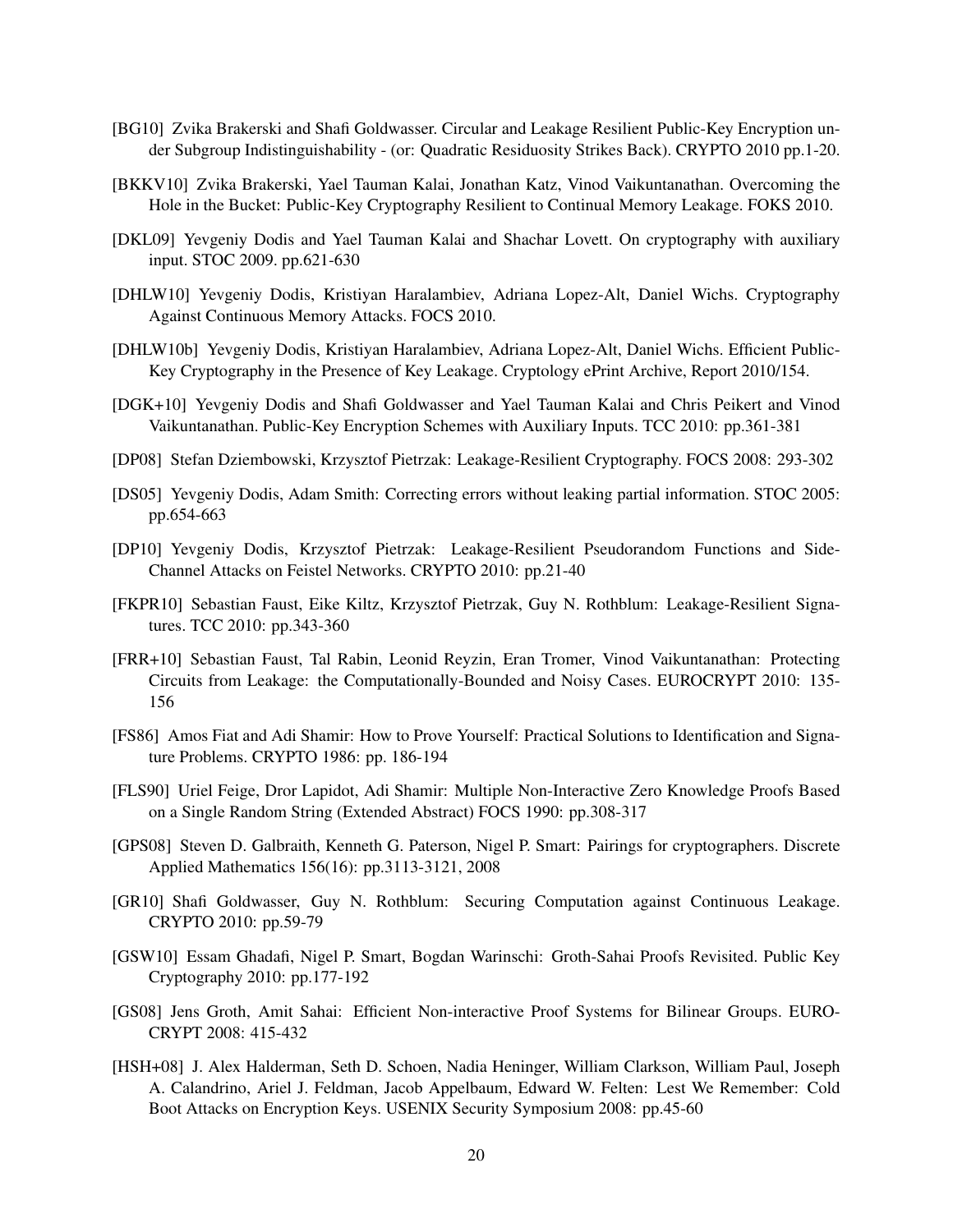- <span id="page-19-5"></span>[BG10] Zvika Brakerski and Shafi Goldwasser. Circular and Leakage Resilient Public-Key Encryption under Subgroup Indistinguishability - (or: Quadratic Residuosity Strikes Back). CRYPTO 2010 pp.1-20.
- <span id="page-19-9"></span>[BKKV10] Zvika Brakerski, Yael Tauman Kalai, Jonathan Katz, Vinod Vaikuntanathan. Overcoming the Hole in the Bucket: Public-Key Cryptography Resilient to Continual Memory Leakage. FOKS 2010.
- <span id="page-19-1"></span>[DKL09] Yevgeniy Dodis and Yael Tauman Kalai and Shachar Lovett. On cryptography with auxiliary input. STOC 2009. pp.621-630
- <span id="page-19-8"></span>[DHLW10] Yevgeniy Dodis, Kristiyan Haralambiev, Adriana Lopez-Alt, Daniel Wichs. Cryptography Against Continuous Memory Attacks. FOCS 2010.
- [DHLW10b] Yevgeniy Dodis, Kristiyan Haralambiev, Adriana Lopez-Alt, Daniel Wichs. Efficient Public-Key Cryptography in the Presence of Key Leakage. Cryptology ePrint Archive, Report 2010/154.
- <span id="page-19-3"></span>[DGK+10] Yevgeniy Dodis and Shafi Goldwasser and Yael Tauman Kalai and Chris Peikert and Vinod Vaikuntanathan. Public-Key Encryption Schemes with Auxiliary Inputs. TCC 2010: pp.361-381
- <span id="page-19-10"></span>[DP08] Stefan Dziembowski, Krzysztof Pietrzak: Leakage-Resilient Cryptography. FOCS 2008: 293-302
- <span id="page-19-15"></span>[DS05] Yevgeniy Dodis, Adam Smith: Correcting errors without leaking partial information. STOC 2005: pp.654-663
- <span id="page-19-6"></span>[DP10] Yevgeniy Dodis, Krzysztof Pietrzak: Leakage-Resilient Pseudorandom Functions and Side-Channel Attacks on Feistel Networks. CRYPTO 2010: pp.21-40
- <span id="page-19-2"></span>[FKPR10] Sebastian Faust, Eike Kiltz, Krzysztof Pietrzak, Guy N. Rothblum: Leakage-Resilient Signatures. TCC 2010: pp.343-360
- <span id="page-19-4"></span>[FRR+10] Sebastian Faust, Tal Rabin, Leonid Reyzin, Eran Tromer, Vinod Vaikuntanathan: Protecting Circuits from Leakage: the Computationally-Bounded and Noisy Cases. EUROCRYPT 2010: 135- 156
- <span id="page-19-11"></span>[FS86] Amos Fiat and Adi Shamir: How to Prove Yourself: Practical Solutions to Identification and Signature Problems. CRYPTO 1986: pp. 186-194
- <span id="page-19-13"></span>[FLS90] Uriel Feige, Dror Lapidot, Adi Shamir: Multiple Non-Interactive Zero Knowledge Proofs Based on a Single Random String (Extended Abstract) FOCS 1990: pp.308-317
- <span id="page-19-14"></span>[GPS08] Steven D. Galbraith, Kenneth G. Paterson, Nigel P. Smart: Pairings for cryptographers. Discrete Applied Mathematics 156(16): pp.3113-3121, 2008
- <span id="page-19-7"></span>[GR10] Shafi Goldwasser, Guy N. Rothblum: Securing Computation against Continuous Leakage. CRYPTO 2010: pp.59-79
- [GSW10] Essam Ghadafi, Nigel P. Smart, Bogdan Warinschi: Groth-Sahai Proofs Revisited. Public Key Cryptography 2010: pp.177-192
- <span id="page-19-12"></span>[GS08] Jens Groth, Amit Sahai: Efficient Non-interactive Proof Systems for Bilinear Groups. EURO-CRYPT 2008: 415-432
- <span id="page-19-0"></span>[HSH+08] J. Alex Halderman, Seth D. Schoen, Nadia Heninger, William Clarkson, William Paul, Joseph A. Calandrino, Ariel J. Feldman, Jacob Appelbaum, Edward W. Felten: Lest We Remember: Cold Boot Attacks on Encryption Keys. USENIX Security Symposium 2008: pp.45-60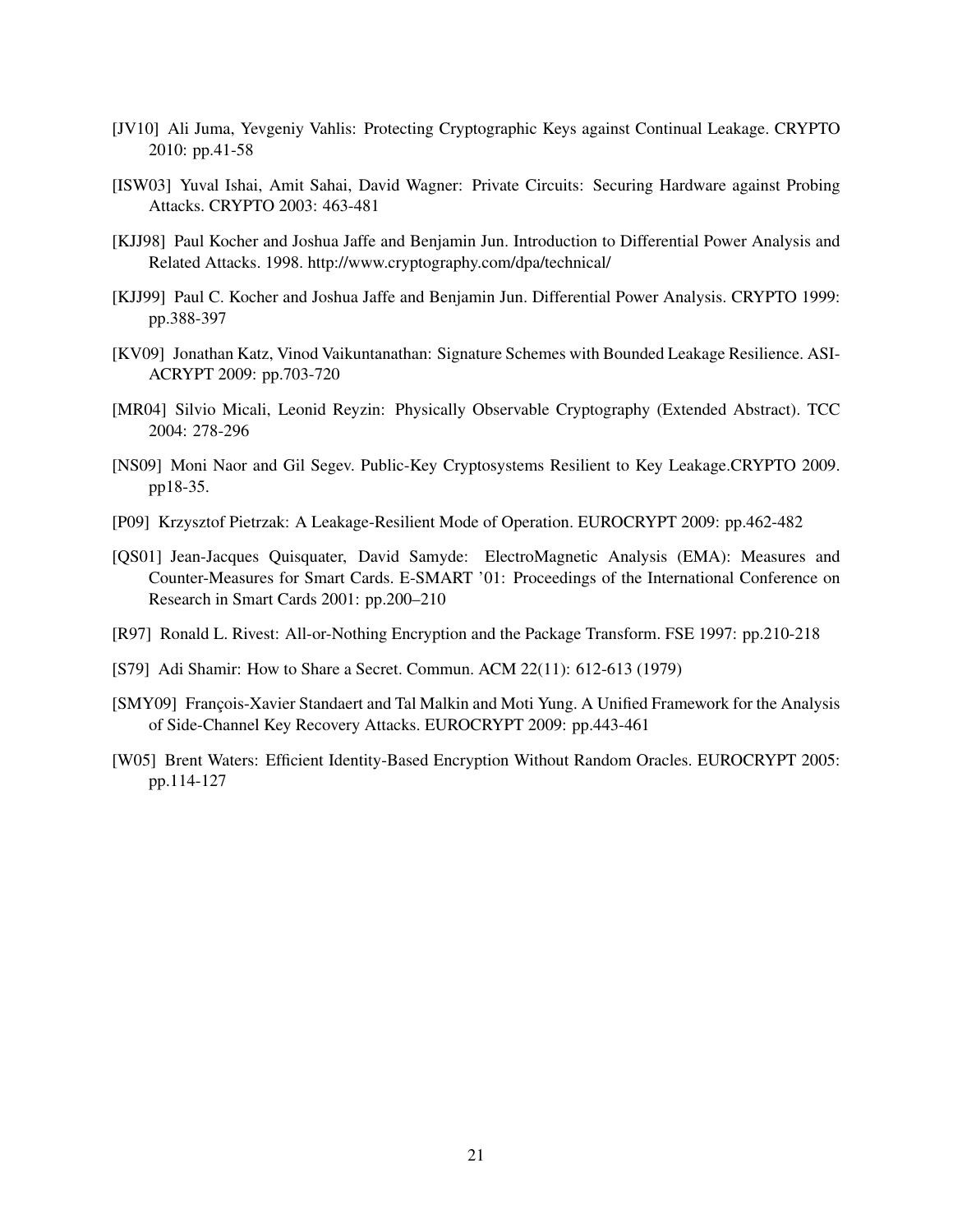- <span id="page-20-10"></span>[JV10] Ali Juma, Yevgeniy Vahlis: Protecting Cryptographic Keys against Continual Leakage. CRYPTO 2010: pp.41-58
- <span id="page-20-4"></span>[ISW03] Yuval Ishai, Amit Sahai, David Wagner: Private Circuits: Securing Hardware against Probing Attacks. CRYPTO 2003: 463-481
- [KJJ98] Paul Kocher and Joshua Jaffe and Benjamin Jun. Introduction to Differential Power Analysis and Related Attacks. 1998. http://www.cryptography.com/dpa/technical/
- <span id="page-20-1"></span>[KJJ99] Paul C. Kocher and Joshua Jaffe and Benjamin Jun. Differential Power Analysis. CRYPTO 1999: pp.388-397
- <span id="page-20-9"></span>[KV09] Jonathan Katz, Vinod Vaikuntanathan: Signature Schemes with Bounded Leakage Resilience. ASI-ACRYPT 2009: pp.703-720
- <span id="page-20-5"></span>[MR04] Silvio Micali, Leonid Reyzin: Physically Observable Cryptography (Extended Abstract). TCC 2004: 278-296
- <span id="page-20-8"></span>[NS09] Moni Naor and Gil Segev. Public-Key Cryptosystems Resilient to Key Leakage.CRYPTO 2009. pp18-35.
- <span id="page-20-7"></span>[P09] Krzysztof Pietrzak: A Leakage-Resilient Mode of Operation. EUROCRYPT 2009: pp.462-482
- <span id="page-20-0"></span>[QS01] Jean-Jacques Quisquater, David Samyde: ElectroMagnetic Analysis (EMA): Measures and Counter-Measures for Smart Cards. E-SMART '01: Proceedings of the International Conference on Research in Smart Cards 2001: pp.200–210
- <span id="page-20-3"></span>[R97] Ronald L. Rivest: All-or-Nothing Encryption and the Package Transform. FSE 1997: pp.210-218
- <span id="page-20-2"></span>[S79] Adi Shamir: How to Share a Secret. Commun. ACM 22(11): 612-613 (1979)
- <span id="page-20-6"></span>[SMY09] François-Xavier Standaert and Tal Malkin and Moti Yung. A Unified Framework for the Analysis of Side-Channel Key Recovery Attacks. EUROCRYPT 2009: pp.443-461
- <span id="page-20-11"></span>[W05] Brent Waters: Efficient Identity-Based Encryption Without Random Oracles. EUROCRYPT 2005: pp.114-127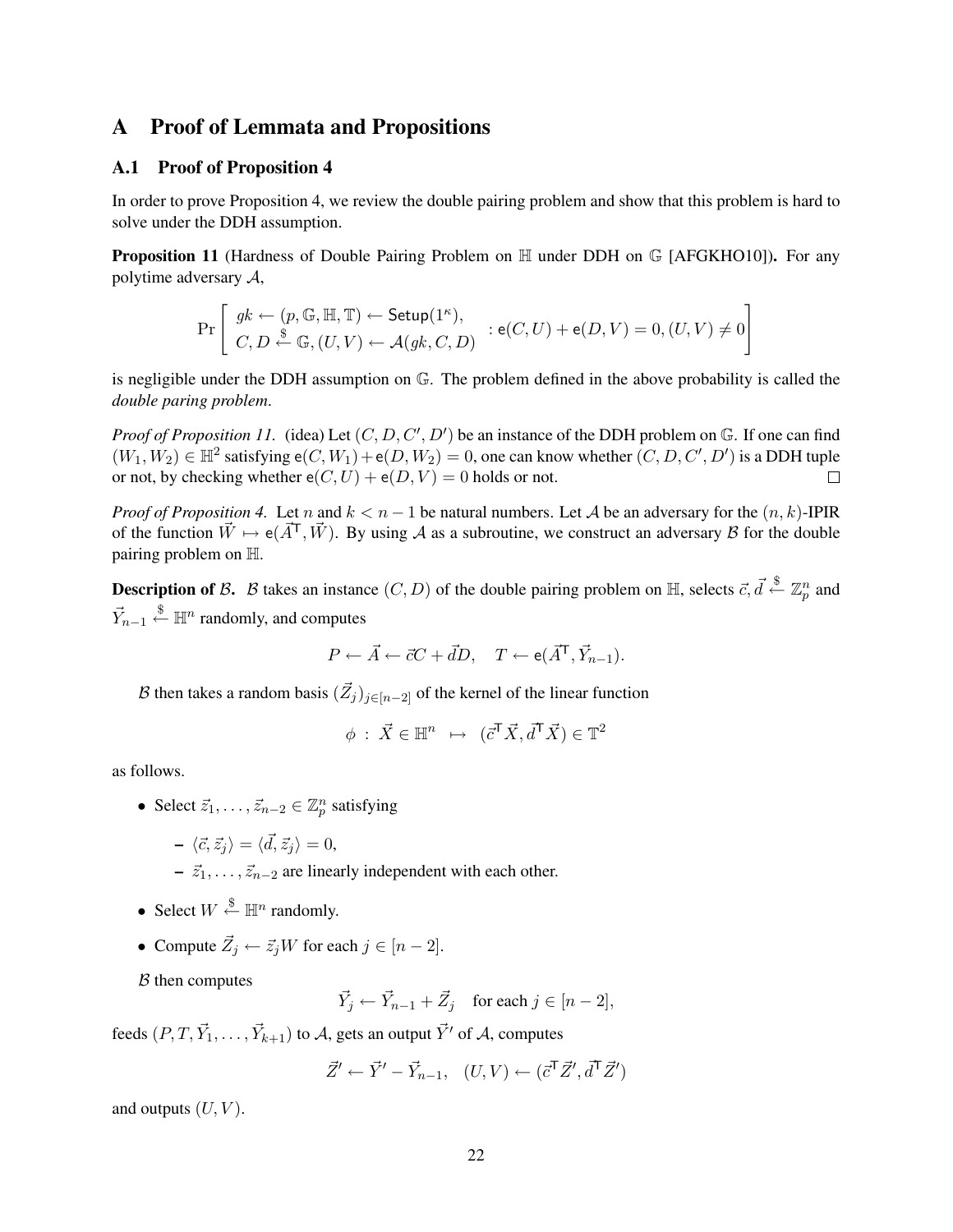# <span id="page-21-0"></span>A Proof of Lemmata and Propositions

#### <span id="page-21-1"></span>A.1 Proof of Proposition [4](#page-11-1)

In order to prove Proposition [4,](#page-11-1) we review the double pairing problem and show that this problem is hard to solve under the DDH assumption.

<span id="page-21-2"></span>Proposition 11 (Hardness of Double Pairing Problem on ℍ under DDH on G [\[AFGKHO10\]](#page-18-6)). For any polytime adversary A,

$$
\Pr\left[\begin{array}{ll}\mathit{gk} \leftarrow (\mathit{p}, \mathbb{G}, \mathbb{H}, \mathbb{T}) \leftarrow \mathsf{Setup}(1^{\kappa}), \\ C, D \stackrel{\$}{\leftarrow} \mathbb{G}, (U, V) \leftarrow \mathcal{A}(\mathit{gk}, C, D)\end{array} : \mathsf{e}(C, U) + \mathsf{e}(D, V) = 0, (U, V) \neq 0\right]\right]
$$

is negligible under the DDH assumption on G. The problem defined in the above probability is called the *double paring problem*.

*Proof of Proposition [11.](#page-21-2)* (idea) Let  $(C, D, C', D')$  be an instance of the DDH problem on  $\mathbb{G}$ . If one can find  $(W_1, W_2) \in \mathbb{H}^2$  satisfying  $e(C, W_1) + e(D, W_2) = 0$ , one can know whether  $(C, D, C', D')$  is a DDH tuple or not, by checking whether  $e(C, U) + e(D, V) = 0$  holds or not.  $\Box$ 

*Proof of Proposition* [4.](#page-11-1) Let n and  $k < n - 1$  be natural numbers. Let A be an adversary for the  $(n, k)$ -IPIR of the function  $\vec{W} \mapsto e(\vec{A}^T, \vec{W})$ . By using A as a subroutine, we construct an adversary B for the double pairing problem on H.

**Description of B.** B takes an instance  $(C, D)$  of the double pairing problem on H, selects  $\vec{c}, \vec{d} \stackrel{\$}{\leftarrow} \mathbb{Z}_p^n$  and  $\vec{Y}_{n-1} \overset{\$}{\leftarrow} \mathbb{H}^n$  randomly, and computes

$$
P \leftarrow \vec{A} \leftarrow \vec{c}C + \vec{d}D, \quad T \leftarrow e(\vec{A}^{\mathsf{T}}, \vec{Y}_{n-1}).
$$

B then takes a random basis  $(\vec{Z}_j)_{j \in [n-2]}$  of the kernel of the linear function

$$
\phi \; : \; \vec{X} \in \mathbb{H}^n \;\; \mapsto \;\; (\vec{c}^\mathsf{T} \vec{X}, \vec{d}^\mathsf{T} \vec{X}) \in \mathbb{T}^2
$$

as follows.

• Select  $\vec{z}_1, \dots, \vec{z}_{n-2} \in \mathbb{Z}_p^n$  satisfying

$$
- \langle \vec{c}, \vec{z_j} \rangle = \langle \vec{d}, \vec{z_j} \rangle = 0,
$$

- $\vec{z}_1, \ldots, \vec{z}_{n-2}$  are linearly independent with each other.
- Select  $W \stackrel{\$}{\leftarrow} \mathbb{H}^n$  randomly.
- Compute  $\vec{Z}_j \leftarrow \vec{z}_j W$  for each  $j \in [n-2]$ .

 $B$  then computes

$$
\vec{Y}_j \leftarrow \vec{Y}_{n-1} + \vec{Z}_j \quad \text{for each } j \in [n-2],
$$

feeds  $(P, T, \vec{Y}_1, \ldots, \vec{Y}_{k+1})$  to  $\mathcal{A}$ , gets an output  $\vec{Y}'$  of  $\mathcal{A}$ , computes

$$
\vec{Z}' \leftarrow \vec{Y}' - \vec{Y}_{n-1}, \quad (U, V) \leftarrow (\vec{c}^T \vec{Z}', \vec{d}^T \vec{Z}')
$$

and outputs  $(U, V)$ .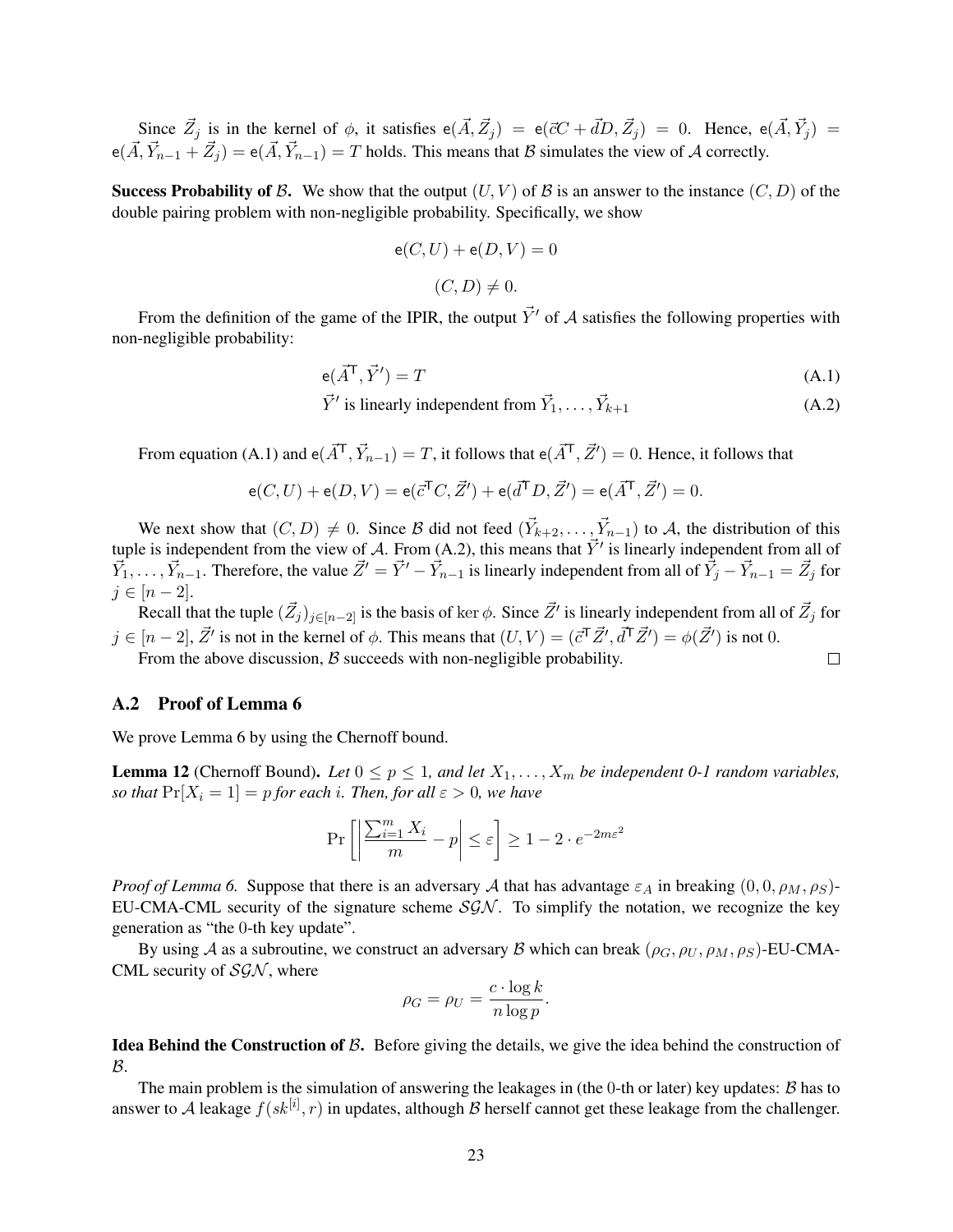Since  $\vec{Z}_j$  is in the kernel of  $\phi$ , it satisfies  $e(\vec{A}, \vec{Z}_j) = e(\vec{c}C + \vec{d}D, \vec{Z}_j) = 0$ . Hence,  $e(\vec{A}, \vec{Y}_j) = 0$  $e(\vec{A}, \vec{Y}_{n-1} + \vec{Z}_j) = e(\vec{A}, \vec{Y}_{n-1}) = T$  holds. This means that  $B$  simulates the view of A correctly.

**Success Probability of B.** We show that the output  $(U, V)$  of B is an answer to the instance  $(C, D)$  of the double pairing problem with non-negligible probability. Specifically, we show

<span id="page-22-2"></span><span id="page-22-1"></span>
$$
e(C, U) + e(D, V) = 0
$$

$$
(C, D) \neq 0.
$$

From the definition of the game of the IPIR, the output  $\vec{Y}'$  of A satisfies the following properties with non-negligible probability:

$$
e(\vec{A}^{\mathsf{T}}, \vec{Y}') = T \tag{A.1}
$$

$$
\vec{Y}'
$$
 is linearly independent from  $\vec{Y}_1, \dots, \vec{Y}_{k+1}$  (A.2)

From equation [\(A.1\)](#page-22-1) and  $e(\vec{A}^T, \vec{Y}_{n-1}) = T$ , it follows that  $e(\vec{A}^T, \vec{Z}') = 0$ . Hence, it follows that

$$
e(C, U) + e(D, V) = e(\vec{c}^T C, \vec{Z}') + e(\vec{d}^T D, \vec{Z}') = e(\vec{A}^T, \vec{Z}') = 0.
$$

We next show that  $(C, D) \neq 0$ . Since B did not feed  $(\vec{Y}_{k+2}, \ldots, \vec{Y}_{n-1})$  to A, the distribution of this tuple is independent from the view of A. From [\(A.2\)](#page-22-2), this means that  $\vec{Y}'$  is linearly independent from all of  $\overline{\vec{Y}_1}, \ldots, \overline{\vec{Y}_{n-1}}$ . Therefore, the value  $\overline{\vec{Z}}' = \overline{\vec{Y}}' - \overline{\vec{Y}}_{n-1}$  is linearly independent from all of  $\overline{\vec{Y}}_j - \overline{\vec{Y}}_{n-1} = \overline{\vec{Z}}_j$  for  $j \in [n-2]$ .

Recall that the tuple  $(\vec{Z}_j)_{j\in[n-2]}$  is the basis of ker  $\phi$ . Since  $\vec{Z}'$  is linearly independent from all of  $\vec{Z}_j$  for  $j \in [n-2], \vec{Z}'$  is not in the kernel of  $\phi$ . This means that  $(U, V) = (\vec{c}^T \vec{Z}', \vec{d}^T \vec{Z}') = \phi(\vec{Z}')$  is not 0. From the above discussion,  $\beta$  succeeds with non-negligible probability.  $\Box$ 

## <span id="page-22-0"></span>A.2 Proof of Lemma [6](#page-12-2)

We prove Lemma [6](#page-12-2) by using the Chernoff bound.

**Lemma 12** (Chernoff Bound). Let  $0 \le p \le 1$ , and let  $X_1, \ldots, X_m$  be independent 0-1 random variables, *so that*  $Pr[X_i = 1] = p$  *for each i. Then, for all*  $\varepsilon > 0$ *, we have* 

$$
\Pr\left[\left|\frac{\sum_{i=1}^{m} X_i}{m} - p\right| \le \varepsilon\right] \ge 1 - 2 \cdot e^{-2m\varepsilon^2}
$$

*Proof of Lemma* [6.](#page-12-2) Suppose that there is an adversary A that has advantage  $\varepsilon_A$  in breaking  $(0, 0, \rho_M, \rho_S)$ -EU-CMA-CML security of the signature scheme  $S\mathcal{GN}$ . To simplify the notation, we recognize the key generation as "the 0-th key update".

By using A as a subroutine, we construct an adversary B which can break  $(\rho_G, \rho_U, \rho_M, \rho_S)$ -EU-CMA-CML security of  $SGN$ , where

$$
\rho_G = \rho_U = \frac{c \cdot \log k}{n \log p}.
$$

Idea Behind the Construction of  $\beta$ . Before giving the details, we give the idea behind the construction of  $\mathcal{B}$ .

The main problem is the simulation of answering the leakages in (the 0-th or later) key updates:  $\beta$  has to answer to A leakage  $f(sk^{[i]}, r)$  in updates, although B herself cannot get these leakage from the challenger.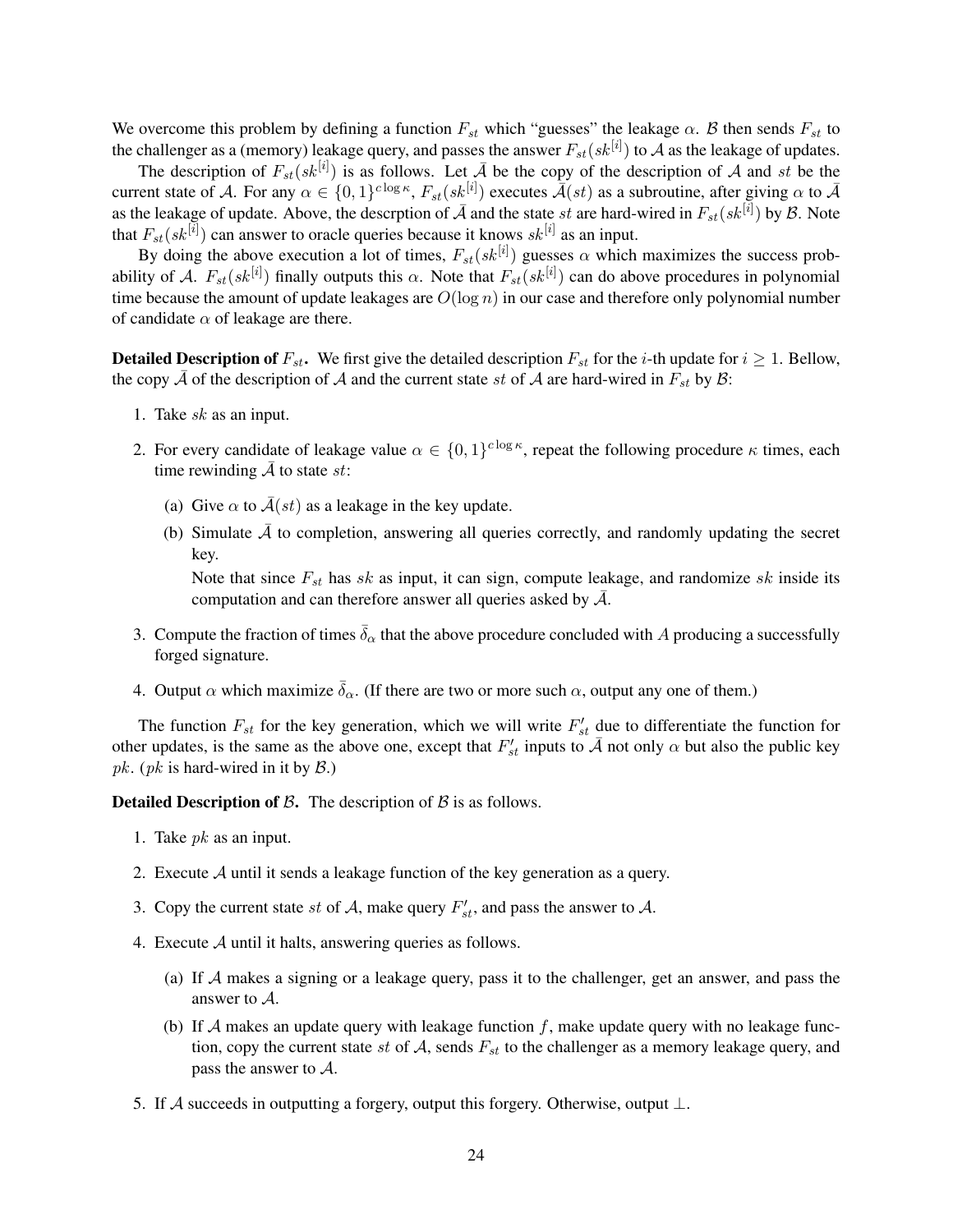We overcome this problem by defining a function  $F_{st}$  which "guesses" the leakage  $\alpha$ . B then sends  $F_{st}$  to the challenger as a (memory) leakage query, and passes the answer  $F_{st}(sk^{[i]})$  to  ${\cal A}$  as the leakage of updates.

The description of  $F_{st}(sk^{[i]})$  is as follows. Let  $\bar{\mathcal{A}}$  be the copy of the description of  $\mathcal{A}$  and st be the current state of A. For any  $\alpha \in \{0,1\}^{c \log \kappa}$ ,  $F_{st}(sk^{[i]})$  executes  $\overline{A}(st)$  as a subroutine, after giving  $\alpha$  to  $\overline{A}$ as the leakage of update. Above, the descrption of  $\bar{\cal A}$  and the state st are hard-wired in  $F_{st}(sk^{[i]})$  by  $B$ . Note that  $F_{st}(sk^{[i]})$  can answer to oracle queries because it knows  $sk^{[i]}$  as an input.

By doing the above execution a lot of times,  $F_{st}(sk^{[i]})$  guesses  $\alpha$  which maximizes the success probability of A.  $F_{st}(sk^{[i]})$  finally outputs this  $\alpha$ . Note that  $F_{st}(sk^{[i]})$  can do above procedures in polynomial time because the amount of update leakages are  $O(\log n)$  in our case and therefore only polynomial number of candidate  $\alpha$  of leakage are there.

**Detailed Description of**  $F_{st}$ . We first give the detailed description  $F_{st}$  for the *i*-th update for  $i \ge 1$ . Bellow, the copy  $\bar{\mathcal{A}}$  of the description of  $\mathcal{A}$  and the current state st of  $\mathcal{A}$  are hard-wired in  $F_{st}$  by  $\mathcal{B}$ :

- 1. Take sk as an input.
- 2. For every candidate of leakage value  $\alpha \in \{0,1\}^{c \log \kappa}$ , repeat the following procedure  $\kappa$  times, each time rewinding  $\overline{A}$  to state st:
	- (a) Give  $\alpha$  to  $\bar{A}(st)$  as a leakage in the key update.
	- (b) Simulate  $A$  to completion, answering all queries correctly, and randomly updating the secret key.

Note that since  $F_{st}$  has sk as input, it can sign, compute leakage, and randomize sk inside its computation and can therefore answer all queries asked by  $\overline{A}$ .

- 3. Compute the fraction of times  $\bar{\delta}_{\alpha}$  that the above procedure concluded with A producing a successfully forged signature.
- 4. Output  $\alpha$  which maximize  $\delta_{\alpha}$ . (If there are two or more such  $\alpha$ , output any one of them.)

The function  $F_{st}$  for the key generation, which we will write  $F'_{st}$  due to differentiate the function for other updates, is the same as the above one, except that  $F'_{st}$  inputs to  $\bar{\mathcal{A}}$  not only  $\alpha$  but also the public key *pk.* (*pk* is hard-wired in it by  $\mathcal{B}$ .)

**Detailed Description of B.** The description of  $B$  is as follows.

- 1. Take  $pk$  as an input.
- 2. Execute A until it sends a leakage function of the key generation as a query.
- 3. Copy the current state st of A, make query  $F'_{st}$ , and pass the answer to A.
- 4. Execute A until it halts, answering queries as follows.
	- (a) If  $A$  makes a signing or a leakage query, pass it to the challenger, get an answer, and pass the answer to A.
	- (b) If  $A$  makes an update query with leakage function f, make update query with no leakage function, copy the current state st of A, sends  $F_{st}$  to the challenger as a memory leakage query, and pass the answer to A.
- 5. If A succeeds in outputting a forgery, output this forgery. Otherwise, output  $\perp$ .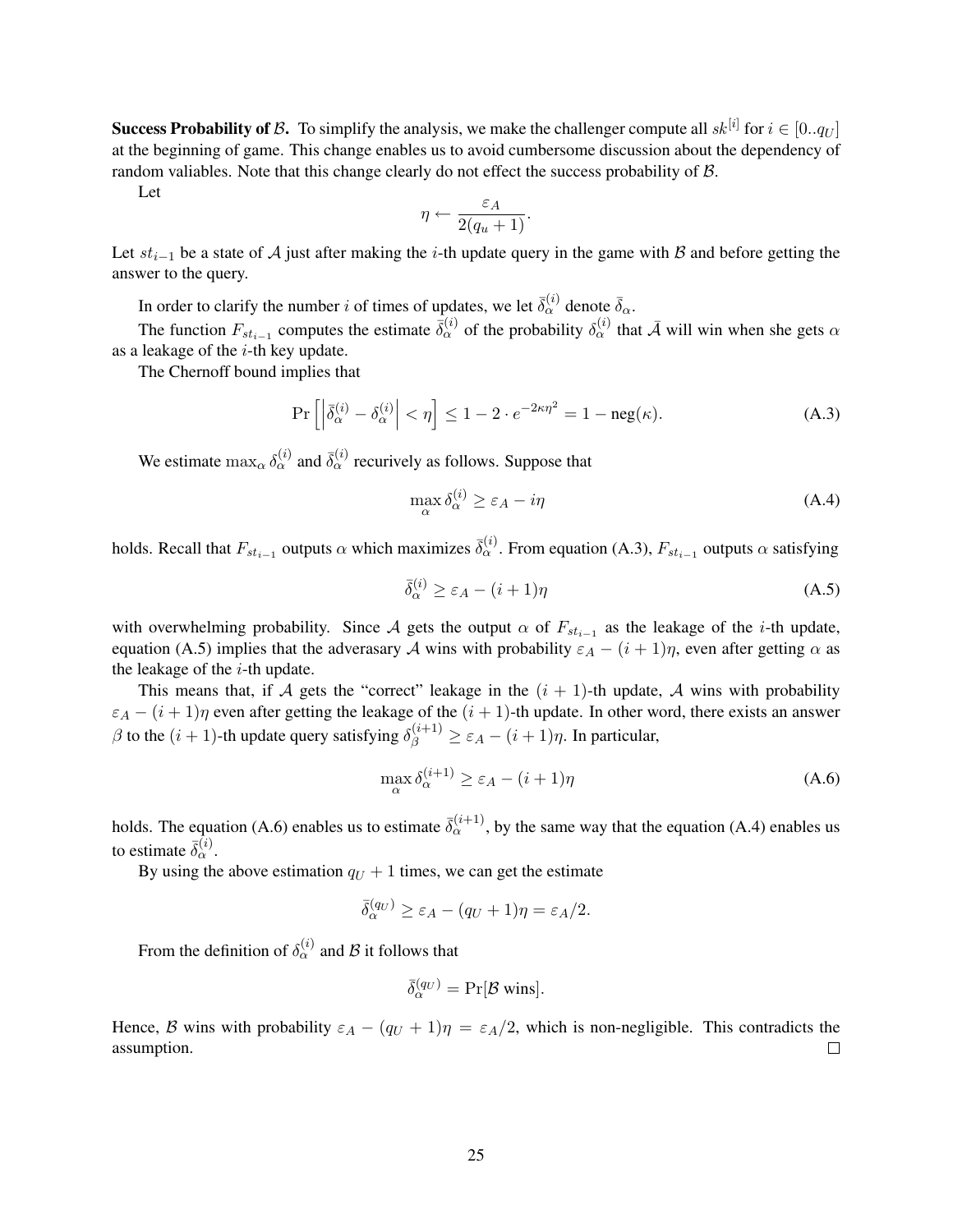**Success Probability of B.** To simplify the analysis, we make the challenger compute all  $sk^{[i]}$  for  $i \in [0..q_U]$ at the beginning of game. This change enables us to avoid cumbersome discussion about the dependency of random valiables. Note that this change clearly do not effect the success probability of B.

Let

$$
\eta \leftarrow \frac{\varepsilon_A}{2(q_u+1)}.
$$

Let st<sub>i−1</sub> be a state of A just after making the i-th update query in the game with B and before getting the answer to the query.

In order to clarify the number i of times of updates, we let  $\bar{\delta}_{\alpha}^{(i)}$  denote  $\bar{\delta}_{\alpha}$ .

The function  $F_{st_{i-1}}$  computes the estimate  $\bar{\delta}_{\alpha}^{(i)}$  of the probability  $\delta_{\alpha}^{(i)}$  that  $\bar{\mathcal{A}}$  will win when she gets  $\alpha$ as a leakage of the  $i$ -th key update.

The Chernoff bound implies that

$$
\Pr\left[\left|\bar{\delta}_{\alpha}^{(i)} - \delta_{\alpha}^{(i)}\right| < \eta\right] \le 1 - 2 \cdot e^{-2\kappa \eta^2} = 1 - \text{neg}(\kappa). \tag{A.3}
$$

We estimate  $\max_{\alpha} \delta_{\alpha}^{(i)}$  and  $\overline{\delta}_{\alpha}^{(i)}$  recurively as follows. Suppose that

<span id="page-24-3"></span><span id="page-24-0"></span>
$$
\max_{\alpha} \delta_{\alpha}^{(i)} \ge \varepsilon_A - i\eta \tag{A.4}
$$

holds. Recall that  $F_{st_{i-1}}$  outputs  $\alpha$  which maximizes  $\bar{\delta}_{\alpha}^{(i)}$ . From equation [\(A.3\)](#page-24-0),  $F_{st_{i-1}}$  outputs  $\alpha$  satisfying

<span id="page-24-1"></span>
$$
\bar{\delta}_{\alpha}^{(i)} \ge \varepsilon_A - (i+1)\eta \tag{A.5}
$$

with overwhelming probability. Since A gets the output  $\alpha$  of  $F_{st_{i-1}}$  as the leakage of the *i*-th update, equation [\(A.5\)](#page-24-1) implies that the adverasary A wins with probability  $\varepsilon_A - (i + 1)\eta$ , even after getting  $\alpha$  as the leakage of the  $i$ -th update.

This means that, if A gets the "correct" leakage in the  $(i + 1)$ -th update, A wins with probability  $\varepsilon_A$  –  $(i + 1)\eta$  even after getting the leakage of the  $(i + 1)$ -th update. In other word, there exists an answer  $\beta$  to the  $(i + 1)$ -th update query satisfying  $\delta_{\beta}^{(i+1)} \ge \varepsilon_A - (i + 1)\eta$ . In particular,

<span id="page-24-2"></span>
$$
\max_{\alpha} \delta_{\alpha}^{(i+1)} \ge \varepsilon_A - (i+1)\eta \tag{A.6}
$$

holds. The equation [\(A.6\)](#page-24-2) enables us to estimate  $\bar{\delta}_{\alpha}^{(i+1)}$ , by the same way that the equation [\(A.4\)](#page-24-3) enables us to estimate  $\bar{\delta}_{\alpha}^{(i)}$ .

By using the above estimation  $q_U + 1$  times, we can get the estimate

$$
\bar{\delta}^{(q_U)}_{\alpha} \geq \varepsilon_A - (q_U+1)\eta = \varepsilon_A/2.
$$

From the definition of  $\delta_{\alpha}^{(i)}$  and  $\beta$  it follows that

$$
\bar{\delta}_{\alpha}^{(q_U)} = \Pr[\mathcal{B} \text{ wins}].
$$

Hence, B wins with probability  $\varepsilon_A - (q_U + 1)\eta = \varepsilon_A/2$ , which is non-negligible. This contradicts the assumption.  $\Box$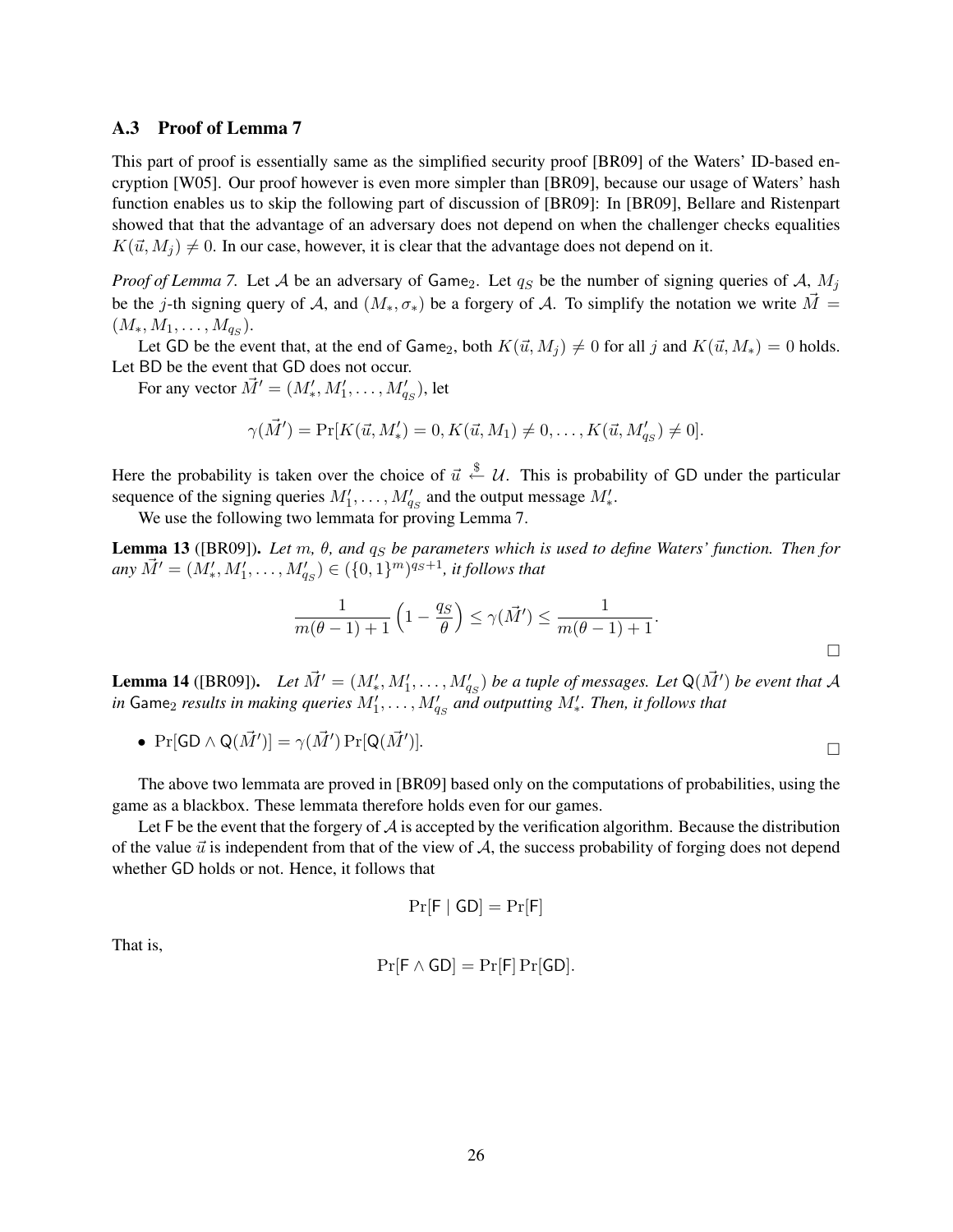## <span id="page-25-0"></span>A.3 Proof of Lemma [7](#page-14-0)

This part of proof is essentially same as the simplified security proof [\[BR09\]](#page-18-4) of the Waters' ID-based encryption [\[W05\]](#page-20-11). Our proof however is even more simpler than [\[BR09\]](#page-18-4), because our usage of Waters' hash function enables us to skip the following part of discussion of [\[BR09\]](#page-18-4): In [\[BR09\]](#page-18-4), Bellare and Ristenpart showed that that the advantage of an adversary does not depend on when the challenger checks equalities  $K(\vec{u}, M_i) \neq 0$ . In our case, however, it is clear that the advantage does not depend on it.

*Proof of Lemma* [7.](#page-14-0) Let A be an adversary of Game<sub>2</sub>. Let  $q_S$  be the number of signing queries of A,  $M_i$ be the j-th signing query of A, and  $(M_*, \sigma_*)$  be a forgery of A. To simplify the notation we write  $\vec{M} =$  $(M_*, M_1, \ldots, M_{q_S}).$ 

Let GD be the event that, at the end of Game<sub>2</sub>, both  $K(\vec{u}, M_i) \neq 0$  for all j and  $K(\vec{u}, M_*) = 0$  holds. Let BD be the event that GD does not occur.

For any vector  $\vec{M}' = (M'_*, M'_1, \dots, M'_{q_S})$ , let

$$
\gamma(\vec{M}') = \Pr[K(\vec{u}, M'_*) = 0, K(\vec{u}, M_1) \neq 0, \dots, K(\vec{u}, M'_{qs}) \neq 0].
$$

Here the probability is taken over the choice of  $\vec{u} \stackrel{\$}{\leftarrow} \mathcal{U}$ . This is probability of GD under the particular sequence of the signing queries  $M'_1, \ldots, M'_{q_S}$  and the output message  $M'_*$ .

We use the following two lemmata for proving Lemma [7.](#page-14-0)

**Lemma 13** ([\[BR09\]](#page-18-4)). Let  $m$ ,  $\theta$ , and  $q_S$  be parameters which is used to define Waters' function. Then for  $any \ \vec{M}' = (M'_*, M'_1, \dots, M'_{q_S}) \in (\{0,1\}^m)^{q_S+1}$ , *it follows that* 

$$
\frac{1}{m(\theta - 1) + 1} \left( 1 - \frac{qs}{\theta} \right) \le \gamma(\vec{M}') \le \frac{1}{m(\theta - 1) + 1}.
$$

**Lemma 14** ([\[BR09\]](#page-18-4)). Let  $\vec{M}' = (M'_*, M'_1, \ldots, M'_{q_S})$  be a tuple of messages. Let  $Q(\vec{M}')$  be event that A in Game<sub>2</sub> results in making queries  $M'_1, \ldots, M'_{q_S}$  and outputting  $M'_*$ . Then, it follows that

• 
$$
\Pr[\text{GD} \land \text{Q}(\vec{M}')] = \gamma(\vec{M}') \Pr[\text{Q}(\vec{M}')].
$$

The above two lemmata are proved in [\[BR09\]](#page-18-4) based only on the computations of probabilities, using the game as a blackbox. These lemmata therefore holds even for our games.

Let  $\mathsf F$  be the event that the forgery of  $\mathcal A$  is accepted by the verification algorithm. Because the distribution of the value  $\vec{u}$  is independent from that of the view of  $A$ , the success probability of forging does not depend whether GD holds or not. Hence, it follows that

$$
\Pr[F \mid GD] = \Pr[F]
$$

That is,

$$
\Pr[F \wedge GD] = \Pr[F] \Pr[GD].
$$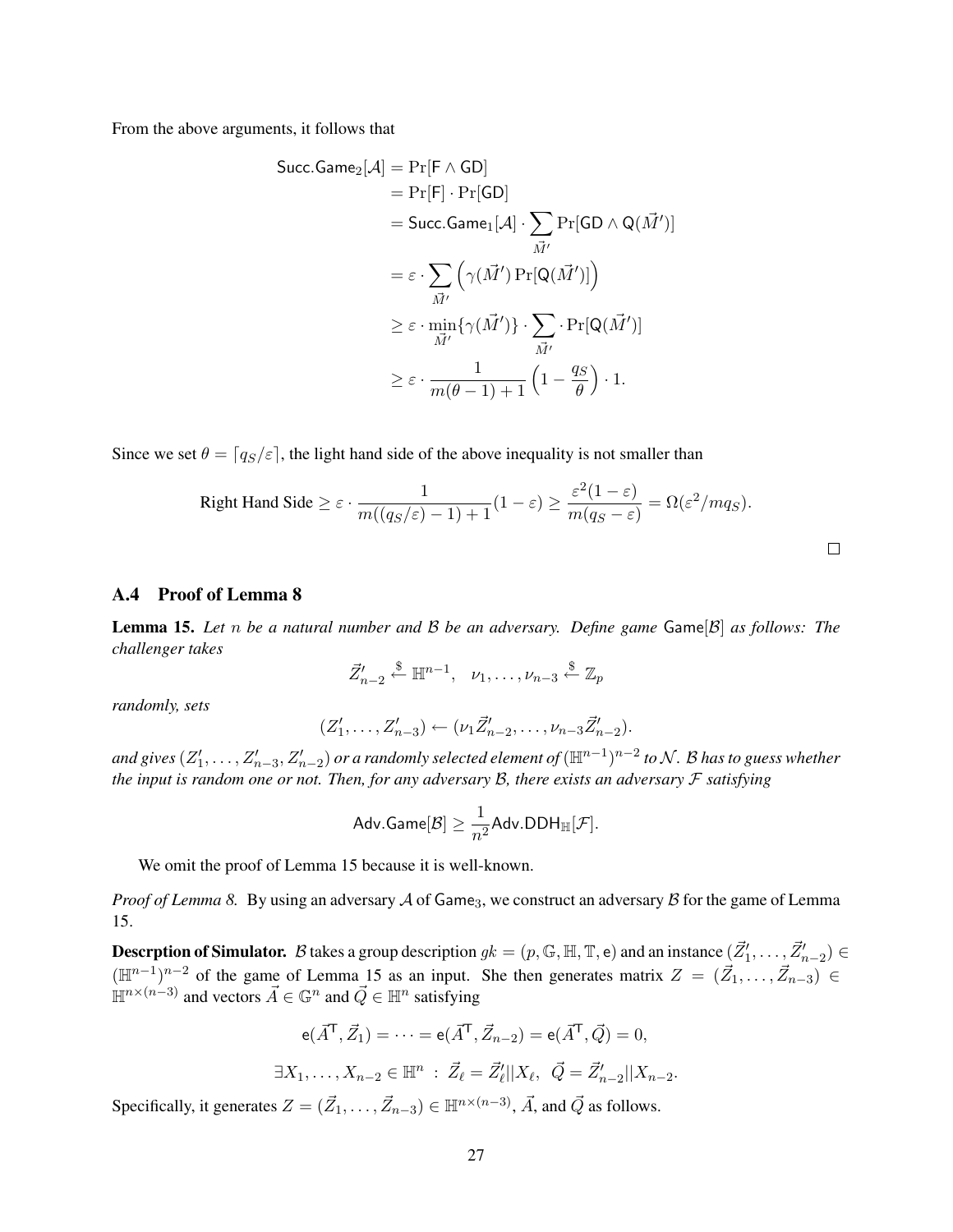From the above arguments, it follows that

$$
\begin{aligned}\n\text{Succ.Game}_{2}[\mathcal{A}] &= \Pr[\mathsf{F} \land \mathsf{GD}] \\
&= \Pr[\mathsf{F}] \cdot \Pr[\mathsf{GD}] \\
&= \text{Succ.Game}_{1}[\mathcal{A}] \cdot \sum_{\vec{M}'} \Pr[\mathsf{GD} \land \mathsf{Q}(\vec{M}')] \\
&= \varepsilon \cdot \sum_{\vec{M}'} \left( \gamma(\vec{M}') \Pr[\mathsf{Q}(\vec{M}')] \right) \\
&\geq \varepsilon \cdot \min_{\vec{M}'} \{ \gamma(\vec{M}') \} \cdot \sum_{\vec{M}'} \cdot \Pr[\mathsf{Q}(\vec{M}')] \\
&\geq \varepsilon \cdot \frac{1}{m(\theta - 1) + 1} \left( 1 - \frac{q_S}{\theta} \right) \cdot 1.\n\end{aligned}
$$

Since we set  $\theta = \lfloor q_s/\varepsilon \rfloor$ , the light hand side of the above inequality is not smaller than

Right Hand Side 
$$
\geq \varepsilon \cdot \frac{1}{m((q_S/\varepsilon)-1)+1}(1-\varepsilon) \geq \frac{\varepsilon^2(1-\varepsilon)}{m(q_S-\varepsilon)} = \Omega(\varepsilon^2/mq_S).
$$

## <span id="page-26-0"></span>A.4 Proof of Lemma [8](#page-14-1)

<span id="page-26-1"></span>Lemma 15. *Let* n *be a natural number and* B *be an adversary. Define game* Game[B] *as follows: The challenger takes*

$$
\vec{Z}_{n-2}' \stackrel{\$}{\leftarrow} \mathbb{H}^{n-1}, \quad \nu_1, \ldots, \nu_{n-3} \stackrel{\$}{\leftarrow} \mathbb{Z}_p
$$

*randomly, sets*

$$
(Z'_1,\ldots,Z'_{n-3}) \leftarrow (\nu_1 \vec{Z}'_{n-2},\ldots,\nu_{n-3} \vec{Z}'_{n-2}).
$$

and gives  $(Z'_1,\ldots,Z'_{n-3},Z'_{n-2})$  or a randomly selected element of  $(\Bbb{H}^{n-1})^{n-2}$  to  $\cal N.$   $\cal B$  has to guess whether *the input is random one or not. Then, for any adversary* B*, there exists an adversary* F *satisfying*

$$
\mathsf{Adv}.\mathsf{Game}[\mathcal{B}]\geq \frac{1}{n^2}\mathsf{Adv}.\mathsf{DDH}_{\mathbb{H}}[\mathcal{F}].
$$

We omit the proof of Lemma [15](#page-26-1) because it is well-known.

*Proof of Lemma* [8.](#page-14-1) By using an adversary  $A$  of Game<sub>3</sub>, we construct an adversary  $B$  for the game of Lemma [15.](#page-26-1)

**Descrption of Simulator.** B takes a group description  $gk = (p, \mathbb{G}, \mathbb{H}, \mathbb{T}, e)$  and an instance  $(\vec{Z}'_1, \dots, \vec{Z}'_{n-2}) \in$  $(\mathbb{H}^{n-1})^{n-2}$  of the game of Lemma [15](#page-26-1) as an input. She then generates matrix  $Z = (\vec{Z}_1, \ldots, \vec{Z}_{n-3}) \in$  $\mathbb{H}^{n \times (n-3)}$  and vectors  $\vec{A} \in \mathbb{G}^n$  and  $\vec{Q} \in \mathbb{H}^n$  satisfying

$$
e(\vec{A}^{T}, \vec{Z}_{1}) = \dots = e(\vec{A}^{T}, \vec{Z}_{n-2}) = e(\vec{A}^{T}, \vec{Q}) = 0,
$$
  

$$
\exists X_{1}, \dots, X_{n-2} \in \mathbb{H}^{n} : \vec{Z}_{\ell} = \vec{Z}_{\ell}' || X_{\ell}, \ \vec{Q} = \vec{Z}_{n-2}' || X_{n-2}.
$$

Specifically, it generates  $Z = (\vec{Z}_1, \dots, \vec{Z}_{n-3}) \in \mathbb{H}^{n \times (n-3)}$ ,  $\vec{A}$ , and  $\vec{Q}$  as follows.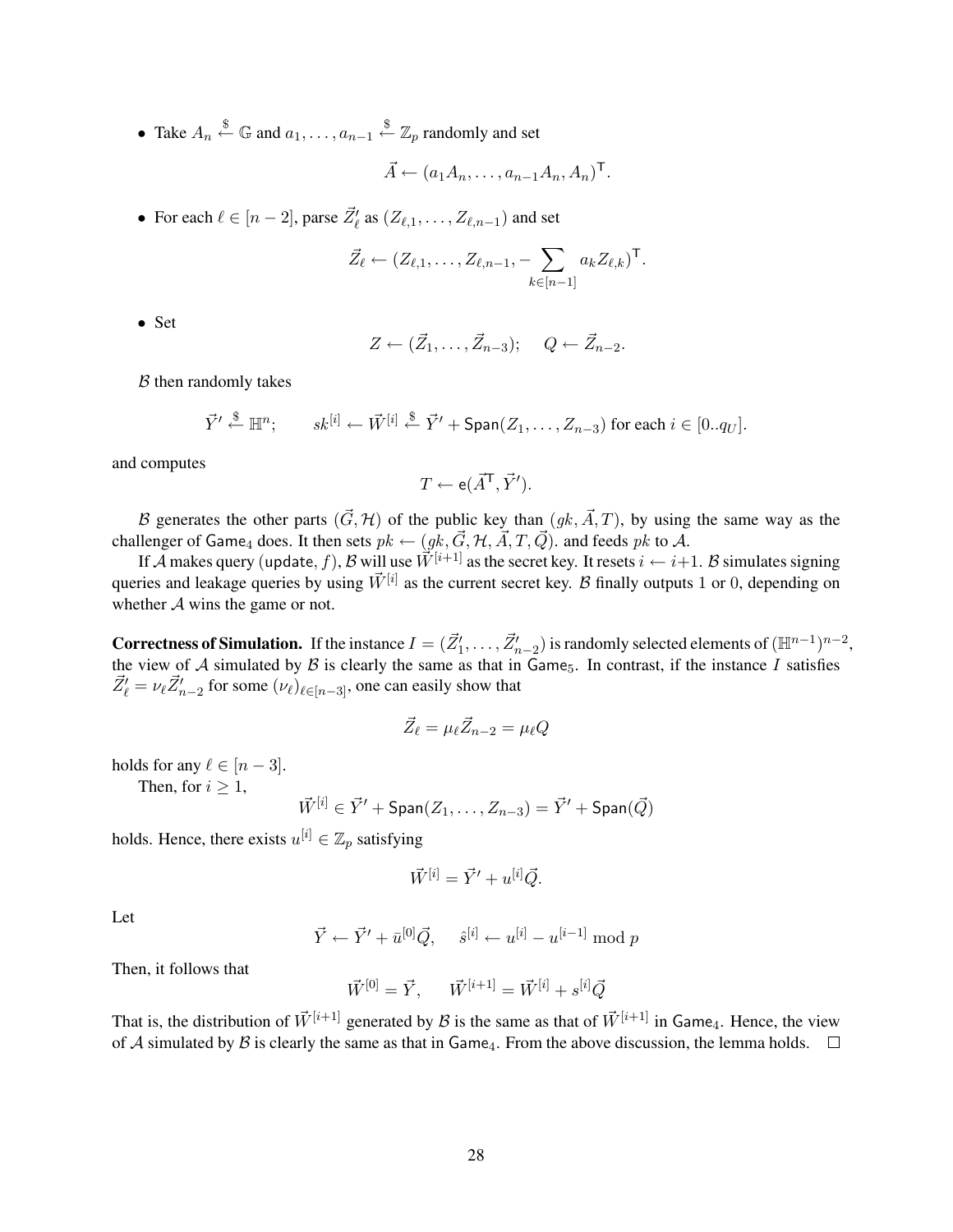• Take  $A_n \stackrel{\$}{\leftarrow} \mathbb{G}$  and  $a_1, \ldots, a_{n-1} \stackrel{\$}{\leftarrow} \mathbb{Z}_p$  randomly and set

$$
\vec{A} \leftarrow (a_1 A_n, \dots, a_{n-1} A_n, A_n)^{\mathsf{T}}.
$$

• For each  $\ell \in [n-2]$ , parse  $\vec{Z}'_{\ell}$  as  $(Z_{\ell,1}, \ldots, Z_{\ell,n-1})$  and set

$$
\vec{Z}_{\ell} \leftarrow (Z_{\ell,1},\ldots,Z_{\ell,n-1},-\sum_{k\in[n-1]}a_kZ_{\ell,k})^{\mathsf{T}}.
$$

• Set

$$
Z \leftarrow (\vec{Z}_1, \ldots, \vec{Z}_{n-3}); \quad Q \leftarrow \vec{Z}_{n-2}.
$$

B then randomly takes

$$
\vec{Y}' \stackrel{\$}{\leftarrow} \mathbb{H}^n; \qquad sk^{[i]} \leftarrow \vec{W}^{[i]} \stackrel{\$}{\leftarrow} \vec{Y}' + \mathsf{Span}(Z_1, \dots, Z_{n-3}) \text{ for each } i \in [0..q_U].
$$

and computes

$$
T \leftarrow \mathsf{e}(\vec{A}^{\mathsf{T}}, \vec{Y}').
$$

B generates the other parts  $(\vec{G}, \mathcal{H})$  of the public key than  $(qk, \vec{A}, T)$ , by using the same way as the challenger of Game<sub>4</sub> does. It then sets  $pk \leftarrow (gk, \vec{G}, \mathcal{H}, \vec{A}, T, \vec{Q})$  and feeds pk to  $\vec{A}$ .

If A makes query (update, f), B will use  $\tilde{W}^{[i+1]}$  as the secret key. It resets  $i \leftarrow i+1$ . B simulates signing queries and leakage queries by using  $\vec{W}^{[i]}$  as the current secret key. B finally outputs 1 or 0, depending on whether  $A$  wins the game or not.

**Correctness of Simulation.** If the instance  $I = (\vec{Z}'_1, \dots, \vec{Z}'_{n-2})$  is randomly selected elements of  $(\mathbb{H}^{n-1})^{n-2}$ , the view of A simulated by B is clearly the same as that in Game<sub>5</sub>. In contrast, if the instance I satisfies  $\vec{Z}'_l = \nu_l \vec{Z}'_{n-2}$  for some  $(\nu_l)_{l \in [n-3]}$ , one can easily show that

$$
\vec{Z}_{\ell} = \mu_{\ell} \vec{Z}_{n-2} = \mu_{\ell} Q
$$

holds for any  $\ell \in [n-3]$ .

Then, for  $i \geq 1$ ,

$$
\vec{W}^{[i]} \in \vec{Y}' + \mathsf{Span}(Z_1, \dots, Z_{n-3}) = \vec{Y}' + \mathsf{Span}(\vec{Q})
$$

holds. Hence, there exists  $u^{[i]} \in \mathbb{Z}_p$  satisfying

$$
\vec{W}^{[i]} = \vec{Y}' + u^{[i]} \vec{Q}.
$$

Let

$$
\vec{Y} \leftarrow \vec{Y}' + \bar{u}^{[0]}\vec{Q}, \quad \hat{s}^{[i]} \leftarrow u^{[i]} - u^{[i-1]} \bmod p
$$

Then, it follows that

$$
\vec{W}^{[0]} = \vec{Y}, \hspace{0.5 cm} \vec{W}^{[i+1]} = \vec{W}^{[i]} + s^{[i]} \vec{Q}
$$

That is, the distribution of  $\vec{W}^{[i+1]}$  generated by  $\beta$  is the same as that of  $\vec{W}^{[i+1]}$  in Game<sub>4</sub>. Hence, the view of A simulated by B is clearly the same as that in Game<sub>4</sub>. From the above discussion, the lemma holds.  $\square$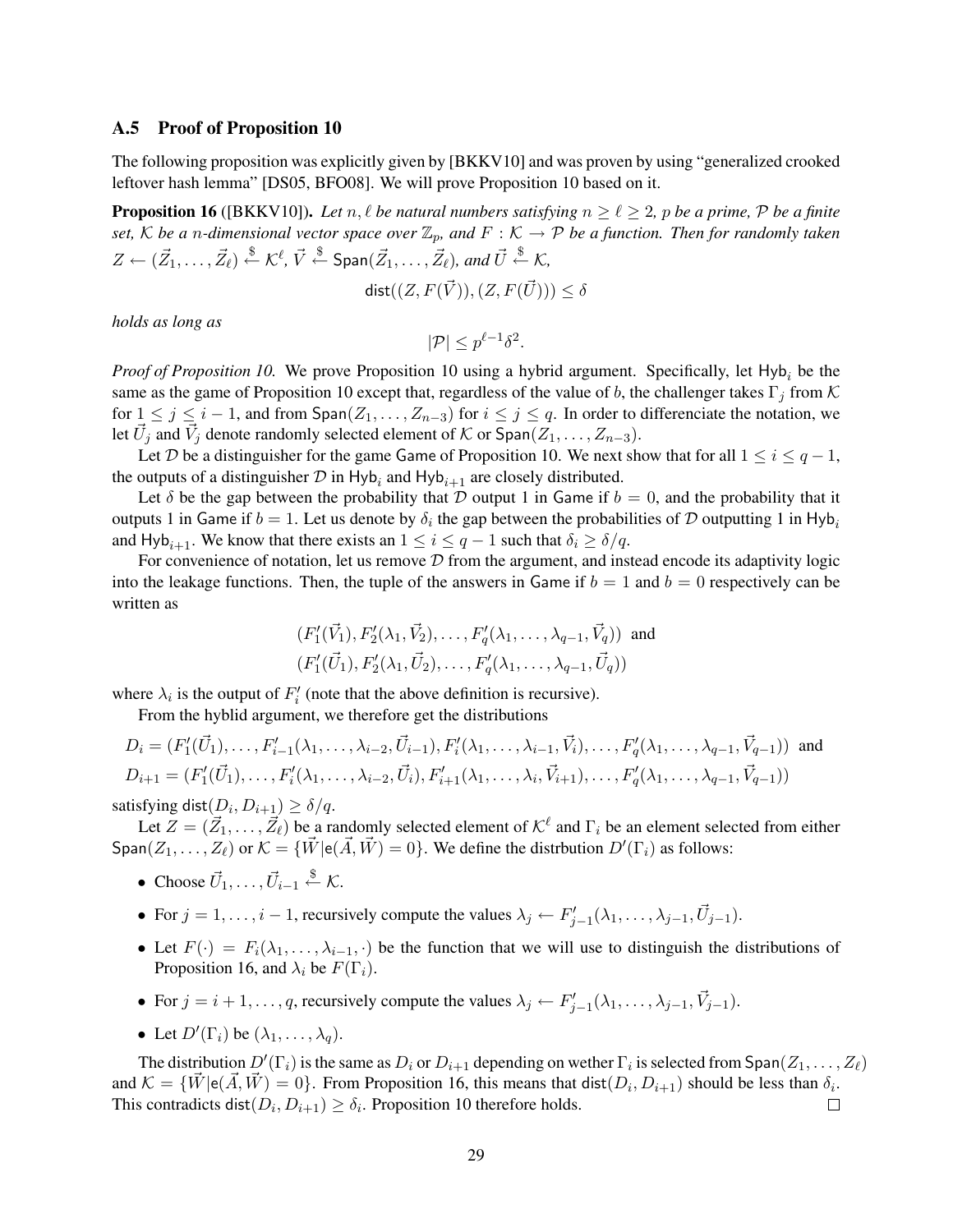#### <span id="page-28-0"></span>A.5 Proof of Proposition [10](#page-16-0)

The following proposition was explicitly given by [\[BKKV10\]](#page-19-9) and was proven by using "generalized crooked leftover hash lemma" [\[DS05,](#page-19-15) [BFO08\]](#page-18-7). We will prove Proposition [10](#page-16-0) based on it.

<span id="page-28-1"></span>**Proposition 16** ([\[BKKV10\]](#page-19-9)). Let n,  $\ell$  be natural numbers satisfying  $n \geq \ell \geq 2$ , p be a prime,  $\mathcal P$  be a finite *set,* K *be a n-dimensional vector space over*  $\mathbb{Z}_p$ *, and*  $F : K \to P$  *be a function. Then for randomly taken*  $Z \leftarrow (\vec{Z}_1, \ldots, \vec{Z}_\ell) \stackrel{\$}{\leftarrow} \mathcal{K}^\ell, \vec{V} \stackrel{\$}{\leftarrow} \mathsf{Span}(\vec{Z}_1, \ldots, \vec{Z}_\ell),$  and  $\vec{U} \stackrel{\$}{\leftarrow} \mathcal{K},$ 

$$
\mathsf{dist}((Z, F(\vec{V})), (Z, F(\vec{U}))) \le \delta
$$

*holds as long as*

$$
|\mathcal{P}| \le p^{\ell-1} \delta^2.
$$

*Proof of Proposition [10.](#page-16-0)* We prove Proposition [10](#page-16-0) using a hybrid argument. Specifically, let Hyb<sub>i</sub> be the same as the game of Proposition [10](#page-16-0) except that, regardless of the value of b, the challenger takes  $\Gamma_j$  from K for  $1 \le j \le i-1$ , and from  $\text{Span}(Z_1, \ldots, Z_{n-3})$  for  $i \le j \le q$ . In order to differenciate the notation, we let  $\vec{U}_j$  and  $\vec{V}_j$  denote randomly selected element of K or Span $(Z_1, \ldots, Z_{n-3})$ .

Let D be a distinguisher for the game Game of Proposition [10.](#page-16-0) We next show that for all  $1 \le i \le q-1$ , the outputs of a distinguisher  $D$  in Hyb<sub>i</sub> and Hyb<sub>i+1</sub> are closely distributed.

Let  $\delta$  be the gap between the probability that D output 1 in Game if  $b = 0$ , and the probability that it outputs 1 in Game if  $b = 1$ . Let us denote by  $\delta_i$  the gap between the probabilities of  $D$  outputting 1 in Hyb<sub>i</sub> and Hyb<sub>i+1</sub>. We know that there exists an  $1 \leq i \leq q-1$  such that  $\delta_i \geq \delta/q$ .

For convenience of notation, let us remove  $D$  from the argument, and instead encode its adaptivity logic into the leakage functions. Then, the tuple of the answers in Game if  $b = 1$  and  $b = 0$  respectively can be written as

$$
(F'_1(\vec{V}_1), F'_2(\lambda_1, \vec{V}_2), \dots, F'_q(\lambda_1, \dots, \lambda_{q-1}, \vec{V}_q))
$$
 and  
 $(F'_1(\vec{U}_1), F'_2(\lambda_1, \vec{U}_2), \dots, F'_q(\lambda_1, \dots, \lambda_{q-1}, \vec{U}_q))$ 

where  $\lambda_i$  is the output of  $F'_i$  (note that the above definition is recursive).

From the hyblid argument, we therefore get the distributions

$$
D_i = (F'_1(\vec{U}_1), \dots, F'_{i-1}(\lambda_1, \dots, \lambda_{i-2}, \vec{U}_{i-1}), F'_i(\lambda_1, \dots, \lambda_{i-1}, \vec{V}_i), \dots, F'_q(\lambda_1, \dots, \lambda_{q-1}, \vec{V}_{q-1}))
$$
 and  

$$
D_{i+1} = (F'_1(\vec{U}_1), \dots, F'_i(\lambda_1, \dots, \lambda_{i-2}, \vec{U}_i), F'_{i+1}(\lambda_1, \dots, \lambda_i, \vec{V}_{i+1}), \dots, F'_q(\lambda_1, \dots, \lambda_{q-1}, \vec{V}_{q-1}))
$$

satisfying dist $(D_i, D_{i+1}) \ge \delta/q$ .

Let  $Z=(\vec{Z}_1,\ldots,\vec{Z}_\ell)$  be a randomly selected element of  $\mathcal{K}^\ell$  and  $\Gamma_i$  be an element selected from either  $\textsf{Span}(Z_1,\ldots,Z_\ell)$  or  $\mathcal{K} = \{\vec{W} | \textbf{e}(\vec{A}, \vec{W}) = 0\}$ . We define the distrbution  $D'(\Gamma_i)$  as follows:

- Choose  $\vec{U}_1, \ldots, \vec{U}_{i-1} \stackrel{\$}{\leftarrow} \mathcal{K}$ .
- For  $j = 1, \ldots, i 1$ , recursively compute the values  $\lambda_j \leftarrow F'_{j-1}(\lambda_1, \ldots, \lambda_{j-1}, \vec{U}_{j-1})$ .
- Let  $F(\cdot) = F_i(\lambda_1, \ldots, \lambda_{i-1}, \cdot)$  be the function that we will use to distinguish the distributions of Proposition [16,](#page-28-1) and  $\lambda_i$  be  $F(\Gamma_i)$ .
- For  $j = i + 1, \ldots, q$ , recursively compute the values  $\lambda_j \leftarrow F'_{j-1}(\lambda_1, \ldots, \lambda_{j-1}, \vec{V}_{j-1})$ .
- Let  $D'(\Gamma_i)$  be  $(\lambda_1, \ldots, \lambda_q)$ .

The distribution  $D'(\Gamma_i)$  is the same as  $D_i$  or  $D_{i+1}$  depending on wether  $\Gamma_i$  is selected from  $\text{Span}(Z_1,\ldots,Z_\ell)$ and  $\mathcal{K} = \{\vec{W} | \mathsf{e}(\vec{A}, \vec{W}) = 0\}$ . From Proposition [16,](#page-28-1) this means that dist $(D_i, D_{i+1})$  should be less than  $\delta_i$ . This contradicts dist $(D_i, D_{i+1}) \ge \delta_i$ . Proposition [10](#page-16-0) therefore holds.  $\Box$